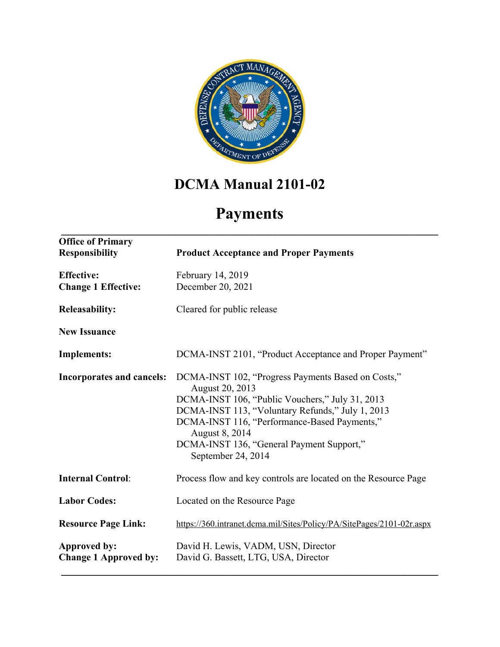

# **DCMA Manual 2101-02**

# **Payments**

**\_\_\_\_\_\_\_\_\_\_\_\_\_\_\_\_\_\_\_\_\_\_\_\_\_\_\_\_\_\_\_\_\_\_\_\_\_\_\_\_\_\_\_\_\_\_\_\_\_\_\_\_\_\_\_\_\_\_\_\_\_\_\_\_\_\_**

| <b>Office of Primary</b><br><b>Responsibility</b> | <b>Product Acceptance and Proper Payments</b>                                                                                                                                                                                                                                                                            |  |
|---------------------------------------------------|--------------------------------------------------------------------------------------------------------------------------------------------------------------------------------------------------------------------------------------------------------------------------------------------------------------------------|--|
| <b>Effective:</b><br><b>Change 1 Effective:</b>   | February 14, 2019<br>December 20, 2021                                                                                                                                                                                                                                                                                   |  |
| <b>Releasability:</b>                             | Cleared for public release                                                                                                                                                                                                                                                                                               |  |
| <b>New Issuance</b>                               |                                                                                                                                                                                                                                                                                                                          |  |
| <b>Implements:</b>                                | DCMA-INST 2101, "Product Acceptance and Proper Payment"                                                                                                                                                                                                                                                                  |  |
| <b>Incorporates and cancels:</b>                  | DCMA-INST 102, "Progress Payments Based on Costs,"<br>August 20, 2013<br>DCMA-INST 106, "Public Vouchers," July 31, 2013<br>DCMA-INST 113, "Voluntary Refunds," July 1, 2013<br>DCMA-INST 116, "Performance-Based Payments,"<br><b>August 8, 2014</b><br>DCMA-INST 136, "General Payment Support,"<br>September 24, 2014 |  |
| <b>Internal Control:</b>                          | Process flow and key controls are located on the Resource Page                                                                                                                                                                                                                                                           |  |
| <b>Labor Codes:</b>                               | Located on the Resource Page                                                                                                                                                                                                                                                                                             |  |
| <b>Resource Page Link:</b>                        | https://360.intranet.dcma.mil/Sites/Policy/PA/SitePages/2101-02r.aspx                                                                                                                                                                                                                                                    |  |
| Approved by:<br><b>Change 1 Approved by:</b>      | David H. Lewis, VADM, USN, Director<br>David G. Bassett, LTG, USA, Director                                                                                                                                                                                                                                              |  |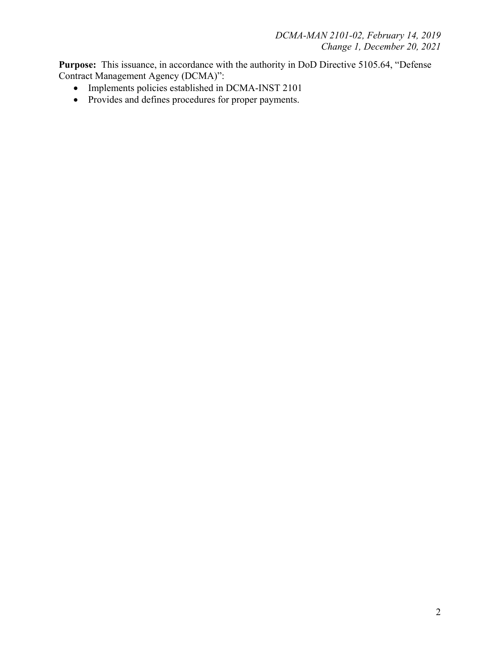**Purpose:** This issuance, in accordance with the authority in DoD Directive 5105.64, "Defense Contract Management Agency (DCMA)":

- Implements policies established in DCMA-INST 2101
- Provides and defines procedures for proper payments.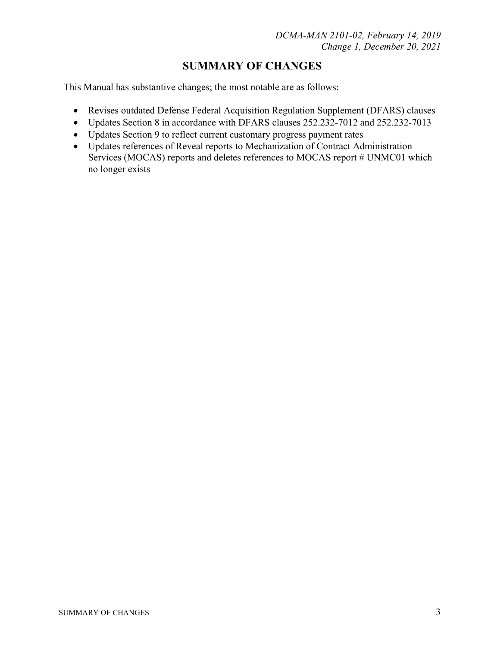# **SUMMARY OF CHANGES**

This Manual has substantive changes; the most notable are as follows:

- Revises outdated Defense Federal Acquisition Regulation Supplement (DFARS) clauses
- Updates Section 8 in accordance with DFARS clauses 252.232-7012 and 252.232-7013
- Updates Section 9 to reflect current customary progress payment rates
- Updates references of Reveal reports to Mechanization of Contract Administration Services (MOCAS) reports and deletes references to MOCAS report # UNMC01 which no longer exists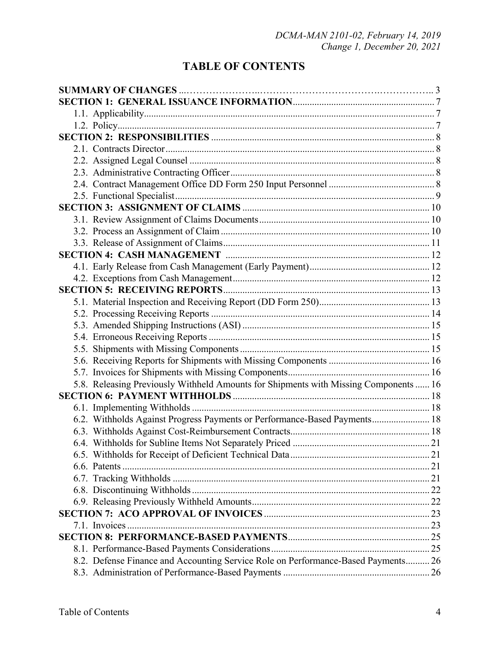# **TABLE OF CONTENTS**

| 5.8. Releasing Previously Withheld Amounts for Shipments with Missing Components  16 |  |  |
|--------------------------------------------------------------------------------------|--|--|
|                                                                                      |  |  |
|                                                                                      |  |  |
| 6.2. Withholds Against Progress Payments or Performance-Based Payments 18            |  |  |
|                                                                                      |  |  |
|                                                                                      |  |  |
|                                                                                      |  |  |
|                                                                                      |  |  |
|                                                                                      |  |  |
|                                                                                      |  |  |
|                                                                                      |  |  |
|                                                                                      |  |  |
|                                                                                      |  |  |
|                                                                                      |  |  |
|                                                                                      |  |  |
| 8.2. Defense Finance and Accounting Service Role on Performance-Based Payments 26    |  |  |
|                                                                                      |  |  |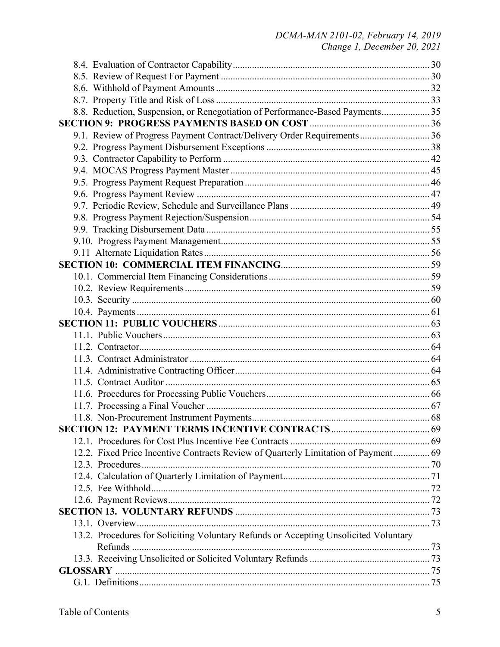| 8.8. Reduction, Suspension, or Renegotiation of Performance-Based Payments 35        |  |
|--------------------------------------------------------------------------------------|--|
|                                                                                      |  |
| 9.1. Review of Progress Payment Contract/Delivery Order Requirements 36              |  |
|                                                                                      |  |
|                                                                                      |  |
|                                                                                      |  |
|                                                                                      |  |
|                                                                                      |  |
|                                                                                      |  |
|                                                                                      |  |
|                                                                                      |  |
|                                                                                      |  |
|                                                                                      |  |
|                                                                                      |  |
|                                                                                      |  |
|                                                                                      |  |
|                                                                                      |  |
|                                                                                      |  |
|                                                                                      |  |
|                                                                                      |  |
|                                                                                      |  |
|                                                                                      |  |
|                                                                                      |  |
|                                                                                      |  |
|                                                                                      |  |
|                                                                                      |  |
|                                                                                      |  |
|                                                                                      |  |
|                                                                                      |  |
| 12.2. Fixed Price Incentive Contracts Review of Quarterly Limitation of Payment 69   |  |
|                                                                                      |  |
|                                                                                      |  |
|                                                                                      |  |
|                                                                                      |  |
|                                                                                      |  |
|                                                                                      |  |
| 13.2. Procedures for Soliciting Voluntary Refunds or Accepting Unsolicited Voluntary |  |
|                                                                                      |  |
|                                                                                      |  |
|                                                                                      |  |
|                                                                                      |  |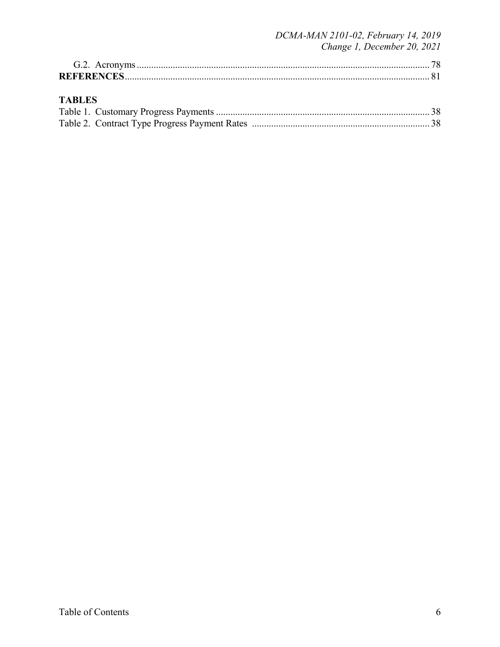# DCMA-MAN 2101-02, February 14, 2019<br>Change 1, December 20, 2021

# **TABLES**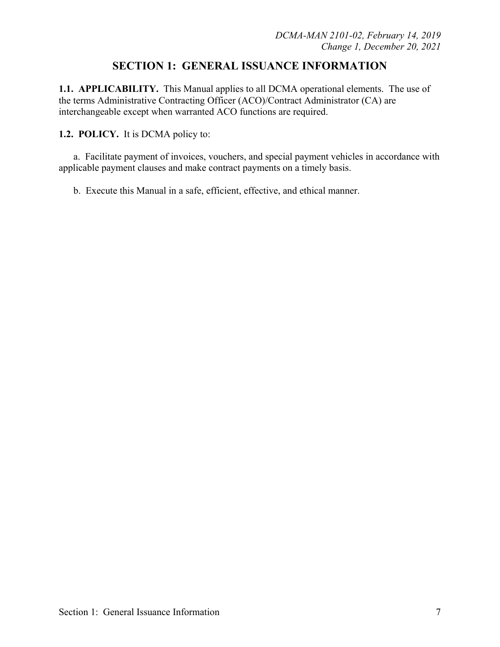# **SECTION 1: GENERAL ISSUANCE INFORMATION**

**1.1. APPLICABILITY.** This Manual applies to all DCMA operational elements. The use of the terms Administrative Contracting Officer (ACO)/Contract Administrator (CA) are interchangeable except when warranted ACO functions are required.

#### **1.2. POLICY.** It is DCMA policy to:

a. Facilitate payment of invoices, vouchers, and special payment vehicles in accordance with applicable payment clauses and make contract payments on a timely basis.

b. Execute this Manual in a safe, efficient, effective, and ethical manner.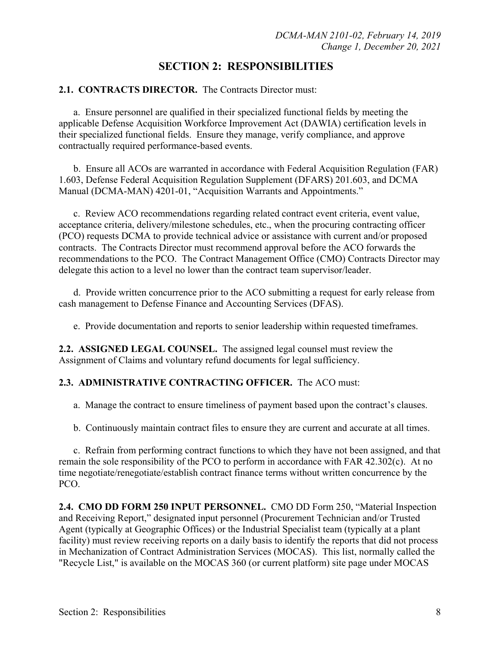# **SECTION 2: RESPONSIBILITIES**

#### **2.1. CONTRACTS DIRECTOR.** The Contracts Director must:

a. Ensure personnel are qualified in their specialized functional fields by meeting the applicable Defense Acquisition Workforce Improvement Act (DAWIA) certification levels in their specialized functional fields. Ensure they manage, verify compliance, and approve contractually required performance-based events.

b. Ensure all ACOs are warranted in accordance with Federal Acquisition Regulation (FAR) 1.603, Defense Federal Acquisition Regulation Supplement (DFARS) 201.603, and DCMA Manual (DCMA-MAN) 4201-01, "Acquisition Warrants and Appointments."

c. Review ACO recommendations regarding related contract event criteria, event value, acceptance criteria, delivery/milestone schedules, etc., when the procuring contracting officer (PCO) requests DCMA to provide technical advice or assistance with current and/or proposed contracts. The Contracts Director must recommend approval before the ACO forwards the recommendations to the PCO. The Contract Management Office (CMO) Contracts Director may delegate this action to a level no lower than the contract team supervisor/leader.

d. Provide written concurrence prior to the ACO submitting a request for early release from cash management to Defense Finance and Accounting Services (DFAS).

e. Provide documentation and reports to senior leadership within requested timeframes.

**2.2. ASSIGNED LEGAL COUNSEL.** The assigned legal counsel must review the Assignment of Claims and voluntary refund documents for legal sufficiency.

#### **2.3. ADMINISTRATIVE CONTRACTING OFFICER.** The ACO must:

a. Manage the contract to ensure timeliness of payment based upon the contract's clauses.

b. Continuously maintain contract files to ensure they are current and accurate at all times.

c. Refrain from performing contract functions to which they have not been assigned, and that remain the sole responsibility of the PCO to perform in accordance with FAR 42.302(c). At no time negotiate/renegotiate/establish contract finance terms without written concurrence by the PCO.

**2.4. CMO DD FORM 250 INPUT PERSONNEL.** CMO DD Form 250, "Material Inspection and Receiving Report," designated input personnel (Procurement Technician and/or Trusted Agent (typically at Geographic Offices) or the Industrial Specialist team (typically at a plant facility) must review receiving reports on a daily basis to identify the reports that did not process in Mechanization of Contract Administration Services (MOCAS). This list, normally called the "Recycle List," is available on the MOCAS 360 (or current platform) site page under MOCAS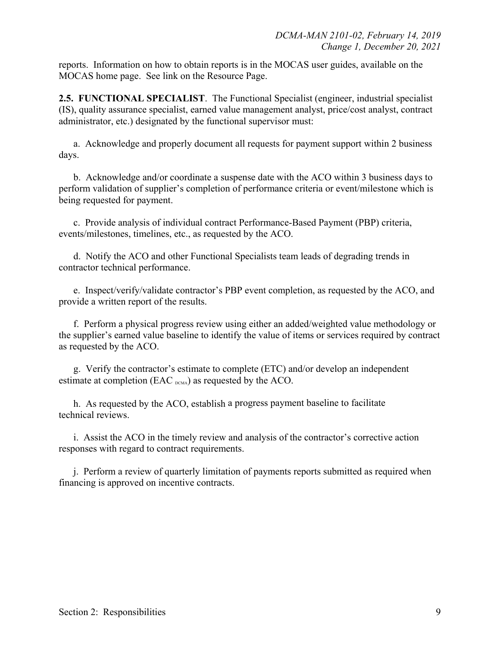reports. Information on how to obtain reports is in the MOCAS user guides, available on the MOCAS home page. See link on the Resource Page.

**2.5. FUNCTIONAL SPECIALIST**. The Functional Specialist (engineer, industrial specialist (IS), quality assurance specialist, earned value management analyst, price/cost analyst, contract administrator, etc.) designated by the functional supervisor must:

a. Acknowledge and properly document all requests for payment support within 2 business days.

b. Acknowledge and/or coordinate a suspense date with the ACO within 3 business days to perform validation of supplier's completion of performance criteria or event/milestone which is being requested for payment.

c. Provide analysis of individual contract Performance-Based Payment (PBP) criteria, events/milestones, timelines, etc., as requested by the ACO.

d. Notify the ACO and other Functional Specialists team leads of degrading trends in contractor technical performance.

e. Inspect/verify/validate contractor's PBP event completion, as requested by the ACO, and provide a written report of the results.

f. Perform a physical progress review using either an added/weighted value methodology or the supplier's earned value baseline to identify the value of items or services required by contract as requested by the ACO.

g. Verify the contractor's estimate to complete (ETC) and/or develop an independent estimate at completion (EAC  $_{DCMA}$ ) as requested by the ACO.

h. As requested by the ACO, establish a progress payment baseline to facilitate technical reviews.

i. Assist the ACO in the timely review and analysis of the contractor's corrective action responses with regard to contract requirements.

j. Perform a review of quarterly limitation of payments reports submitted as required when financing is approved on incentive contracts.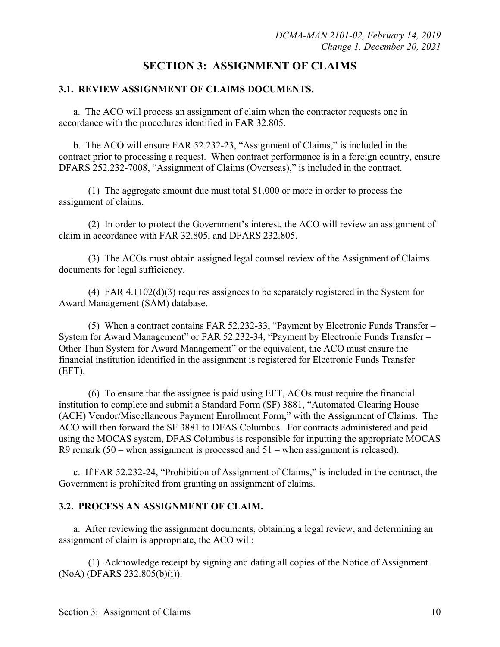# **SECTION 3: ASSIGNMENT OF CLAIMS**

#### **3.1. REVIEW ASSIGNMENT OF CLAIMS DOCUMENTS.**

a. The ACO will process an assignment of claim when the contractor requests one in accordance with the procedures identified in FAR 32.805.

b. The ACO will ensure FAR 52.232-23, "Assignment of Claims," is included in the contract prior to processing a request. When contract performance is in a foreign country, ensure DFARS 252.232-7008, "Assignment of Claims (Overseas)," is included in the contract.

(1) The aggregate amount due must total \$1,000 or more in order to process the assignment of claims.

(2) In order to protect the Government's interest, the ACO will review an assignment of claim in accordance with FAR 32.805, and DFARS 232.805.

(3) The ACOs must obtain assigned legal counsel review of the Assignment of Claims documents for legal sufficiency.

(4) FAR 4.1102(d)(3) requires assignees to be separately registered in the System for Award Management (SAM) database.

(5) When a contract contains FAR 52.232-33, "Payment by Electronic Funds Transfer – System for Award Management" or FAR 52.232-34, "Payment by Electronic Funds Transfer – Other Than System for Award Management" or the equivalent, the ACO must ensure the financial institution identified in the assignment is registered for Electronic Funds Transfer (EFT).

(6) To ensure that the assignee is paid using EFT, ACOs must require the financial institution to complete and submit a Standard Form (SF) 3881, "Automated Clearing House (ACH) Vendor/Miscellaneous Payment Enrollment Form," with the Assignment of Claims. The ACO will then forward the SF 3881 to DFAS Columbus. For contracts administered and paid using the MOCAS system, DFAS Columbus is responsible for inputting the appropriate MOCAS R9 remark (50 – when assignment is processed and 51 – when assignment is released).

c. If FAR 52.232-24, "Prohibition of Assignment of Claims," is included in the contract, the Government is prohibited from granting an assignment of claims.

#### **3.2. PROCESS AN ASSIGNMENT OF CLAIM.**

a. After reviewing the assignment documents, obtaining a legal review, and determining an assignment of claim is appropriate, the ACO will:

(1) Acknowledge receipt by signing and dating all copies of the Notice of Assignment (NoA) (DFARS 232.805(b)(i)).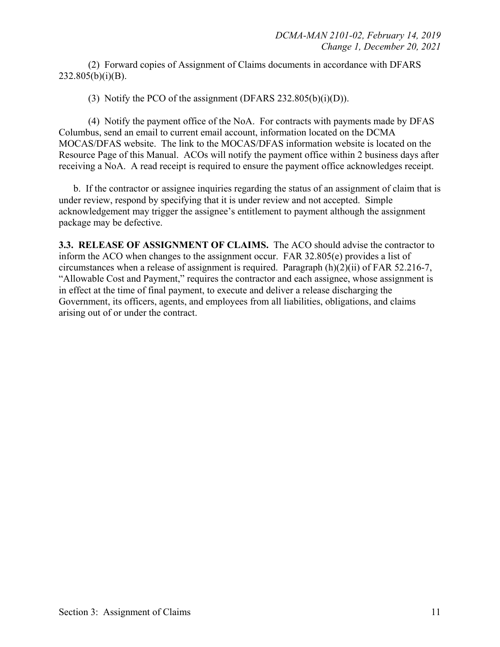(2) Forward copies of Assignment of Claims documents in accordance with DFARS  $232.805(b)(i)(B)$ .

(3) Notify the PCO of the assignment (DFARS  $232.805(b)(i)(D)$ ).

(4) Notify the payment office of the NoA. For contracts with payments made by DFAS Columbus, send an email to current email account, information located on the DCMA MOCAS/DFAS website. The link to the MOCAS/DFAS information website is located on the Resource Page of this Manual. ACOs will notify the payment office within 2 business days after receiving a NoA. A read receipt is required to ensure the payment office acknowledges receipt.

b. If the contractor or assignee inquiries regarding the status of an assignment of claim that is under review, respond by specifying that it is under review and not accepted. Simple acknowledgement may trigger the assignee's entitlement to payment although the assignment package may be defective.

**3.3. RELEASE OF ASSIGNMENT OF CLAIMS.** The ACO should advise the contractor to inform the ACO when changes to the assignment occur. FAR 32.805(e) provides a list of circumstances when a release of assignment is required. Paragraph (h)(2)(ii) of FAR 52.216-7, "Allowable Cost and Payment," requires the contractor and each assignee, whose assignment is in effect at the time of final payment, to execute and deliver a release discharging the Government, its officers, agents, and employees from all liabilities, obligations, and claims arising out of or under the contract.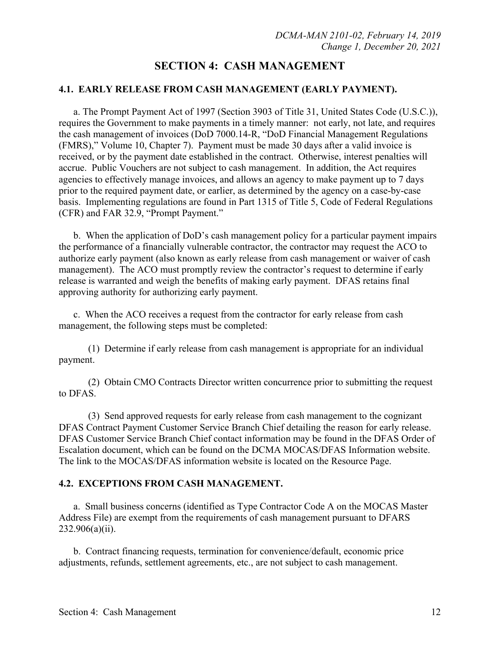# **SECTION 4: CASH MANAGEMENT**

#### **4.1. EARLY RELEASE FROM CASH MANAGEMENT (EARLY PAYMENT).**

a. The Prompt Payment Act of 1997 (Section 3903 of Title 31, United States Code (U.S.C.)), requires the Government to make payments in a timely manner: not early, not late, and requires the cash management of invoices (DoD 7000.14-R, "DoD Financial Management Regulations (FMRS)," Volume 10, Chapter 7). Payment must be made 30 days after a valid invoice is received, or by the payment date established in the contract. Otherwise, interest penalties will accrue. Public Vouchers are not subject to cash management. In addition, the Act requires agencies to effectively manage invoices, and allows an agency to make payment up to 7 days prior to the required payment date, or earlier, as determined by the agency on a case-by-case basis. Implementing regulations are found in Part 1315 of Title 5, Code of Federal Regulations (CFR) and FAR 32.9, "Prompt Payment."

b. When the application of DoD's cash management policy for a particular payment impairs the performance of a financially vulnerable contractor, the contractor may request the ACO to authorize early payment (also known as early release from cash management or waiver of cash management). The ACO must promptly review the contractor's request to determine if early release is warranted and weigh the benefits of making early payment. DFAS retains final approving authority for authorizing early payment.

c. When the ACO receives a request from the contractor for early release from cash management, the following steps must be completed:

(1) Determine if early release from cash management is appropriate for an individual payment.

(2) Obtain CMO Contracts Director written concurrence prior to submitting the request to DFAS.

(3) Send approved requests for early release from cash management to the cognizant DFAS Contract Payment Customer Service Branch Chief detailing the reason for early release. DFAS Customer Service Branch Chief contact information may be found in the DFAS Order of Escalation document, which can be found on the DCMA MOCAS/DFAS Information website. The link to the MOCAS/DFAS information website is located on the Resource Page.

#### **4.2. EXCEPTIONS FROM CASH MANAGEMENT.**

a. Small business concerns (identified as Type Contractor Code A on the MOCAS Master Address File) are exempt from the requirements of cash management pursuant to DFARS  $232.906(a)(ii)$ .

b. Contract financing requests, termination for convenience/default, economic price adjustments, refunds, settlement agreements, etc., are not subject to cash management.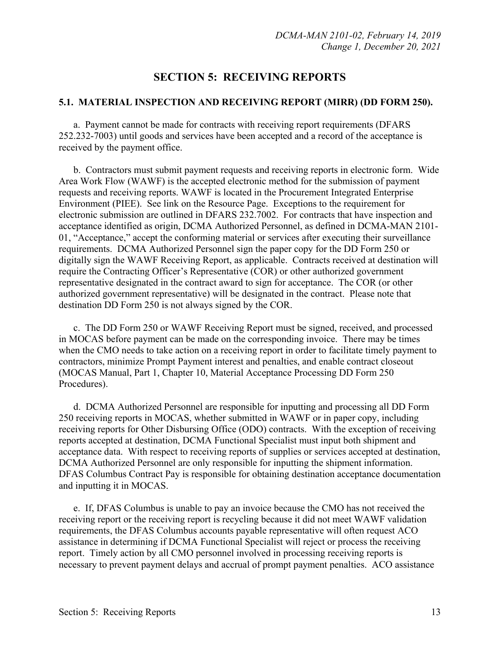# **SECTION 5: RECEIVING REPORTS**

#### **5.1. MATERIAL INSPECTION AND RECEIVING REPORT (MIRR) (DD FORM 250).**

a. Payment cannot be made for contracts with receiving report requirements (DFARS 252.232-7003) until goods and services have been accepted and a record of the acceptance is received by the payment office.

b. Contractors must submit payment requests and receiving reports in electronic form. Wide Area Work Flow (WAWF) is the accepted electronic method for the submission of payment requests and receiving reports. WAWF is located in the Procurement Integrated Enterprise Environment (PIEE). See link on the Resource Page. Exceptions to the requirement for electronic submission are outlined in DFARS 232.7002. For contracts that have inspection and acceptance identified as origin, DCMA Authorized Personnel, as defined in DCMA-MAN 2101- 01, "Acceptance," accept the conforming material or services after executing their surveillance requirements. DCMA Authorized Personnel sign the paper copy for the DD Form 250 or digitally sign the WAWF Receiving Report, as applicable. Contracts received at destination will require the Contracting Officer's Representative (COR) or other authorized government representative designated in the contract award to sign for acceptance. The COR (or other authorized government representative) will be designated in the contract. Please note that destination DD Form 250 is not always signed by the COR.

c. The DD Form 250 or WAWF Receiving Report must be signed, received, and processed in MOCAS before payment can be made on the corresponding invoice. There may be times when the CMO needs to take action on a receiving report in order to facilitate timely payment to contractors, minimize Prompt Payment interest and penalties, and enable contract closeout (MOCAS Manual, Part 1, Chapter 10, Material Acceptance Processing DD Form 250 Procedures).

d. DCMA Authorized Personnel are responsible for inputting and processing all DD Form 250 receiving reports in MOCAS, whether submitted in WAWF or in paper copy, including receiving reports for Other Disbursing Office (ODO) contracts. With the exception of receiving reports accepted at destination, DCMA Functional Specialist must input both shipment and acceptance data. With respect to receiving reports of supplies or services accepted at destination, DCMA Authorized Personnel are only responsible for inputting the shipment information. DFAS Columbus Contract Pay is responsible for obtaining destination acceptance documentation and inputting it in MOCAS.

e. If, DFAS Columbus is unable to pay an invoice because the CMO has not received the receiving report or the receiving report is recycling because it did not meet WAWF validation requirements, the DFAS Columbus accounts payable representative will often request ACO assistance in determining if DCMA Functional Specialist will reject or process the receiving report. Timely action by all CMO personnel involved in processing receiving reports is necessary to prevent payment delays and accrual of prompt payment penalties. ACO assistance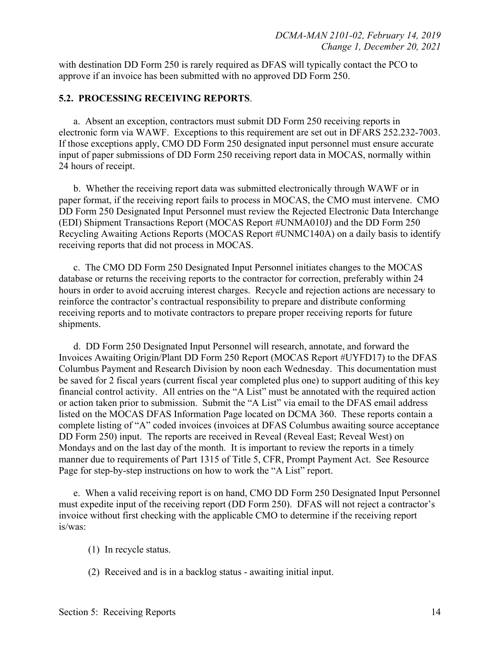with destination DD Form 250 is rarely required as DFAS will typically contact the PCO to approve if an invoice has been submitted with no approved DD Form 250.

#### **5.2. PROCESSING RECEIVING REPORTS**.

a. Absent an exception, contractors must submit DD Form 250 receiving reports in electronic form via WAWF. Exceptions to this requirement are set out in DFARS 252.232-7003. If those exceptions apply, CMO DD Form 250 designated input personnel must ensure accurate input of paper submissions of DD Form 250 receiving report data in MOCAS, normally within 24 hours of receipt.

b. Whether the receiving report data was submitted electronically through WAWF or in paper format, if the receiving report fails to process in MOCAS, the CMO must intervene. CMO DD Form 250 Designated Input Personnel must review the Rejected Electronic Data Interchange (EDI) Shipment Transactions Report (MOCAS Report #UNMA010J) and the DD Form 250 Recycling Awaiting Actions Reports (MOCAS Report #UNMC140A) on a daily basis to identify receiving reports that did not process in MOCAS.

c. The CMO DD Form 250 Designated Input Personnel initiates changes to the MOCAS database or returns the receiving reports to the contractor for correction, preferably within 24 hours in order to avoid accruing interest charges. Recycle and rejection actions are necessary to reinforce the contractor's contractual responsibility to prepare and distribute conforming receiving reports and to motivate contractors to prepare proper receiving reports for future shipments.

d. DD Form 250 Designated Input Personnel will research, annotate, and forward the Invoices Awaiting Origin/Plant DD Form 250 Report (MOCAS Report #UYFD17) to the DFAS Columbus Payment and Research Division by noon each Wednesday. This documentation must be saved for 2 fiscal years (current fiscal year completed plus one) to support auditing of this key financial control activity. All entries on the "A List" must be annotated with the required action or action taken prior to submission. Submit the "A List" via email to the DFAS email address listed on the MOCAS DFAS Information Page located on DCMA 360. These reports contain a complete listing of "A" coded invoices (invoices at DFAS Columbus awaiting source acceptance DD Form 250) input. The reports are received in Reveal (Reveal East; Reveal West) on Mondays and on the last day of the month. It is important to review the reports in a timely manner due to requirements of Part 1315 of Title 5, CFR, Prompt Payment Act. See Resource Page for step-by-step instructions on how to work the "A List" report.

e. When a valid receiving report is on hand, CMO DD Form 250 Designated Input Personnel must expedite input of the receiving report (DD Form 250). DFAS will not reject a contractor's invoice without first checking with the applicable CMO to determine if the receiving report is/was:

- (1) In recycle status.
- (2) Received and is in a backlog status awaiting initial input.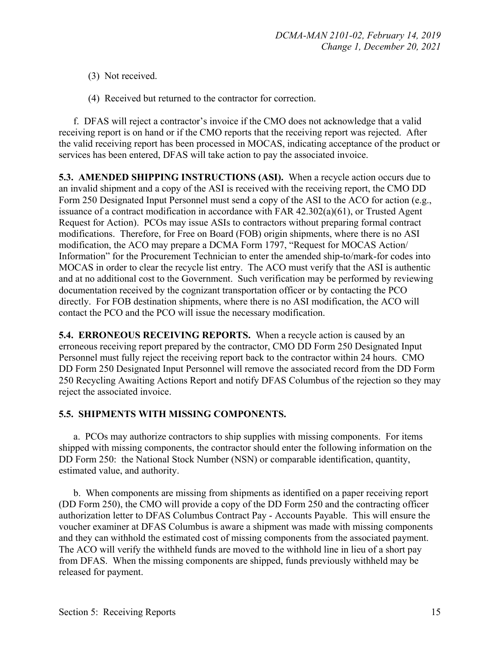(3) Not received.

(4) Received but returned to the contractor for correction.

f. DFAS will reject a contractor's invoice if the CMO does not acknowledge that a valid receiving report is on hand or if the CMO reports that the receiving report was rejected. After the valid receiving report has been processed in MOCAS, indicating acceptance of the product or services has been entered, DFAS will take action to pay the associated invoice.

**5.3. AMENDED SHIPPING INSTRUCTIONS (ASI).** When a recycle action occurs due to an invalid shipment and a copy of the ASI is received with the receiving report, the CMO DD Form 250 Designated Input Personnel must send a copy of the ASI to the ACO for action (e.g., issuance of a contract modification in accordance with FAR 42.302(a)(61), or Trusted Agent Request for Action). PCOs may issue ASIs to contractors without preparing formal contract modifications. Therefore, for Free on Board (FOB) origin shipments, where there is no ASI modification, the ACO may prepare a DCMA Form 1797, "Request for MOCAS Action/ Information" for the Procurement Technician to enter the amended ship-to/mark-for codes into MOCAS in order to clear the recycle list entry. The ACO must verify that the ASI is authentic and at no additional cost to the Government. Such verification may be performed by reviewing documentation received by the cognizant transportation officer or by contacting the PCO directly. For FOB destination shipments, where there is no ASI modification, the ACO will contact the PCO and the PCO will issue the necessary modification.

**5.4. ERRONEOUS RECEIVING REPORTS.** When a recycle action is caused by an erroneous receiving report prepared by the contractor, CMO DD Form 250 Designated Input Personnel must fully reject the receiving report back to the contractor within 24 hours. CMO DD Form 250 Designated Input Personnel will remove the associated record from the DD Form 250 Recycling Awaiting Actions Report and notify DFAS Columbus of the rejection so they may reject the associated invoice.

#### **5.5. SHIPMENTS WITH MISSING COMPONENTS.**

a. PCOs may authorize contractors to ship supplies with missing components. For items shipped with missing components, the contractor should enter the following information on the DD Form 250: the National Stock Number (NSN) or comparable identification, quantity, estimated value, and authority.

b. When components are missing from shipments as identified on a paper receiving report (DD Form 250), the CMO will provide a copy of the DD Form 250 and the contracting officer authorization letter to DFAS Columbus Contract Pay - Accounts Payable. This will ensure the voucher examiner at DFAS Columbus is aware a shipment was made with missing components and they can withhold the estimated cost of missing components from the associated payment. The ACO will verify the withheld funds are moved to the withhold line in lieu of a short pay from DFAS. When the missing components are shipped, funds previously withheld may be released for payment.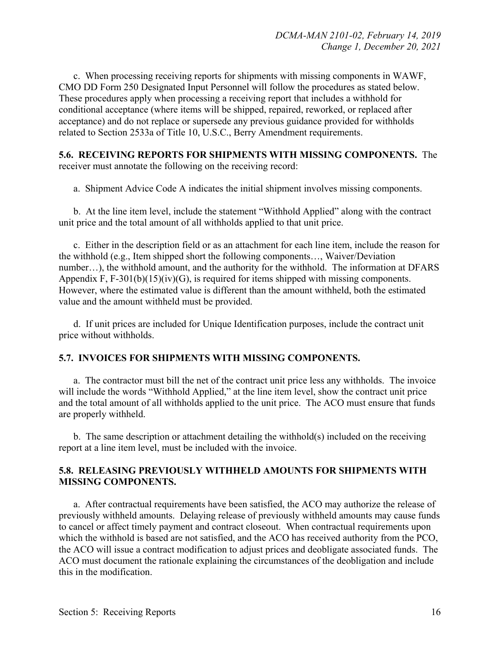c. When processing receiving reports for shipments with missing components in WAWF, CMO DD Form 250 Designated Input Personnel will follow the procedures as stated below. These procedures apply when processing a receiving report that includes a withhold for conditional acceptance (where items will be shipped, repaired, reworked, or replaced after acceptance) and do not replace or supersede any previous guidance provided for withholds related to Section 2533a of Title 10, U.S.C., Berry Amendment requirements.

#### **5.6. RECEIVING REPORTS FOR SHIPMENTS WITH MISSING COMPONENTS.** The receiver must annotate the following on the receiving record:

a. Shipment Advice Code A indicates the initial shipment involves missing components.

b. At the line item level, include the statement "Withhold Applied" along with the contract unit price and the total amount of all withholds applied to that unit price.

c. Either in the description field or as an attachment for each line item, include the reason for the withhold (e.g., Item shipped short the following components…, Waiver/Deviation number…), the withhold amount, and the authority for the withhold. The information at DFARS Appendix F, F-301(b)(15)(iv)(G), is required for items shipped with missing components. However, where the estimated value is different than the amount withheld, both the estimated value and the amount withheld must be provided.

d. If unit prices are included for Unique Identification purposes, include the contract unit price without withholds.

#### **5.7. INVOICES FOR SHIPMENTS WITH MISSING COMPONENTS.**

a. The contractor must bill the net of the contract unit price less any withholds. The invoice will include the words "Withhold Applied," at the line item level, show the contract unit price and the total amount of all withholds applied to the unit price. The ACO must ensure that funds are properly withheld.

b. The same description or attachment detailing the withhold(s) included on the receiving report at a line item level, must be included with the invoice.

#### **5.8. RELEASING PREVIOUSLY WITHHELD AMOUNTS FOR SHIPMENTS WITH MISSING COMPONENTS.**

a. After contractual requirements have been satisfied, the ACO may authorize the release of previously withheld amounts. Delaying release of previously withheld amounts may cause funds to cancel or affect timely payment and contract closeout. When contractual requirements upon which the withhold is based are not satisfied, and the ACO has received authority from the PCO, the ACO will issue a contract modification to adjust prices and deobligate associated funds. The ACO must document the rationale explaining the circumstances of the deobligation and include this in the modification.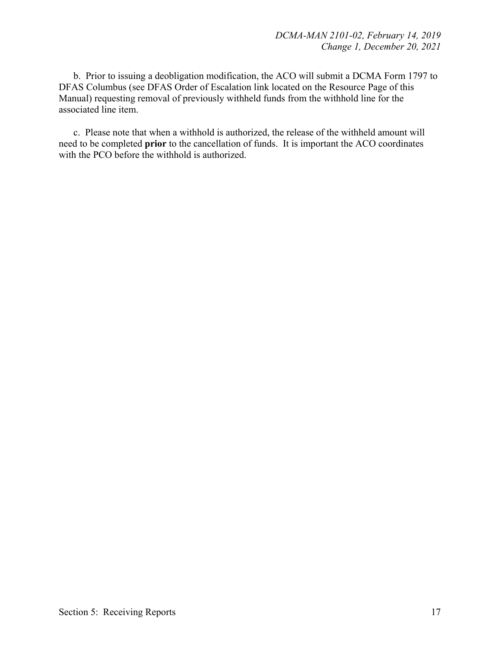b. Prior to issuing a deobligation modification, the ACO will submit a DCMA Form 1797 to DFAS Columbus (see DFAS Order of Escalation link located on the Resource Page of this Manual) requesting removal of previously withheld funds from the withhold line for the associated line item.

c. Please note that when a withhold is authorized, the release of the withheld amount will need to be completed **prior** to the cancellation of funds. It is important the ACO coordinates with the PCO before the withhold is authorized.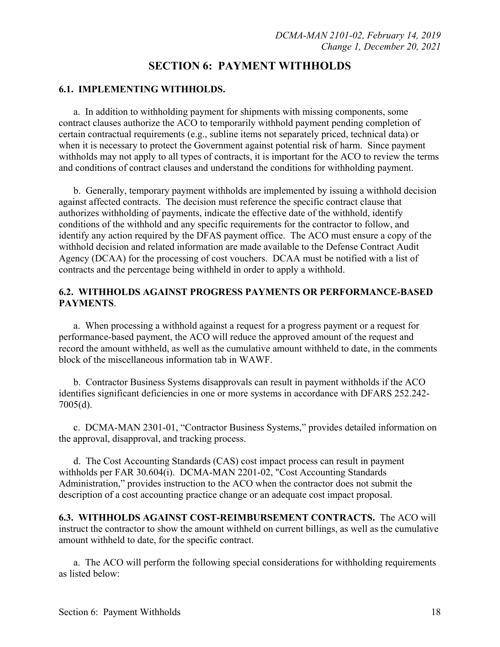#### **SECTION 6: PAYMENT WITHHOLDS**

#### **6.1. IMPLEMENTING WITHHOLDS.**

a. In addition to withholding payment for shipments with missing components, some contract clauses authorize the ACO to temporarily withhold payment pending completion of certain contractual requirements (e.g., subline items not separately priced, technical data) or when it is necessary to protect the Government against potential risk of harm. Since payment withholds may not apply to all types of contracts, it is important for the ACO to review the terms and conditions of contract clauses and understand the conditions for withholding payment.

b. Generally, temporary payment withholds are implemented by issuing a withhold decision against affected contracts. The decision must reference the specific contract clause that authorizes withholding of payments, indicate the effective date of the withhold, identify conditions of the withhold and any specific requirements for the contractor to follow, and identify any action required by the DFAS payment office. The ACO must ensure a copy of the withhold decision and related information are made available to the Defense Contract Audit Agency (DCAA) for the processing of cost vouchers. DCAA must be notified with a list of contracts and the percentage being withheld in order to apply a withhold.

#### **6.2. WITHHOLDS AGAINST PROGRESS PAYMENTS OR PERFORMANCE-BASED PAYMENTS**.

a. When processing a withhold against a request for a progress payment or a request for performance-based payment, the ACO will reduce the approved amount of the request and record the amount withheld, as well as the cumulative amount withheld to date, in the comments block of the miscellaneous information tab in WAWF.

b. Contractor Business Systems disapprovals can result in payment withholds if the ACO identifies significant deficiencies in one or more systems in accordance with DFARS 252.242- 7005(d).

c. DCMA-MAN 2301-01, "Contractor Business Systems," provides detailed information on the approval, disapproval, and tracking process.

d. The Cost Accounting Standards (CAS) cost impact process can result in payment withholds per FAR 30.604(i). DCMA-MAN 2201-02, "Cost Accounting Standards Administration," provides instruction to the ACO when the contractor does not submit the description of a cost accounting practice change or an adequate cost impact proposal.

**6.3. WITHHOLDS AGAINST COST-REIMBURSEMENT CONTRACTS.** The ACO will instruct the contractor to show the amount withheld on current billings, as well as the cumulative amount withheld to date, for the specific contract.

a. The ACO will perform the following special considerations for withholding requirements as listed below: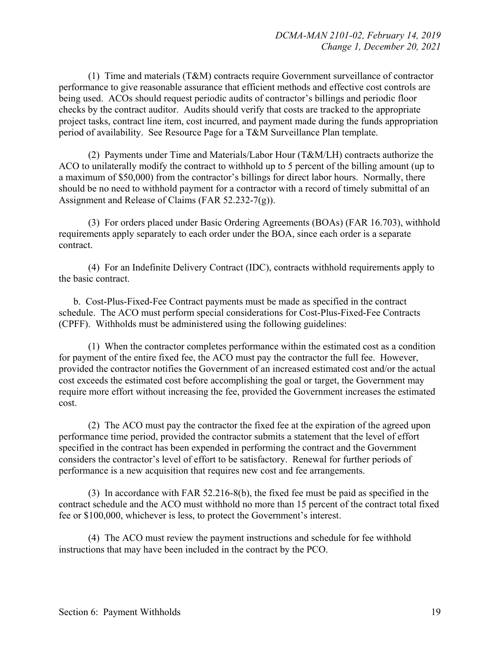(1) Time and materials (T&M) contracts require Government surveillance of contractor performance to give reasonable assurance that efficient methods and effective cost controls are being used. ACOs should request periodic audits of contractor's billings and periodic floor checks by the contract auditor. Audits should verify that costs are tracked to the appropriate project tasks, contract line item, cost incurred, and payment made during the funds appropriation period of availability. See Resource Page for a T&M Surveillance Plan template.

(2) Payments under Time and Materials/Labor Hour (T&M/LH) contracts authorize the ACO to unilaterally modify the contract to withhold up to 5 percent of the billing amount (up to a maximum of \$50,000) from the contractor's billings for direct labor hours. Normally, there should be no need to withhold payment for a contractor with a record of timely submittal of an Assignment and Release of Claims (FAR 52.232-7(g)).

(3) For orders placed under Basic Ordering Agreements (BOAs) (FAR 16.703), withhold requirements apply separately to each order under the BOA, since each order is a separate contract.

(4) For an Indefinite Delivery Contract (IDC), contracts withhold requirements apply to the basic contract.

b. Cost-Plus-Fixed-Fee Contract payments must be made as specified in the contract schedule. The ACO must perform special considerations for Cost-Plus-Fixed-Fee Contracts (CPFF). Withholds must be administered using the following guidelines:

(1) When the contractor completes performance within the estimated cost as a condition for payment of the entire fixed fee, the ACO must pay the contractor the full fee. However, provided the contractor notifies the Government of an increased estimated cost and/or the actual cost exceeds the estimated cost before accomplishing the goal or target, the Government may require more effort without increasing the fee, provided the Government increases the estimated cost.

(2) The ACO must pay the contractor the fixed fee at the expiration of the agreed upon performance time period, provided the contractor submits a statement that the level of effort specified in the contract has been expended in performing the contract and the Government considers the contractor's level of effort to be satisfactory. Renewal for further periods of performance is a new acquisition that requires new cost and fee arrangements.

(3) In accordance with FAR 52.216-8(b), the fixed fee must be paid as specified in the contract schedule and the ACO must withhold no more than 15 percent of the contract total fixed fee or \$100,000, whichever is less, to protect the Government's interest.

(4) The ACO must review the payment instructions and schedule for fee withhold instructions that may have been included in the contract by the PCO.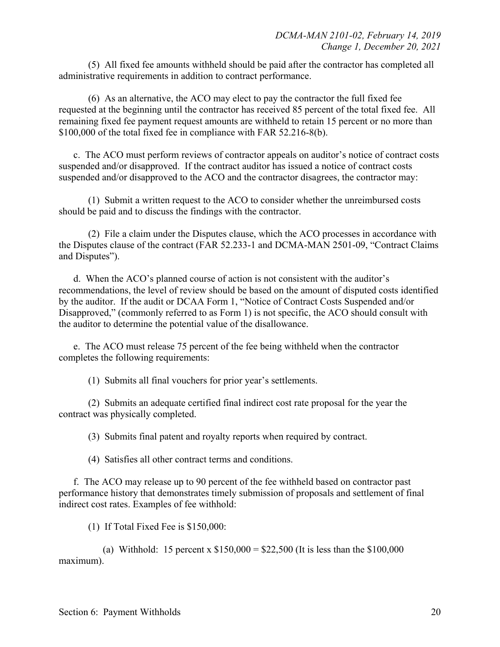(5) All fixed fee amounts withheld should be paid after the contractor has completed all administrative requirements in addition to contract performance.

(6) As an alternative, the ACO may elect to pay the contractor the full fixed fee requested at the beginning until the contractor has received 85 percent of the total fixed fee. All remaining fixed fee payment request amounts are withheld to retain 15 percent or no more than \$100,000 of the total fixed fee in compliance with FAR 52.216-8(b).

c. The ACO must perform reviews of contractor appeals on auditor's notice of contract costs suspended and/or disapproved. If the contract auditor has issued a notice of contract costs suspended and/or disapproved to the ACO and the contractor disagrees, the contractor may:

(1) Submit a written request to the ACO to consider whether the unreimbursed costs should be paid and to discuss the findings with the contractor.

(2) File a claim under the Disputes clause, which the ACO processes in accordance with the Disputes clause of the contract (FAR 52.233-1 and DCMA-MAN 2501-09, "Contract Claims and Disputes").

d. When the ACO's planned course of action is not consistent with the auditor's recommendations, the level of review should be based on the amount of disputed costs identified by the auditor. If the audit or DCAA Form 1, "Notice of Contract Costs Suspended and/or Disapproved," (commonly referred to as Form 1) is not specific, the ACO should consult with the auditor to determine the potential value of the disallowance.

e. The ACO must release 75 percent of the fee being withheld when the contractor completes the following requirements:

(1) Submits all final vouchers for prior year's settlements.

(2) Submits an adequate certified final indirect cost rate proposal for the year the contract was physically completed.

(3) Submits final patent and royalty reports when required by contract.

(4) Satisfies all other contract terms and conditions.

f. The ACO may release up to 90 percent of the fee withheld based on contractor past performance history that demonstrates timely submission of proposals and settlement of final indirect cost rates. Examples of fee withhold:

(1) If Total Fixed Fee is \$150,000:

(a) Withhold: 15 percent x  $$150,000 = $22,500$  (It is less than the  $$100,000$ maximum).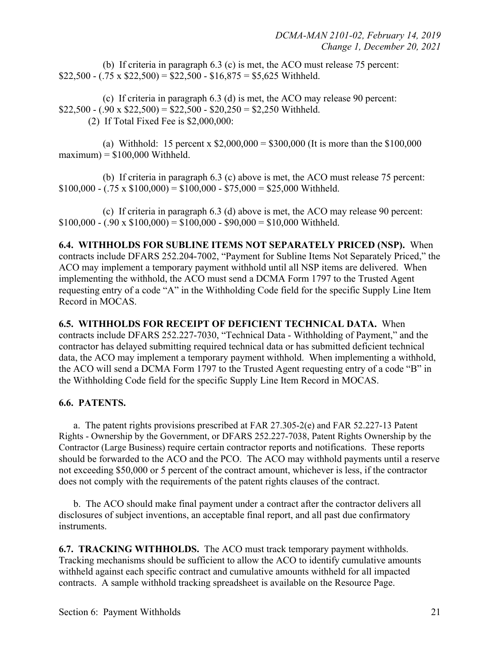(b) If criteria in paragraph 6.3 (c) is met, the ACO must release 75 percent:  $$22,500 - (.75 \times $22,500) = $22,500 - $16,875 = $5,625 \text{ Withheld.}$ 

(c) If criteria in paragraph 6.3 (d) is met, the ACO may release 90 percent:  $$22,500 - (.90 \times $22,500) = $22,500 - $20,250 = $2,250$  Withheld. (2) If Total Fixed Fee is \$2,000,000:

(a) Withhold: 15 percent x  $$2,000,000 = $300,000$  (It is more than the \$100,000  $maximum$ ) = \$100,000 Withheld.

(b) If criteria in paragraph 6.3 (c) above is met, the ACO must release 75 percent:  $$100,000 - (.75 \times $100,000) = $100,000 - $75,000 = $25,000$  Withheld.

(c) If criteria in paragraph 6.3 (d) above is met, the ACO may release 90 percent:  $$100,000 - (.90 \times $100,000) = $100,000 - $90,000 = $10,000$  Withheld.

**6.4. WITHHOLDS FOR SUBLINE ITEMS NOT SEPARATELY PRICED (NSP).** When contracts include DFARS 252.204-7002, "Payment for Subline Items Not Separately Priced," the ACO may implement a temporary payment withhold until all NSP items are delivered. When implementing the withhold, the ACO must send a DCMA Form 1797 to the Trusted Agent requesting entry of a code "A" in the Withholding Code field for the specific Supply Line Item Record in MOCAS.

**6.5. WITHHOLDS FOR RECEIPT OF DEFICIENT TECHNICAL DATA.** When contracts include DFARS 252.227-7030, "Technical Data - Withholding of Payment," and the contractor has delayed submitting required technical data or has submitted deficient technical data, the ACO may implement a temporary payment withhold. When implementing a withhold, the ACO will send a DCMA Form 1797 to the Trusted Agent requesting entry of a code "B" in the Withholding Code field for the specific Supply Line Item Record in MOCAS.

#### **6.6. PATENTS.**

a. The patent rights provisions prescribed at FAR 27.305-2(e) and FAR 52.227-13 Patent Rights - Ownership by the Government, or DFARS 252.227-7038, Patent Rights Ownership by the Contractor (Large Business) require certain contractor reports and notifications. These reports should be forwarded to the ACO and the PCO. The ACO may withhold payments until a reserve not exceeding \$50,000 or 5 percent of the contract amount, whichever is less, if the contractor does not comply with the requirements of the patent rights clauses of the contract.

b. The ACO should make final payment under a contract after the contractor delivers all disclosures of subject inventions, an acceptable final report, and all past due confirmatory instruments.

**6.7. TRACKING WITHHOLDS.** The ACO must track temporary payment withholds. Tracking mechanisms should be sufficient to allow the ACO to identify cumulative amounts withheld against each specific contract and cumulative amounts withheld for all impacted contracts. A sample withhold tracking spreadsheet is available on the Resource Page.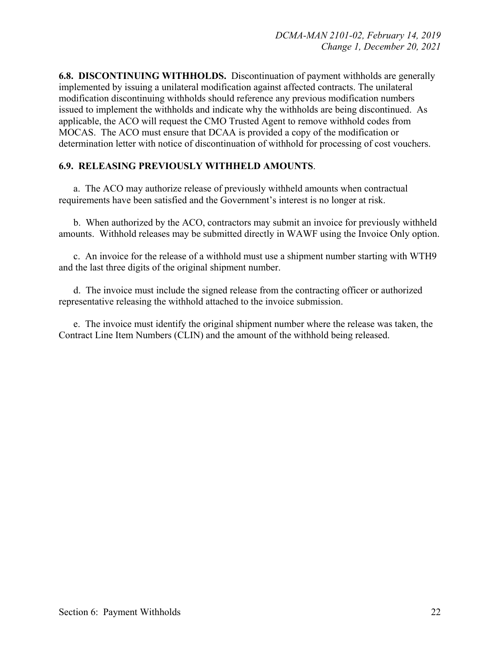**6.8. DISCONTINUING WITHHOLDS.** Discontinuation of payment withholds are generally implemented by issuing a unilateral modification against affected contracts. The unilateral modification discontinuing withholds should reference any previous modification numbers issued to implement the withholds and indicate why the withholds are being discontinued. As applicable, the ACO will request the CMO Trusted Agent to remove withhold codes from MOCAS. The ACO must ensure that DCAA is provided a copy of the modification or determination letter with notice of discontinuation of withhold for processing of cost vouchers.

#### **6.9. RELEASING PREVIOUSLY WITHHELD AMOUNTS**.

a. The ACO may authorize release of previously withheld amounts when contractual requirements have been satisfied and the Government's interest is no longer at risk.

b. When authorized by the ACO, contractors may submit an invoice for previously withheld amounts. Withhold releases may be submitted directly in WAWF using the Invoice Only option.

c. An invoice for the release of a withhold must use a shipment number starting with WTH9 and the last three digits of the original shipment number.

d. The invoice must include the signed release from the contracting officer or authorized representative releasing the withhold attached to the invoice submission.

e. The invoice must identify the original shipment number where the release was taken, the Contract Line Item Numbers (CLIN) and the amount of the withhold being released.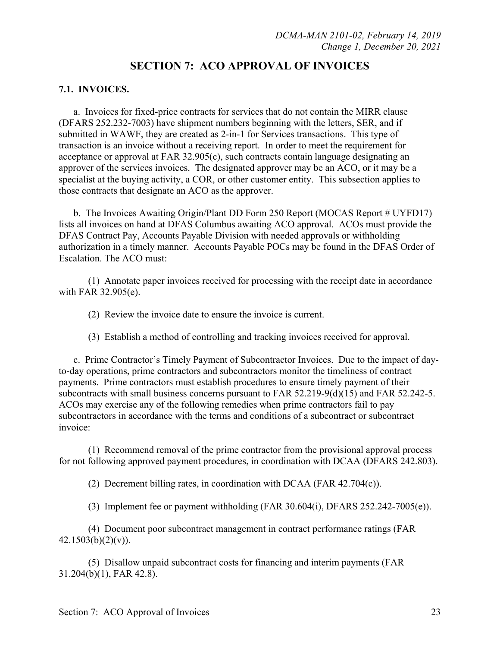## **SECTION 7: ACO APPROVAL OF INVOICES**

#### **7.1. INVOICES.**

a. Invoices for fixed-price contracts for services that do not contain the MIRR clause (DFARS 252.232-7003) have shipment numbers beginning with the letters, SER, and if submitted in WAWF, they are created as 2-in-1 for Services transactions. This type of transaction is an invoice without a receiving report. In order to meet the requirement for acceptance or approval at FAR  $32.905(c)$ , such contracts contain language designating an approver of the services invoices. The designated approver may be an ACO, or it may be a specialist at the buying activity, a COR, or other customer entity. This subsection applies to those contracts that designate an ACO as the approver.

b. The Invoices Awaiting Origin/Plant DD Form 250 Report (MOCAS Report # UYFD17) lists all invoices on hand at DFAS Columbus awaiting ACO approval. ACOs must provide the DFAS Contract Pay, Accounts Payable Division with needed approvals or withholding authorization in a timely manner. Accounts Payable POCs may be found in the DFAS Order of Escalation. The ACO must:

(1) Annotate paper invoices received for processing with the receipt date in accordance with FAR 32.905(e).

(2) Review the invoice date to ensure the invoice is current.

(3) Establish a method of controlling and tracking invoices received for approval.

c. Prime Contractor's Timely Payment of Subcontractor Invoices. Due to the impact of dayto-day operations, prime contractors and subcontractors monitor the timeliness of contract payments. Prime contractors must establish procedures to ensure timely payment of their subcontracts with small business concerns pursuant to FAR 52.219-9(d)(15) and FAR 52.242-5. ACOs may exercise any of the following remedies when prime contractors fail to pay subcontractors in accordance with the terms and conditions of a subcontract or subcontract invoice:

(1) Recommend removal of the prime contractor from the provisional approval process for not following approved payment procedures, in coordination with DCAA (DFARS 242.803).

(2) Decrement billing rates, in coordination with DCAA (FAR 42.704(c)).

(3) Implement fee or payment withholding (FAR 30.604(i), DFARS 252.242-7005(e)).

(4) Document poor subcontract management in contract performance ratings (FAR  $42.1503(b)(2)(v)$ ).

(5) Disallow unpaid subcontract costs for financing and interim payments (FAR 31.204(b)(1), FAR 42.8).

Section 7: ACO Approval of Invoices 23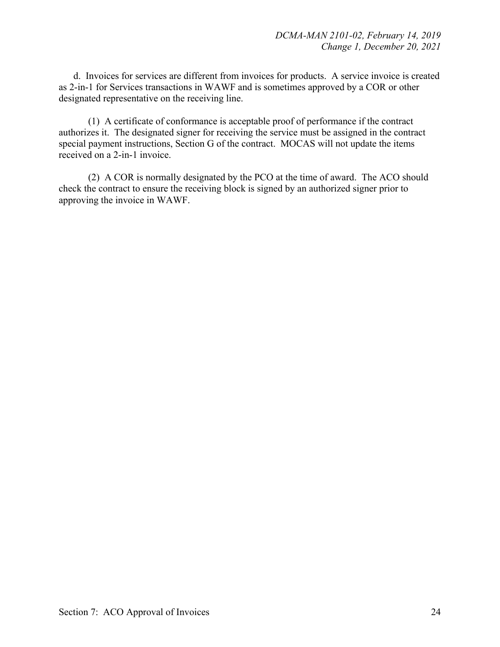d. Invoices for services are different from invoices for products. A service invoice is created as 2-in-1 for Services transactions in WAWF and is sometimes approved by a COR or other designated representative on the receiving line.

(1) A certificate of conformance is acceptable proof of performance if the contract authorizes it. The designated signer for receiving the service must be assigned in the contract special payment instructions, Section G of the contract. MOCAS will not update the items received on a 2-in-1 invoice.

(2) A COR is normally designated by the PCO at the time of award. The ACO should check the contract to ensure the receiving block is signed by an authorized signer prior to approving the invoice in WAWF.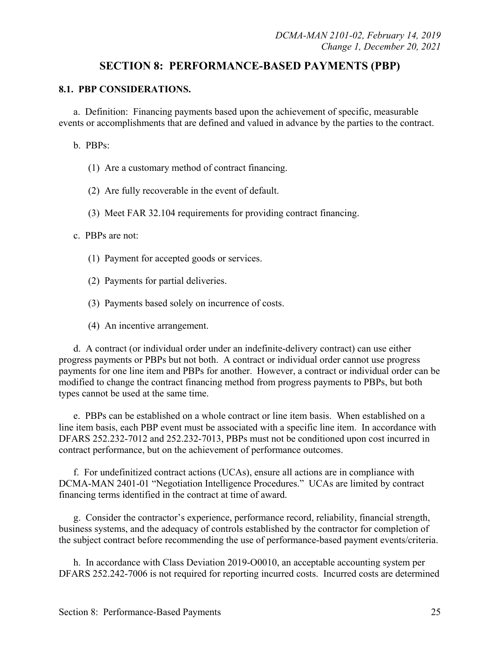## **SECTION 8: PERFORMANCE-BASED PAYMENTS (PBP)**

#### **8.1. PBP CONSIDERATIONS.**

a. Definition: Financing payments based upon the achievement of specific, measurable events or accomplishments that are defined and valued in advance by the parties to the contract.

b. PBPs:

- (1) Are a customary method of contract financing.
- (2) Are fully recoverable in the event of default.
- (3) Meet FAR 32.104 requirements for providing contract financing.

#### c. PBPs are not:

- (1) Payment for accepted goods or services.
- (2) Payments for partial deliveries.
- (3) Payments based solely on incurrence of costs.
- (4) An incentive arrangement.

d. A contract (or individual order under an indefinite-delivery contract) can use either progress payments or PBPs but not both. A contract or individual order cannot use progress payments for one line item and PBPs for another. However, a contract or individual order can be modified to change the contract financing method from progress payments to PBPs, but both types cannot be used at the same time.

e. PBPs can be established on a whole contract or line item basis. When established on a line item basis, each PBP event must be associated with a specific line item. In accordance with DFARS 252.232-7012 and 252.232-7013, PBPs must not be conditioned upon cost incurred in contract performance, but on the achievement of performance outcomes.

f. For undefinitized contract actions (UCAs), ensure all actions are in compliance with DCMA-MAN 2401-01 "Negotiation Intelligence Procedures." UCAs are limited by contract financing terms identified in the contract at time of award.

g. Consider the contractor's experience, performance record, reliability, financial strength, business systems, and the adequacy of controls established by the contractor for completion of the subject contract before recommending the use of performance-based payment events/criteria.

h. In accordance with Class Deviation 2019-O0010, an acceptable accounting system per DFARS 252.242-7006 is not required for reporting incurred costs. Incurred costs are determined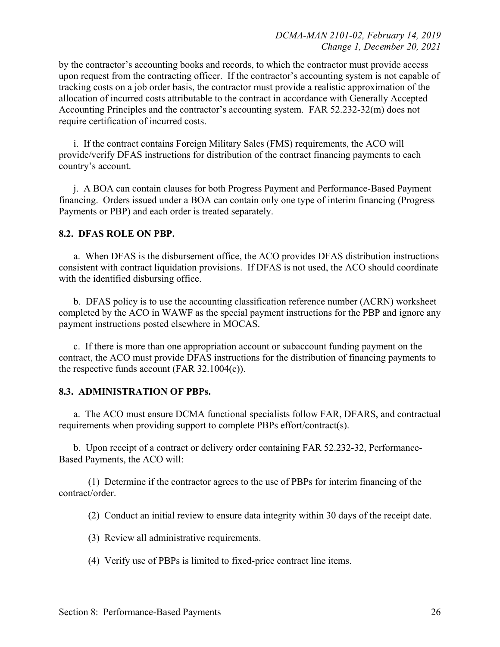by the contractor's accounting books and records, to which the contractor must provide access upon request from the contracting officer. If the contractor's accounting system is not capable of tracking costs on a job order basis, the contractor must provide a realistic approximation of the allocation of incurred costs attributable to the contract in accordance with Generally Accepted Accounting Principles and the contractor's accounting system. FAR 52.232-32(m) does not require certification of incurred costs.

i. If the contract contains Foreign Military Sales (FMS) requirements, the ACO will provide/verify DFAS instructions for distribution of the contract financing payments to each country's account.

j. A BOA can contain clauses for both Progress Payment and Performance-Based Payment financing. Orders issued under a BOA can contain only one type of interim financing (Progress Payments or PBP) and each order is treated separately.

#### **8.2. DFAS ROLE ON PBP.**

a. When DFAS is the disbursement office, the ACO provides DFAS distribution instructions consistent with contract liquidation provisions. If DFAS is not used, the ACO should coordinate with the identified disbursing office.

b. DFAS policy is to use the accounting classification reference number (ACRN) worksheet completed by the ACO in WAWF as the special payment instructions for the PBP and ignore any payment instructions posted elsewhere in MOCAS.

c. If there is more than one appropriation account or subaccount funding payment on the contract, the ACO must provide DFAS instructions for the distribution of financing payments to the respective funds account (FAR 32.1004(c)).

#### **8.3. ADMINISTRATION OF PBPs.**

a. The ACO must ensure DCMA functional specialists follow FAR, DFARS, and contractual requirements when providing support to complete PBPs effort/contract(s).

b. Upon receipt of a contract or delivery order containing FAR 52.232-32, Performance-Based Payments, the ACO will:

(1) Determine if the contractor agrees to the use of PBPs for interim financing of the contract/order.

(2) Conduct an initial review to ensure data integrity within 30 days of the receipt date.

- (3) Review all administrative requirements.
- (4) Verify use of PBPs is limited to fixed-price contract line items.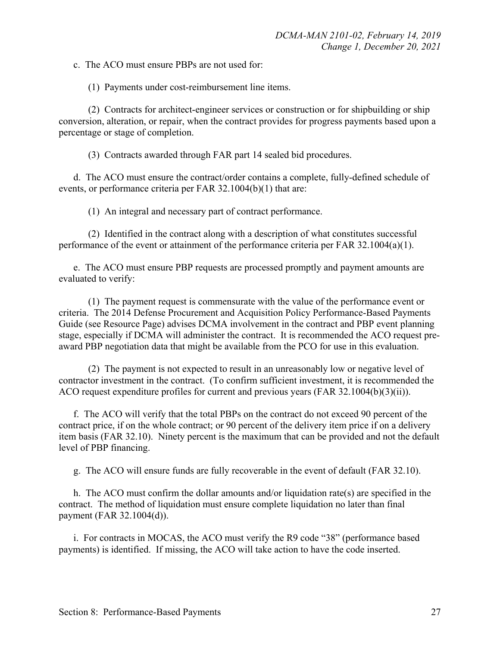c. The ACO must ensure PBPs are not used for:

(1) Payments under cost-reimbursement line items.

(2) Contracts for architect-engineer services or construction or for shipbuilding or ship conversion, alteration, or repair, when the contract provides for progress payments based upon a percentage or stage of completion.

(3) Contracts awarded through FAR part 14 sealed bid procedures.

d. The ACO must ensure the contract/order contains a complete, fully-defined schedule of events, or performance criteria per FAR 32.1004(b)(1) that are:

(1) An integral and necessary part of contract performance.

(2) Identified in the contract along with a description of what constitutes successful performance of the event or attainment of the performance criteria per FAR  $32.1004(a)(1)$ .

e. The ACO must ensure PBP requests are processed promptly and payment amounts are evaluated to verify:

(1) The payment request is commensurate with the value of the performance event or criteria. The 2014 Defense Procurement and Acquisition Policy Performance-Based Payments Guide (see Resource Page) advises DCMA involvement in the contract and PBP event planning stage, especially if DCMA will administer the contract. It is recommended the ACO request preaward PBP negotiation data that might be available from the PCO for use in this evaluation.

(2) The payment is not expected to result in an unreasonably low or negative level of contractor investment in the contract. (To confirm sufficient investment, it is recommended the ACO request expenditure profiles for current and previous years (FAR 32.1004(b)(3)(ii)).

f. The ACO will verify that the total PBPs on the contract do not exceed 90 percent of the contract price, if on the whole contract; or 90 percent of the delivery item price if on a delivery item basis (FAR 32.10). Ninety percent is the maximum that can be provided and not the default level of PBP financing.

g. The ACO will ensure funds are fully recoverable in the event of default (FAR 32.10).

h. The ACO must confirm the dollar amounts and/or liquidation rate(s) are specified in the contract. The method of liquidation must ensure complete liquidation no later than final payment (FAR 32.1004(d)).

i. For contracts in MOCAS, the ACO must verify the R9 code "38" (performance based payments) is identified. If missing, the ACO will take action to have the code inserted.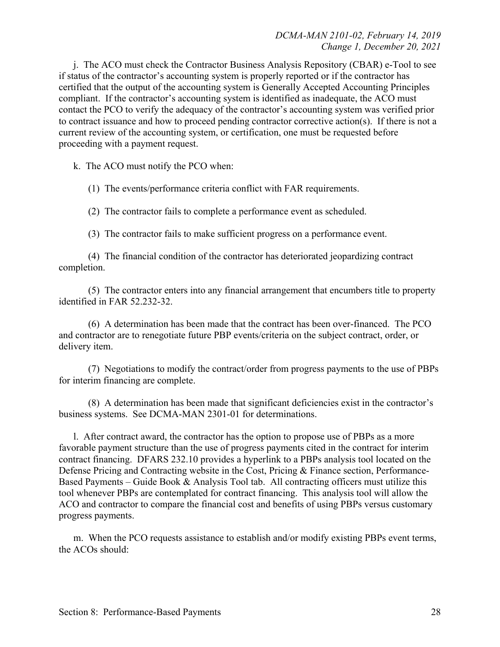j. The ACO must check the Contractor Business Analysis Repository (CBAR) e-Tool to see if status of the contractor's accounting system is properly reported or if the contractor has certified that the output of the accounting system is Generally Accepted Accounting Principles compliant. If the contractor's accounting system is identified as inadequate, the ACO must contact the PCO to verify the adequacy of the contractor's accounting system was verified prior to contract issuance and how to proceed pending contractor corrective action(s). If there is not a current review of the accounting system, or certification, one must be requested before proceeding with a payment request.

k. The ACO must notify the PCO when:

(1) The events/performance criteria conflict with FAR requirements.

(2) The contractor fails to complete a performance event as scheduled.

(3) The contractor fails to make sufficient progress on a performance event.

(4) The financial condition of the contractor has deteriorated jeopardizing contract completion.

(5) The contractor enters into any financial arrangement that encumbers title to property identified in FAR 52.232-32.

(6) A determination has been made that the contract has been over-financed. The PCO and contractor are to renegotiate future PBP events/criteria on the subject contract, order, or delivery item.

(7) Negotiations to modify the contract/order from progress payments to the use of PBPs for interim financing are complete.

(8) A determination has been made that significant deficiencies exist in the contractor's business systems. See DCMA-MAN 2301-01 for determinations.

l. After contract award, the contractor has the option to propose use of PBPs as a more favorable payment structure than the use of progress payments cited in the contract for interim contract financing. DFARS 232.10 provides a hyperlink to a PBPs analysis tool located on the Defense Pricing and Contracting website in the Cost, Pricing & Finance section, Performance-Based Payments – Guide Book & Analysis Tool tab. All contracting officers must utilize this tool whenever PBPs are contemplated for contract financing. This analysis tool will allow the ACO and contractor to compare the financial cost and benefits of using PBPs versus customary progress payments.

m. When the PCO requests assistance to establish and/or modify existing PBPs event terms, the ACOs should: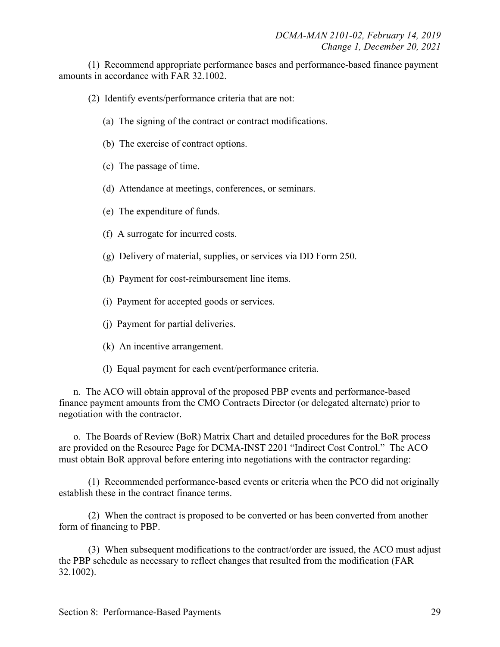(1) Recommend appropriate performance bases and performance-based finance payment amounts in accordance with FAR 32.1002.

(2) Identify events/performance criteria that are not:

- (a) The signing of the contract or contract modifications.
- (b) The exercise of contract options.
- (c) The passage of time.
- (d) Attendance at meetings, conferences, or seminars.
- (e) The expenditure of funds.
- (f) A surrogate for incurred costs.
- (g) Delivery of material, supplies, or services via DD Form 250.
- (h) Payment for cost-reimbursement line items.
- (i) Payment for accepted goods or services.
- (j) Payment for partial deliveries.
- (k) An incentive arrangement.
- (l) Equal payment for each event/performance criteria.

n. The ACO will obtain approval of the proposed PBP events and performance-based finance payment amounts from the CMO Contracts Director (or delegated alternate) prior to negotiation with the contractor.

o. The Boards of Review (BoR) Matrix Chart and detailed procedures for the BoR process are provided on the Resource Page for DCMA-INST 2201 "Indirect Cost Control." The ACO must obtain BoR approval before entering into negotiations with the contractor regarding:

(1) Recommended performance-based events or criteria when the PCO did not originally establish these in the contract finance terms.

(2) When the contract is proposed to be converted or has been converted from another form of financing to PBP.

(3) When subsequent modifications to the contract/order are issued, the ACO must adjust the PBP schedule as necessary to reflect changes that resulted from the modification (FAR 32.1002).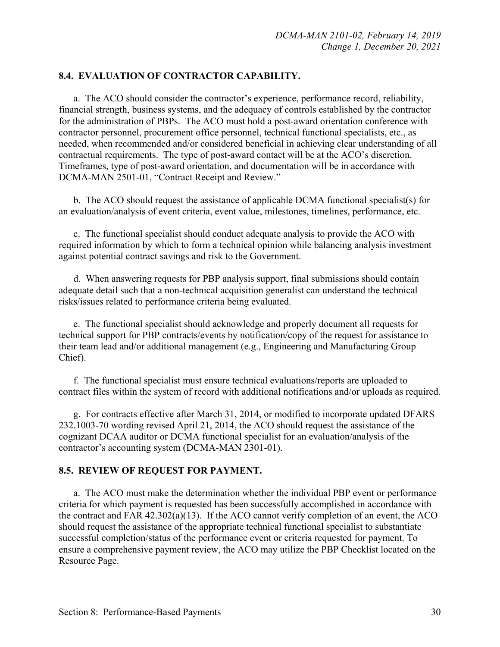#### **8.4. EVALUATION OF CONTRACTOR CAPABILITY.**

a. The ACO should consider the contractor's experience, performance record, reliability, financial strength, business systems, and the adequacy of controls established by the contractor for the administration of PBPs. The ACO must hold a post-award orientation conference with contractor personnel, procurement office personnel, technical functional specialists, etc., as needed, when recommended and/or considered beneficial in achieving clear understanding of all contractual requirements. The type of post-award contact will be at the ACO's discretion. Timeframes, type of post-award orientation, and documentation will be in accordance with DCMA-MAN 2501-01, "Contract Receipt and Review."

b. The ACO should request the assistance of applicable DCMA functional specialist(s) for an evaluation/analysis of event criteria, event value, milestones, timelines, performance, etc.

c. The functional specialist should conduct adequate analysis to provide the ACO with required information by which to form a technical opinion while balancing analysis investment against potential contract savings and risk to the Government.

d. When answering requests for PBP analysis support, final submissions should contain adequate detail such that a non-technical acquisition generalist can understand the technical risks/issues related to performance criteria being evaluated.

e. The functional specialist should acknowledge and properly document all requests for technical support for PBP contracts/events by notification/copy of the request for assistance to their team lead and/or additional management (e.g., Engineering and Manufacturing Group Chief).

f. The functional specialist must ensure technical evaluations/reports are uploaded to contract files within the system of record with additional notifications and/or uploads as required.

g. For contracts effective after March 31, 2014, or modified to incorporate updated DFARS 232.1003-70 wording revised April 21, 2014, the ACO should request the assistance of the cognizant DCAA auditor or DCMA functional specialist for an evaluation/analysis of the contractor's accounting system (DCMA-MAN 2301-01).

#### **8.5. REVIEW OF REQUEST FOR PAYMENT.**

a. The ACO must make the determination whether the individual PBP event or performance criteria for which payment is requested has been successfully accomplished in accordance with the contract and FAR 42.302(a)(13). If the ACO cannot verify completion of an event, the ACO should request the assistance of the appropriate technical functional specialist to substantiate successful completion/status of the performance event or criteria requested for payment. To ensure a comprehensive payment review, the ACO may utilize the PBP Checklist located on the Resource Page.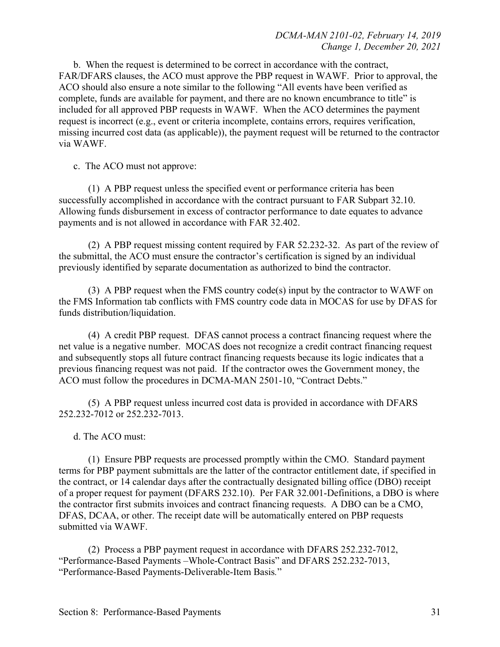b. When the request is determined to be correct in accordance with the contract, FAR/DFARS clauses, the ACO must approve the PBP request in WAWF. Prior to approval, the ACO should also ensure a note similar to the following "All events have been verified as complete, funds are available for payment, and there are no known encumbrance to title" is included for all approved PBP requests in WAWF. When the ACO determines the payment request is incorrect (e.g., event or criteria incomplete, contains errors, requires verification, missing incurred cost data (as applicable)), the payment request will be returned to the contractor via WAWF.

c. The ACO must not approve:

(1) A PBP request unless the specified event or performance criteria has been successfully accomplished in accordance with the contract pursuant to FAR Subpart 32.10. Allowing funds disbursement in excess of contractor performance to date equates to advance payments and is not allowed in accordance with FAR 32.402.

(2) A PBP request missing content required by FAR 52.232-32. As part of the review of the submittal, the ACO must ensure the contractor's certification is signed by an individual previously identified by separate documentation as authorized to bind the contractor.

(3) A PBP request when the FMS country code(s) input by the contractor to WAWF on the FMS Information tab conflicts with FMS country code data in MOCAS for use by DFAS for funds distribution/liquidation.

(4) A credit PBP request. DFAS cannot process a contract financing request where the net value is a negative number. MOCAS does not recognize a credit contract financing request and subsequently stops all future contract financing requests because its logic indicates that a previous financing request was not paid. If the contractor owes the Government money, the ACO must follow the procedures in DCMA-MAN 2501-10, "Contract Debts."

(5) A PBP request unless incurred cost data is provided in accordance with DFARS 252.232-7012 or 252.232-7013.

d. The ACO must:

(1) Ensure PBP requests are processed promptly within the CMO. Standard payment terms for PBP payment submittals are the latter of the contractor entitlement date, if specified in the contract, or 14 calendar days after the contractually designated billing office (DBO) receipt of a proper request for payment (DFARS 232.10). Per FAR 32.001-Definitions, a DBO is where the contractor first submits invoices and contract financing requests. A DBO can be a CMO, DFAS, DCAA, or other. The receipt date will be automatically entered on PBP requests submitted via WAWF.

(2) Process a PBP payment request in accordance with DFARS 252.232-7012, "Performance-Based Payments –Whole-Contract Basis" and DFARS 252.232-7013, "Performance-Based Payments-Deliverable-Item Basis*.*"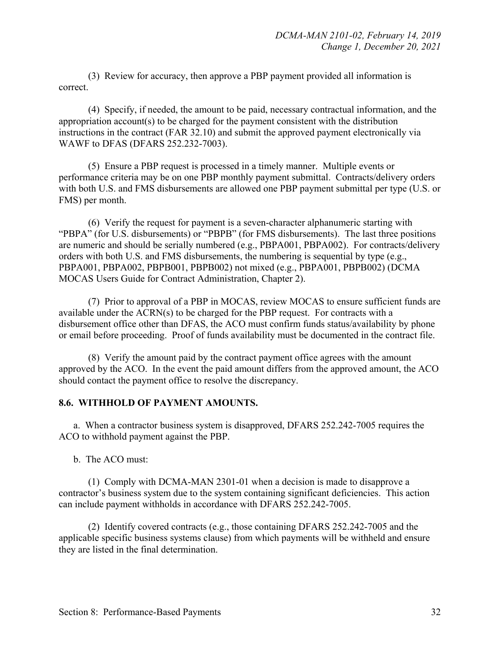(3) Review for accuracy, then approve a PBP payment provided all information is correct.

(4) Specify, if needed, the amount to be paid, necessary contractual information, and the appropriation account(s) to be charged for the payment consistent with the distribution instructions in the contract (FAR 32.10) and submit the approved payment electronically via WAWF to DFAS (DFARS 252.232-7003).

(5) Ensure a PBP request is processed in a timely manner. Multiple events or performance criteria may be on one PBP monthly payment submittal. Contracts/delivery orders with both U.S. and FMS disbursements are allowed one PBP payment submittal per type (U.S. or FMS) per month.

(6) Verify the request for payment is a seven-character alphanumeric starting with "PBPA" (for U.S. disbursements) or "PBPB" (for FMS disbursements). The last three positions are numeric and should be serially numbered (e.g., PBPA001, PBPA002). For contracts/delivery orders with both U.S. and FMS disbursements, the numbering is sequential by type (e.g., PBPA001, PBPA002, PBPB001, PBPB002) not mixed (e.g., PBPA001, PBPB002) (DCMA MOCAS Users Guide for Contract Administration, Chapter 2).

(7) Prior to approval of a PBP in MOCAS, review MOCAS to ensure sufficient funds are available under the ACRN(s) to be charged for the PBP request. For contracts with a disbursement office other than DFAS, the ACO must confirm funds status/availability by phone or email before proceeding. Proof of funds availability must be documented in the contract file.

(8) Verify the amount paid by the contract payment office agrees with the amount approved by the ACO. In the event the paid amount differs from the approved amount, the ACO should contact the payment office to resolve the discrepancy.

#### **8.6. WITHHOLD OF PAYMENT AMOUNTS.**

a. When a contractor business system is disapproved, DFARS 252.242-7005 requires the ACO to withhold payment against the PBP.

b. The ACO must:

(1) Comply with DCMA-MAN 2301-01 when a decision is made to disapprove a contractor's business system due to the system containing significant deficiencies. This action can include payment withholds in accordance with DFARS 252.242-7005.

(2) Identify covered contracts (e.g., those containing DFARS 252.242-7005 and the applicable specific business systems clause) from which payments will be withheld and ensure they are listed in the final determination.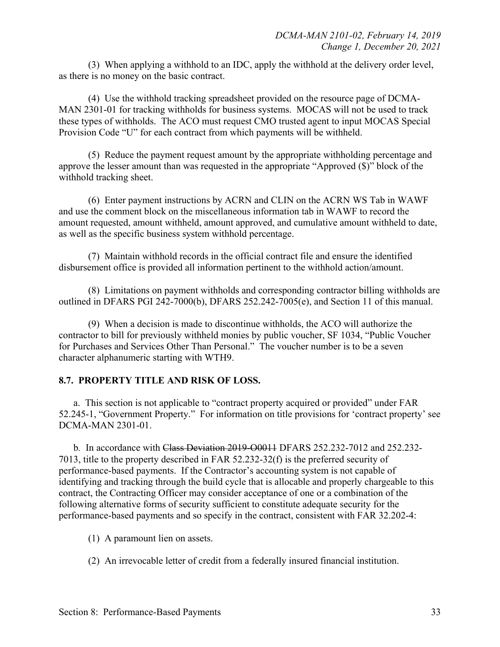(3) When applying a withhold to an IDC, apply the withhold at the delivery order level, as there is no money on the basic contract.

(4) Use the withhold tracking spreadsheet provided on the resource page of DCMA-MAN 2301-01 for tracking withholds for business systems. MOCAS will not be used to track these types of withholds. The ACO must request CMO trusted agent to input MOCAS Special Provision Code "U" for each contract from which payments will be withheld.

(5) Reduce the payment request amount by the appropriate withholding percentage and approve the lesser amount than was requested in the appropriate "Approved (\$)" block of the withhold tracking sheet.

(6) Enter payment instructions by ACRN and CLIN on the ACRN WS Tab in WAWF and use the comment block on the miscellaneous information tab in WAWF to record the amount requested, amount withheld, amount approved, and cumulative amount withheld to date, as well as the specific business system withhold percentage.

(7) Maintain withhold records in the official contract file and ensure the identified disbursement office is provided all information pertinent to the withhold action/amount.

(8) Limitations on payment withholds and corresponding contractor billing withholds are outlined in DFARS PGI 242-7000(b), DFARS 252.242-7005(e), and Section 11 of this manual.

(9) When a decision is made to discontinue withholds, the ACO will authorize the contractor to bill for previously withheld monies by public voucher, SF 1034, "Public Voucher for Purchases and Services Other Than Personal." The voucher number is to be a seven character alphanumeric starting with WTH9.

#### **8.7. PROPERTY TITLE AND RISK OF LOSS.**

a. This section is not applicable to "contract property acquired or provided" under FAR 52.245-1, "Government Property." For information on title provisions for 'contract property' see DCMA-MAN 2301-01.

b*.* In accordance with Class Deviation 2019-O0011 DFARS 252.232-7012 and 252.232- 7013, title to the property described in FAR 52.232-32(f) is the preferred security of performance-based payments. If the Contractor's accounting system is not capable of identifying and tracking through the build cycle that is allocable and properly chargeable to this contract, the Contracting Officer may consider acceptance of one or a combination of the following alternative forms of security sufficient to constitute adequate security for the performance-based payments and so specify in the contract, consistent with FAR 32.202-4:

- (1) A paramount lien on assets.
- (2) An irrevocable letter of credit from a federally insured financial institution.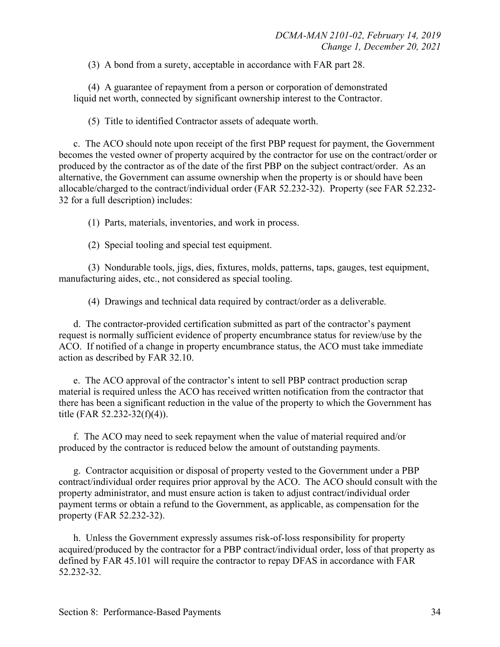(3) A bond from a surety, acceptable in accordance with FAR part 28.

(4) A guarantee of repayment from a person or corporation of demonstrated liquid net worth, connected by significant ownership interest to the Contractor.

(5) Title to identified Contractor assets of adequate worth.

c. The ACO should note upon receipt of the first PBP request for payment, the Government becomes the vested owner of property acquired by the contractor for use on the contract/order or produced by the contractor as of the date of the first PBP on the subject contract/order. As an alternative, the Government can assume ownership when the property is or should have been allocable/charged to the contract/individual order (FAR 52.232-32). Property (see FAR 52.232- 32 for a full description) includes:

(1) Parts, materials, inventories, and work in process.

(2) Special tooling and special test equipment.

(3) Nondurable tools, jigs, dies, fixtures, molds, patterns, taps, gauges, test equipment, manufacturing aides, etc., not considered as special tooling.

(4) Drawings and technical data required by contract/order as a deliverable.

d. The contractor-provided certification submitted as part of the contractor's payment request is normally sufficient evidence of property encumbrance status for review/use by the ACO. If notified of a change in property encumbrance status, the ACO must take immediate action as described by FAR 32.10.

e. The ACO approval of the contractor's intent to sell PBP contract production scrap material is required unless the ACO has received written notification from the contractor that there has been a significant reduction in the value of the property to which the Government has title (FAR 52.232-32(f)(4)).

f. The ACO may need to seek repayment when the value of material required and/or produced by the contractor is reduced below the amount of outstanding payments.

g. Contractor acquisition or disposal of property vested to the Government under a PBP contract/individual order requires prior approval by the ACO. The ACO should consult with the property administrator, and must ensure action is taken to adjust contract/individual order payment terms or obtain a refund to the Government, as applicable, as compensation for the property (FAR 52.232-32).

h. Unless the Government expressly assumes risk-of-loss responsibility for property acquired/produced by the contractor for a PBP contract/individual order, loss of that property as defined by FAR 45.101 will require the contractor to repay DFAS in accordance with FAR 52.232-32.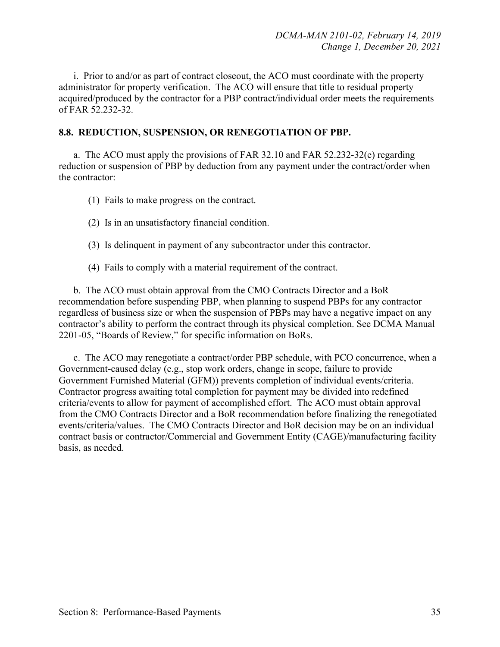i. Prior to and/or as part of contract closeout, the ACO must coordinate with the property administrator for property verification. The ACO will ensure that title to residual property acquired/produced by the contractor for a PBP contract/individual order meets the requirements of FAR 52.232-32.

#### **8.8. REDUCTION, SUSPENSION, OR RENEGOTIATION OF PBP.**

a. The ACO must apply the provisions of FAR 32.10 and FAR 52.232-32(e) regarding reduction or suspension of PBP by deduction from any payment under the contract/order when the contractor:

- (1) Fails to make progress on the contract.
- (2) Is in an unsatisfactory financial condition.
- (3) Is delinquent in payment of any subcontractor under this contractor.
- (4) Fails to comply with a material requirement of the contract.

b. The ACO must obtain approval from the CMO Contracts Director and a BoR recommendation before suspending PBP, when planning to suspend PBPs for any contractor regardless of business size or when the suspension of PBPs may have a negative impact on any contractor's ability to perform the contract through its physical completion. See DCMA Manual 2201-05, "Boards of Review," for specific information on BoRs.

c. The ACO may renegotiate a contract/order PBP schedule, with PCO concurrence, when a Government-caused delay (e.g., stop work orders, change in scope, failure to provide Government Furnished Material (GFM)) prevents completion of individual events/criteria. Contractor progress awaiting total completion for payment may be divided into redefined criteria/events to allow for payment of accomplished effort. The ACO must obtain approval from the CMO Contracts Director and a BoR recommendation before finalizing the renegotiated events/criteria/values. The CMO Contracts Director and BoR decision may be on an individual contract basis or contractor/Commercial and Government Entity (CAGE)/manufacturing facility basis, as needed.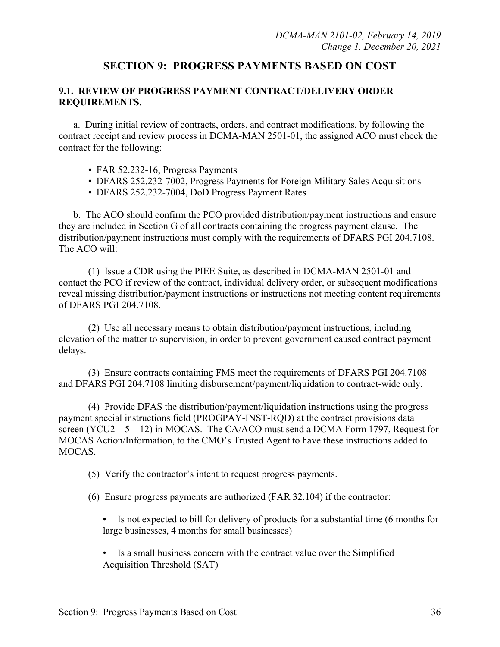# **SECTION 9: PROGRESS PAYMENTS BASED ON COST**

#### **9.1. REVIEW OF PROGRESS PAYMENT CONTRACT/DELIVERY ORDER REQUIREMENTS.**

a. During initial review of contracts, orders, and contract modifications, by following the contract receipt and review process in DCMA-MAN 2501-01, the assigned ACO must check the contract for the following:

- FAR 52.232-16, Progress Payments
- DFARS 252.232-7002, Progress Payments for Foreign Military Sales Acquisitions
- DFARS 252.232-7004, DoD Progress Payment Rates

b. The ACO should confirm the PCO provided distribution/payment instructions and ensure they are included in Section G of all contracts containing the progress payment clause. The distribution/payment instructions must comply with the requirements of DFARS PGI 204.7108. The ACO will:

(1) Issue a CDR using the PIEE Suite, as described in DCMA-MAN 2501-01 and contact the PCO if review of the contract, individual delivery order, or subsequent modifications reveal missing distribution/payment instructions or instructions not meeting content requirements of DFARS PGI 204.7108.

(2) Use all necessary means to obtain distribution/payment instructions, including elevation of the matter to supervision, in order to prevent government caused contract payment delays.

(3) Ensure contracts containing FMS meet the requirements of DFARS PGI 204.7108 and DFARS PGI 204.7108 limiting disbursement/payment/liquidation to contract-wide only.

(4) Provide DFAS the distribution/payment/liquidation instructions using the progress payment special instructions field (PROGPAY-INST-RQD) at the contract provisions data screen  $(YCU2 - 5 - 12)$  in MOCAS. The CA/ACO must send a DCMA Form 1797, Request for MOCAS Action/Information, to the CMO's Trusted Agent to have these instructions added to MOCAS.

(5) Verify the contractor's intent to request progress payments.

- (6) Ensure progress payments are authorized (FAR 32.104) if the contractor:
	- Is not expected to bill for delivery of products for a substantial time (6 months for large businesses, 4 months for small businesses)
	- Is a small business concern with the contract value over the Simplified Acquisition Threshold (SAT)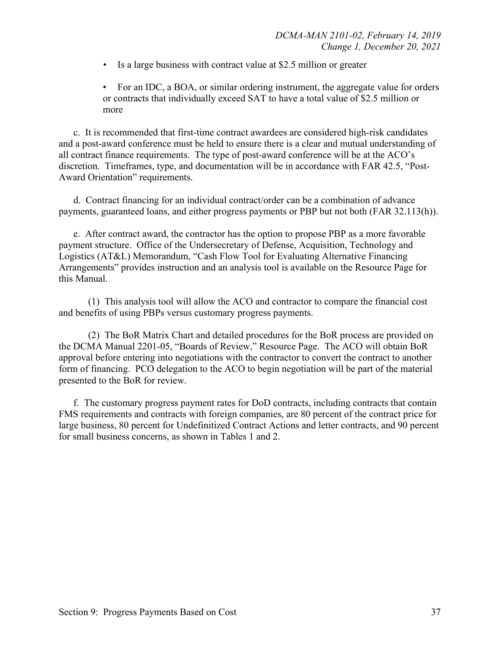- *•* Is a large business with contract value at \$2.5 million or greater
- For an IDC, a BOA, or similar ordering instrument, the aggregate value for orders or contracts that individually exceed SAT to have a total value of \$2.5 million or more

c. It is recommended that first-time contract awardees are considered high-risk candidates and a post-award conference must be held to ensure there is a clear and mutual understanding of all contract finance requirements. The type of post-award conference will be at the ACO's discretion. Timeframes, type, and documentation will be in accordance with FAR 42.5, "Post-Award Orientation" requirements.

d. Contract financing for an individual contract/order can be a combination of advance payments, guaranteed loans, and either progress payments or PBP but not both (FAR 32.113(h)).

e. After contract award, the contractor has the option to propose PBP as a more favorable payment structure. Office of the Undersecretary of Defense, Acquisition, Technology and Logistics (AT&L) Memorandum, "Cash Flow Tool for Evaluating Alternative Financing Arrangements" provides instruction and an analysis tool is available on the Resource Page for this Manual.

(1) This analysis tool will allow the ACO and contractor to compare the financial cost and benefits of using PBPs versus customary progress payments.

(2) The BoR Matrix Chart and detailed procedures for the BoR process are provided on the DCMA Manual 2201-05, "Boards of Review," Resource Page. The ACO will obtain BoR approval before entering into negotiations with the contractor to convert the contract to another form of financing. PCO delegation to the ACO to begin negotiation will be part of the material presented to the BoR for review.

f. The customary progress payment rates for DoD contracts, including contracts that contain FMS requirements and contracts with foreign companies, are 80 percent of the contract price for large business, 80 percent for Undefinitized Contract Actions and letter contracts, and 90 percent for small business concerns, as shown in Tables 1 and 2.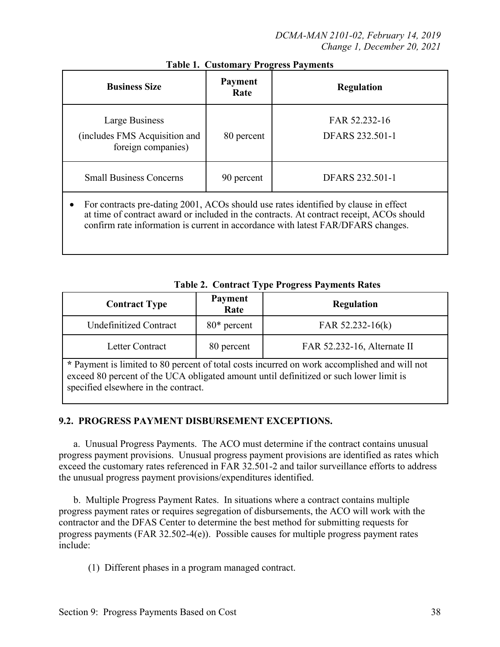#### *DCMA-MAN 2101-02, February 14, 2019 Change 1, December 20, 2021*

| <b>Business Size</b>                                                                                                                                                                                                                                                | <b>Payment</b><br>Rate | <b>Regulation</b>                |  |
|---------------------------------------------------------------------------------------------------------------------------------------------------------------------------------------------------------------------------------------------------------------------|------------------------|----------------------------------|--|
| Large Business<br>(includes FMS Acquisition and<br>foreign companies)                                                                                                                                                                                               | 80 percent             | FAR 52.232-16<br>DFARS 232.501-1 |  |
| <b>Small Business Concerns</b>                                                                                                                                                                                                                                      | 90 percent             | DFARS 232.501-1                  |  |
| For contracts pre-dating 2001, ACOs should use rates identified by clause in effect<br>at time of contract award or included in the contracts. At contract receipt, ACOs should<br>confirm rate information is current in accordance with latest FAR/DFARS changes. |                        |                                  |  |

## **Table 1. Customary Progress Payments**

| <b>Contract Type</b>                                                                                                                                                                                                           | <b>Payment</b><br>Rate | <b>Regulation</b>           |  |
|--------------------------------------------------------------------------------------------------------------------------------------------------------------------------------------------------------------------------------|------------------------|-----------------------------|--|
| Undefinitized Contract                                                                                                                                                                                                         | $80*$ percent          | FAR $52.232 - 16(k)$        |  |
| Letter Contract                                                                                                                                                                                                                | 80 percent             | FAR 52.232-16, Alternate II |  |
| * Payment is limited to 80 percent of total costs incurred on work accomplished and will not<br>exceed 80 percent of the UCA obligated amount until definitized or such lower limit is<br>specified elsewhere in the contract. |                        |                             |  |

#### **Table 2. Contract Type Progress Payments Rates**

## **9.2. PROGRESS PAYMENT DISBURSEMENT EXCEPTIONS.**

a. Unusual Progress Payments. The ACO must determine if the contract contains unusual progress payment provisions. Unusual progress payment provisions are identified as rates which exceed the customary rates referenced in FAR 32.501-2 and tailor surveillance efforts to address the unusual progress payment provisions/expenditures identified.

b. Multiple Progress Payment Rates. In situations where a contract contains multiple progress payment rates or requires segregation of disbursements, the ACO will work with the contractor and the DFAS Center to determine the best method for submitting requests for progress payments (FAR 32.502-4(e)). Possible causes for multiple progress payment rates include:

(1) Different phases in a program managed contract.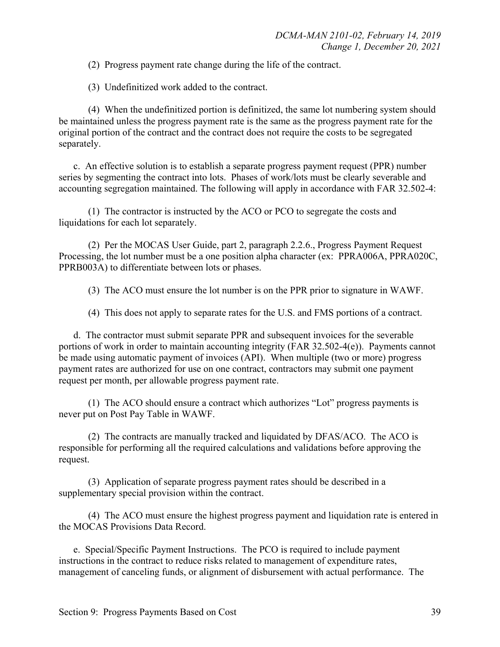(2) Progress payment rate change during the life of the contract.

(3) Undefinitized work added to the contract.

(4) When the undefinitized portion is definitized, the same lot numbering system should be maintained unless the progress payment rate is the same as the progress payment rate for the original portion of the contract and the contract does not require the costs to be segregated separately.

c. An effective solution is to establish a separate progress payment request (PPR) number series by segmenting the contract into lots. Phases of work/lots must be clearly severable and accounting segregation maintained. The following will apply in accordance with FAR 32.502-4:

(1) The contractor is instructed by the ACO or PCO to segregate the costs and liquidations for each lot separately.

(2) Per the MOCAS User Guide, part 2, paragraph 2.2.6., Progress Payment Request Processing, the lot number must be a one position alpha character (ex: PPRA006A, PPRA020C, PPRB003A) to differentiate between lots or phases.

(3) The ACO must ensure the lot number is on the PPR prior to signature in WAWF.

(4) This does not apply to separate rates for the U.S. and FMS portions of a contract.

d. The contractor must submit separate PPR and subsequent invoices for the severable portions of work in order to maintain accounting integrity (FAR 32.502-4(e)). Payments cannot be made using automatic payment of invoices (API). When multiple (two or more) progress payment rates are authorized for use on one contract, contractors may submit one payment request per month, per allowable progress payment rate.

(1) The ACO should ensure a contract which authorizes "Lot" progress payments is never put on Post Pay Table in WAWF.

(2) The contracts are manually tracked and liquidated by DFAS/ACO. The ACO is responsible for performing all the required calculations and validations before approving the request.

(3) Application of separate progress payment rates should be described in a supplementary special provision within the contract.

(4) The ACO must ensure the highest progress payment and liquidation rate is entered in the MOCAS Provisions Data Record.

e. Special/Specific Payment Instructions. The PCO is required to include payment instructions in the contract to reduce risks related to management of expenditure rates, management of canceling funds, or alignment of disbursement with actual performance. The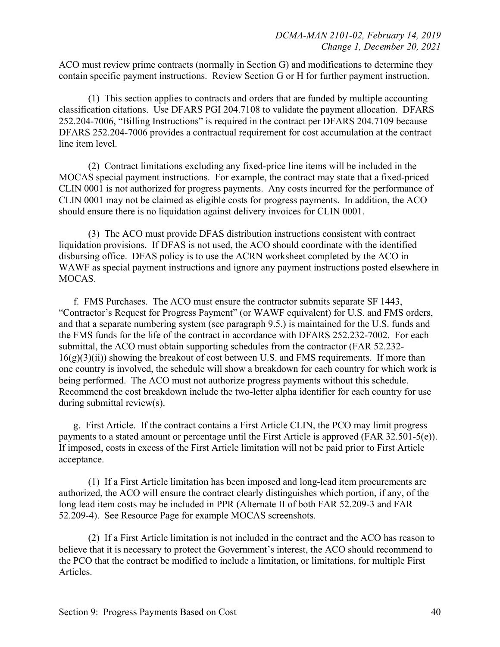ACO must review prime contracts (normally in Section G) and modifications to determine they contain specific payment instructions. Review Section G or H for further payment instruction.

(1) This section applies to contracts and orders that are funded by multiple accounting classification citations. Use DFARS PGI 204.7108 to validate the payment allocation. DFARS 252.204-7006, "Billing Instructions" is required in the contract per DFARS 204.7109 because DFARS 252.204-7006 provides a contractual requirement for cost accumulation at the contract line item level.

(2) Contract limitations excluding any fixed-price line items will be included in the MOCAS special payment instructions. For example, the contract may state that a fixed-priced CLIN 0001 is not authorized for progress payments. Any costs incurred for the performance of CLIN 0001 may not be claimed as eligible costs for progress payments. In addition, the ACO should ensure there is no liquidation against delivery invoices for CLIN 0001.

(3) The ACO must provide DFAS distribution instructions consistent with contract liquidation provisions. If DFAS is not used, the ACO should coordinate with the identified disbursing office. DFAS policy is to use the ACRN worksheet completed by the ACO in WAWF as special payment instructions and ignore any payment instructions posted elsewhere in MOCAS.

f. FMS Purchases. The ACO must ensure the contractor submits separate SF 1443, "Contractor's Request for Progress Payment" (or WAWF equivalent) for U.S. and FMS orders, and that a separate numbering system (see paragraph 9.5.) is maintained for the U.S. funds and the FMS funds for the life of the contract in accordance with DFARS 252.232-7002. For each submittal, the ACO must obtain supporting schedules from the contractor (FAR 52.232-  $16(g)(3)(ii)$ ) showing the breakout of cost between U.S. and FMS requirements. If more than one country is involved, the schedule will show a breakdown for each country for which work is being performed. The ACO must not authorize progress payments without this schedule. Recommend the cost breakdown include the two-letter alpha identifier for each country for use during submittal review(s).

g. First Article. If the contract contains a First Article CLIN, the PCO may limit progress payments to a stated amount or percentage until the First Article is approved (FAR 32.501-5(e)). If imposed, costs in excess of the First Article limitation will not be paid prior to First Article acceptance.

(1) If a First Article limitation has been imposed and long-lead item procurements are authorized, the ACO will ensure the contract clearly distinguishes which portion, if any, of the long lead item costs may be included in PPR (Alternate II of both FAR 52.209-3 and FAR 52.209-4). See Resource Page for example MOCAS screenshots.

(2) If a First Article limitation is not included in the contract and the ACO has reason to believe that it is necessary to protect the Government's interest, the ACO should recommend to the PCO that the contract be modified to include a limitation, or limitations, for multiple First Articles.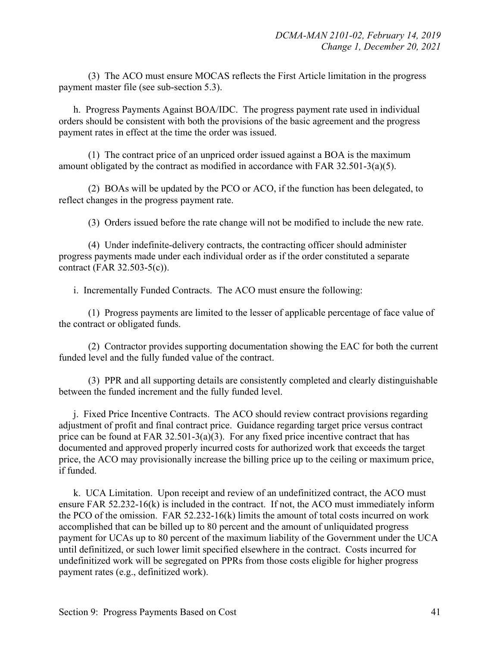(3) The ACO must ensure MOCAS reflects the First Article limitation in the progress payment master file (see sub-section 5.3).

h. Progress Payments Against BOA/IDC. The progress payment rate used in individual orders should be consistent with both the provisions of the basic agreement and the progress payment rates in effect at the time the order was issued.

(1) The contract price of an unpriced order issued against a BOA is the maximum amount obligated by the contract as modified in accordance with FAR 32.501-3(a)(5).

(2) BOAs will be updated by the PCO or ACO, if the function has been delegated, to reflect changes in the progress payment rate.

(3) Orders issued before the rate change will not be modified to include the new rate.

(4) Under indefinite-delivery contracts, the contracting officer should administer progress payments made under each individual order as if the order constituted a separate contract (FAR 32.503-5(c)).

i. Incrementally Funded Contracts. The ACO must ensure the following:

(1) Progress payments are limited to the lesser of applicable percentage of face value of the contract or obligated funds.

(2) Contractor provides supporting documentation showing the EAC for both the current funded level and the fully funded value of the contract.

(3) PPR and all supporting details are consistently completed and clearly distinguishable between the funded increment and the fully funded level.

j. Fixed Price Incentive Contracts. The ACO should review contract provisions regarding adjustment of profit and final contract price. Guidance regarding target price versus contract price can be found at FAR  $32.501-3(a)(3)$ . For any fixed price incentive contract that has documented and approved properly incurred costs for authorized work that exceeds the target price, the ACO may provisionally increase the billing price up to the ceiling or maximum price, if funded.

k. UCA Limitation. Upon receipt and review of an undefinitized contract, the ACO must ensure FAR 52.232-16(k) is included in the contract. If not, the ACO must immediately inform the PCO of the omission. FAR 52.232-16(k) limits the amount of total costs incurred on work accomplished that can be billed up to 80 percent and the amount of unliquidated progress payment for UCAs up to 80 percent of the maximum liability of the Government under the UCA until definitized, or such lower limit specified elsewhere in the contract. Costs incurred for undefinitized work will be segregated on PPRs from those costs eligible for higher progress payment rates (e.g., definitized work).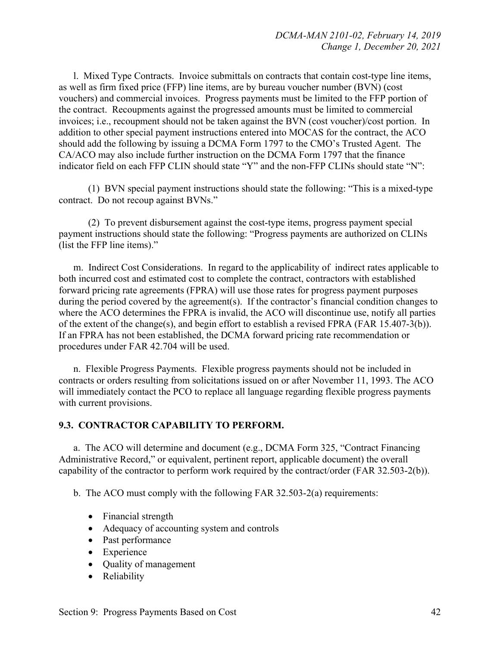l. Mixed Type Contracts. Invoice submittals on contracts that contain cost-type line items, as well as firm fixed price (FFP) line items, are by bureau voucher number (BVN) (cost vouchers) and commercial invoices. Progress payments must be limited to the FFP portion of the contract. Recoupments against the progressed amounts must be limited to commercial invoices; i.e., recoupment should not be taken against the BVN (cost voucher)/cost portion. In addition to other special payment instructions entered into MOCAS for the contract, the ACO should add the following by issuing a DCMA Form 1797 to the CMO's Trusted Agent. The CA/ACO may also include further instruction on the DCMA Form 1797 that the finance indicator field on each FFP CLIN should state "Y" and the non-FFP CLINs should state "N":

(1) BVN special payment instructions should state the following: "This is a mixed-type contract. Do not recoup against BVNs."

(2) To prevent disbursement against the cost-type items, progress payment special payment instructions should state the following: "Progress payments are authorized on CLINs (list the FFP line items)."

m. Indirect Cost Considerations. In regard to the applicability of indirect rates applicable to both incurred cost and estimated cost to complete the contract, contractors with established forward pricing rate agreements (FPRA) will use those rates for progress payment purposes during the period covered by the agreement(s). If the contractor's financial condition changes to where the ACO determines the FPRA is invalid, the ACO will discontinue use, notify all parties of the extent of the change(s), and begin effort to establish a revised FPRA (FAR 15.407-3(b)). If an FPRA has not been established, the DCMA forward pricing rate recommendation or procedures under FAR 42.704 will be used.

n. Flexible Progress Payments. Flexible progress payments should not be included in contracts or orders resulting from solicitations issued on or after November 11, 1993. The ACO will immediately contact the PCO to replace all language regarding flexible progress payments with current provisions.

#### **9.3. CONTRACTOR CAPABILITY TO PERFORM.**

a. The ACO will determine and document (e.g., DCMA Form 325, "Contract Financing Administrative Record," or equivalent, pertinent report, applicable document) the overall capability of the contractor to perform work required by the contract/order (FAR 32.503-2(b)).

b. The ACO must comply with the following FAR 32.503-2(a) requirements:

- Financial strength
- Adequacy of accounting system and controls
- Past performance
- Experience
- Quality of management
- Reliability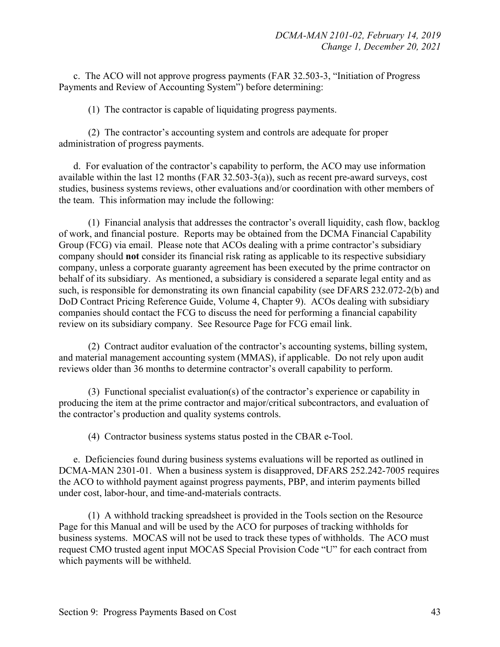c. The ACO will not approve progress payments (FAR 32.503-3, "Initiation of Progress Payments and Review of Accounting System") before determining:

(1) The contractor is capable of liquidating progress payments.

(2) The contractor's accounting system and controls are adequate for proper administration of progress payments.

d. For evaluation of the contractor's capability to perform, the ACO may use information available within the last 12 months (FAR 32.503-3(a)), such as recent pre-award surveys, cost studies, business systems reviews, other evaluations and/or coordination with other members of the team. This information may include the following:

(1) Financial analysis that addresses the contractor's overall liquidity, cash flow, backlog of work, and financial posture. Reports may be obtained from the DCMA Financial Capability Group (FCG) via email.Please note that ACOs dealing with a prime contractor's subsidiary company should **not** consider its financial risk rating as applicable to its respective subsidiary company, unless a corporate guaranty agreement has been executed by the prime contractor on behalf of its subsidiary. As mentioned, a subsidiary is considered a separate legal entity and as such, is responsible for demonstrating its own financial capability (see DFARS 232.072-2(b) and DoD Contract Pricing Reference Guide, Volume 4, Chapter 9). ACOs dealing with subsidiary companies should contact the FCG to discuss the need for performing a financial capability review on its subsidiary company. See Resource Page for FCG email link.

(2) Contract auditor evaluation of the contractor's accounting systems, billing system, and material management accounting system (MMAS), if applicable. Do not rely upon audit reviews older than 36 months to determine contractor's overall capability to perform.

(3) Functional specialist evaluation(s) of the contractor's experience or capability in producing the item at the prime contractor and major/critical subcontractors, and evaluation of the contractor's production and quality systems controls.

(4) Contractor business systems status posted in the CBAR e-Tool.

e. Deficiencies found during business systems evaluations will be reported as outlined in DCMA-MAN 2301-01. When a business system is disapproved, DFARS 252.242-7005 requires the ACO to withhold payment against progress payments, PBP, and interim payments billed under cost, labor-hour, and time-and-materials contracts.

(1) A withhold tracking spreadsheet is provided in the Tools section on the Resource Page for this Manual and will be used by the ACO for purposes of tracking withholds for business systems. MOCAS will not be used to track these types of withholds. The ACO must request CMO trusted agent input MOCAS Special Provision Code "U" for each contract from which payments will be withheld.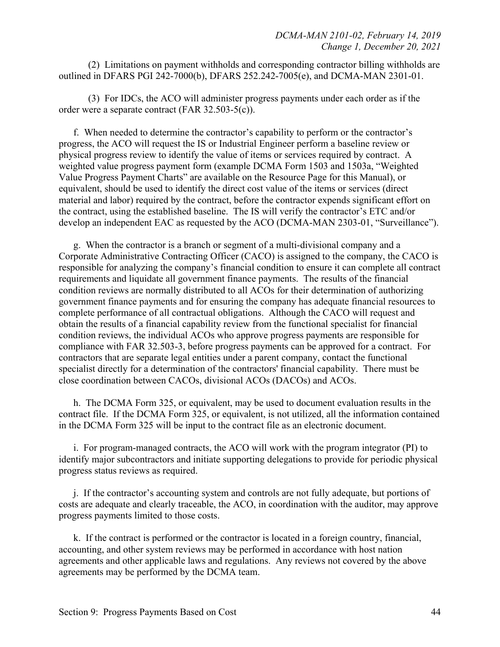(2) Limitations on payment withholds and corresponding contractor billing withholds are outlined in DFARS PGI 242-7000(b), DFARS 252.242-7005(e), and DCMA-MAN 2301-01.

(3) For IDCs, the ACO will administer progress payments under each order as if the order were a separate contract (FAR 32.503-5(c)).

f. When needed to determine the contractor's capability to perform or the contractor's progress, the ACO will request the IS or Industrial Engineer perform a baseline review or physical progress review to identify the value of items or services required by contract. A weighted value progress payment form (example DCMA Form 1503 and 1503a, "Weighted Value Progress Payment Charts" are available on the Resource Page for this Manual), or equivalent, should be used to identify the direct cost value of the items or services (direct material and labor) required by the contract, before the contractor expends significant effort on the contract, using the established baseline. The IS will verify the contractor's ETC and/or develop an independent EAC as requested by the ACO (DCMA-MAN 2303-01, "Surveillance").

g. When the contractor is a branch or segment of a multi-divisional company and a Corporate Administrative Contracting Officer (CACO) is assigned to the company, the CACO is responsible for analyzing the company's financial condition to ensure it can complete all contract requirements and liquidate all government finance payments. The results of the financial condition reviews are normally distributed to all ACOs for their determination of authorizing government finance payments and for ensuring the company has adequate financial resources to complete performance of all contractual obligations. Although the CACO will request and obtain the results of a financial capability review from the functional specialist for financial condition reviews, the individual ACOs who approve progress payments are responsible for compliance with FAR 32.503-3, before progress payments can be approved for a contract. For contractors that are separate legal entities under a parent company, contact the functional specialist directly for a determination of the contractors' financial capability. There must be close coordination between CACOs, divisional ACOs (DACOs) and ACOs.

h. The DCMA Form 325, or equivalent, may be used to document evaluation results in the contract file. If the DCMA Form 325, or equivalent, is not utilized, all the information contained in the DCMA Form 325 will be input to the contract file as an electronic document.

i. For program-managed contracts, the ACO will work with the program integrator (PI) to identify major subcontractors and initiate supporting delegations to provide for periodic physical progress status reviews as required.

j. If the contractor's accounting system and controls are not fully adequate, but portions of costs are adequate and clearly traceable, the ACO, in coordination with the auditor, may approve progress payments limited to those costs.

k. If the contract is performed or the contractor is located in a foreign country, financial, accounting, and other system reviews may be performed in accordance with host nation agreements and other applicable laws and regulations. Any reviews not covered by the above agreements may be performed by the DCMA team.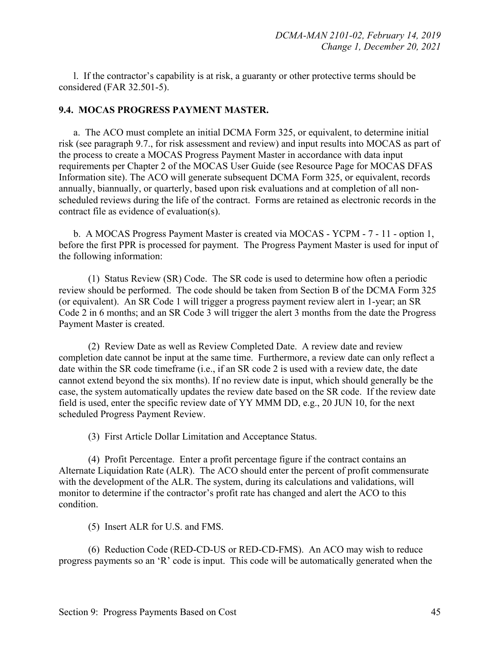l. If the contractor's capability is at risk, a guaranty or other protective terms should be considered (FAR 32.501-5).

#### **9.4. MOCAS PROGRESS PAYMENT MASTER.**

a. The ACO must complete an initial DCMA Form 325, or equivalent, to determine initial risk (see paragraph 9.7., for risk assessment and review) and input results into MOCAS as part of the process to create a MOCAS Progress Payment Master in accordance with data input requirements per Chapter 2 of the MOCAS User Guide (see Resource Page for MOCAS DFAS Information site). The ACO will generate subsequent DCMA Form 325, or equivalent, records annually, biannually, or quarterly, based upon risk evaluations and at completion of all nonscheduled reviews during the life of the contract. Forms are retained as electronic records in the contract file as evidence of evaluation(s).

b. A MOCAS Progress Payment Master is created via MOCAS - YCPM - 7 - 11 - option 1, before the first PPR is processed for payment. The Progress Payment Master is used for input of the following information:

(1) Status Review (SR) Code. The SR code is used to determine how often a periodic review should be performed. The code should be taken from Section B of the DCMA Form 325 (or equivalent). An SR Code 1 will trigger a progress payment review alert in 1-year; an SR Code 2 in 6 months; and an SR Code 3 will trigger the alert 3 months from the date the Progress Payment Master is created.

(2) Review Date as well as Review Completed Date. A review date and review completion date cannot be input at the same time. Furthermore, a review date can only reflect a date within the SR code timeframe (i.e., if an SR code 2 is used with a review date, the date cannot extend beyond the six months). If no review date is input, which should generally be the case, the system automatically updates the review date based on the SR code. If the review date field is used, enter the specific review date of YY MMM DD, e.g., 20 JUN 10, for the next scheduled Progress Payment Review.

(3) First Article Dollar Limitation and Acceptance Status.

(4) Profit Percentage. Enter a profit percentage figure if the contract contains an Alternate Liquidation Rate (ALR). The ACO should enter the percent of profit commensurate with the development of the ALR. The system, during its calculations and validations, will monitor to determine if the contractor's profit rate has changed and alert the ACO to this condition.

(5) Insert ALR for U.S. and FMS.

(6) Reduction Code (RED-CD-US or RED-CD-FMS). An ACO may wish to reduce progress payments so an 'R' code is input. This code will be automatically generated when the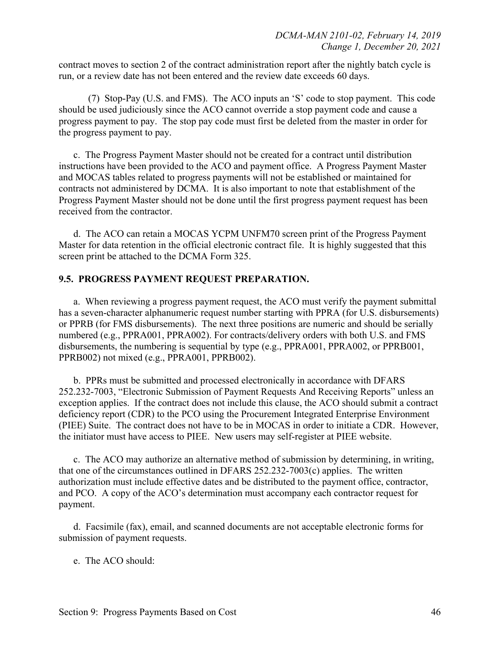contract moves to section 2 of the contract administration report after the nightly batch cycle is run, or a review date has not been entered and the review date exceeds 60 days.

(7) Stop-Pay (U.S. and FMS). The ACO inputs an 'S' code to stop payment. This code should be used judiciously since the ACO cannot override a stop payment code and cause a progress payment to pay. The stop pay code must first be deleted from the master in order for the progress payment to pay.

c. The Progress Payment Master should not be created for a contract until distribution instructions have been provided to the ACO and payment office. A Progress Payment Master and MOCAS tables related to progress payments will not be established or maintained for contracts not administered by DCMA. It is also important to note that establishment of the Progress Payment Master should not be done until the first progress payment request has been received from the contractor.

d. The ACO can retain a MOCAS YCPM UNFM70 screen print of the Progress Payment Master for data retention in the official electronic contract file. It is highly suggested that this screen print be attached to the DCMA Form 325.

## **9.5. PROGRESS PAYMENT REQUEST PREPARATION.**

a. When reviewing a progress payment request, the ACO must verify the payment submittal has a seven-character alphanumeric request number starting with PPRA (for U.S. disbursements) or PPRB (for FMS disbursements). The next three positions are numeric and should be serially numbered (e.g., PPRA001, PPRA002). For contracts/delivery orders with both U.S. and FMS disbursements, the numbering is sequential by type (e.g., PPRA001, PPRA002, or PPRB001, PPRB002) not mixed (e.g., PPRA001, PPRB002).

b. PPRs must be submitted and processed electronically in accordance with DFARS 252.232-7003, "Electronic Submission of Payment Requests And Receiving Reports" unless an exception applies. If the contract does not include this clause, the ACO should submit a contract deficiency report (CDR) to the PCO using the Procurement Integrated Enterprise Environment (PIEE) Suite. The contract does not have to be in MOCAS in order to initiate a CDR. However, the initiator must have access to PIEE. New users may self-register at PIEE website.

c. The ACO may authorize an alternative method of submission by determining, in writing, that one of the circumstances outlined in DFARS 252.232-7003(c) applies. The written authorization must include effective dates and be distributed to the payment office, contractor, and PCO. A copy of the ACO's determination must accompany each contractor request for payment.

d. Facsimile (fax), email, and scanned documents are not acceptable electronic forms for submission of payment requests.

e. The ACO should: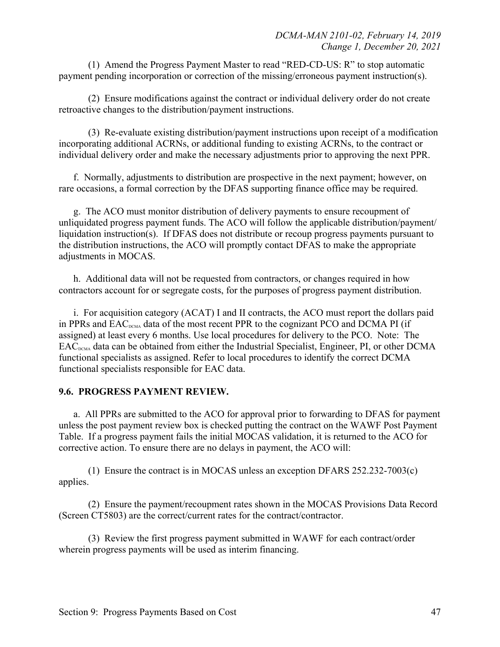(1) Amend the Progress Payment Master to read "RED-CD-US: R" to stop automatic payment pending incorporation or correction of the missing/erroneous payment instruction(s).

(2) Ensure modifications against the contract or individual delivery order do not create retroactive changes to the distribution/payment instructions.

(3) Re-evaluate existing distribution/payment instructions upon receipt of a modification incorporating additional ACRNs, or additional funding to existing ACRNs, to the contract or individual delivery order and make the necessary adjustments prior to approving the next PPR.

f. Normally, adjustments to distribution are prospective in the next payment; however, on rare occasions, a formal correction by the DFAS supporting finance office may be required.

g. The ACO must monitor distribution of delivery payments to ensure recoupment of unliquidated progress payment funds. The ACO will follow the applicable distribution/payment/ liquidation instruction(s). If DFAS does not distribute or recoup progress payments pursuant to the distribution instructions, the ACO will promptly contact DFAS to make the appropriate adjustments in MOCAS.

h. Additional data will not be requested from contractors, or changes required in how contractors account for or segregate costs, for the purposes of progress payment distribution.

i. For acquisition category (ACAT) I and II contracts, the ACO must report the dollars paid in PPRs and  $EAC_{\text{DCMA}}$  data of the most recent PPR to the cognizant PCO and DCMA PI (if assigned) at least every 6 months. Use local procedures for delivery to the PCO. Note: The  $EAC<sub>DCMA</sub>$  data can be obtained from either the Industrial Specialist, Engineer, PI, or other DCMA functional specialists as assigned. Refer to local procedures to identify the correct DCMA functional specialists responsible for EAC data.

## **9.6. PROGRESS PAYMENT REVIEW.**

a. All PPRs are submitted to the ACO for approval prior to forwarding to DFAS for payment unless the post payment review box is checked putting the contract on the WAWF Post Payment Table. If a progress payment fails the initial MOCAS validation, it is returned to the ACO for corrective action. To ensure there are no delays in payment, the ACO will:

(1) Ensure the contract is in MOCAS unless an exception DFARS 252.232-7003(c) applies.

(2) Ensure the payment/recoupment rates shown in the MOCAS Provisions Data Record (Screen CT5803) are the correct/current rates for the contract/contractor.

(3) Review the first progress payment submitted in WAWF for each contract/order wherein progress payments will be used as interim financing.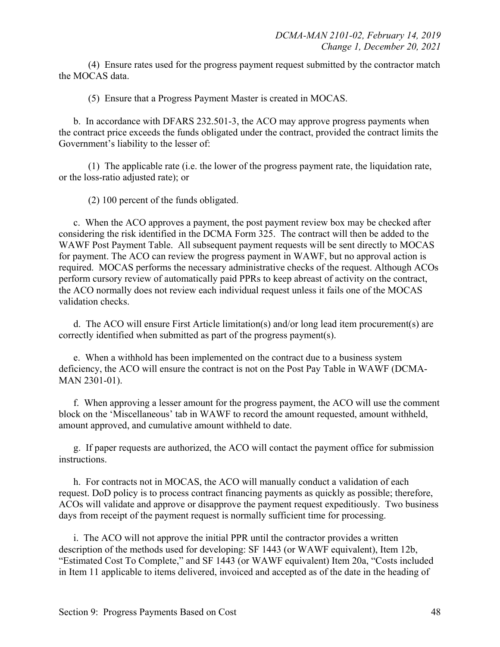(4) Ensure rates used for the progress payment request submitted by the contractor match the MOCAS data.

(5) Ensure that a Progress Payment Master is created in MOCAS.

b. In accordance with DFARS 232.501-3, the ACO may approve progress payments when the contract price exceeds the funds obligated under the contract, provided the contract limits the Government's liability to the lesser of:

(1) The applicable rate (i.e. the lower of the progress payment rate, the liquidation rate, or the loss-ratio adjusted rate); or

(2) 100 percent of the funds obligated.

c. When the ACO approves a payment, the post payment review box may be checked after considering the risk identified in the DCMA Form 325. The contract will then be added to the WAWF Post Payment Table. All subsequent payment requests will be sent directly to MOCAS for payment. The ACO can review the progress payment in WAWF, but no approval action is required. MOCAS performs the necessary administrative checks of the request. Although ACOs perform cursory review of automatically paid PPRs to keep abreast of activity on the contract, the ACO normally does not review each individual request unless it fails one of the MOCAS validation checks.

d. The ACO will ensure First Article limitation(s) and/or long lead item procurement(s) are correctly identified when submitted as part of the progress payment(s).

e. When a withhold has been implemented on the contract due to a business system deficiency, the ACO will ensure the contract is not on the Post Pay Table in WAWF (DCMA-MAN 2301-01).

f. When approving a lesser amount for the progress payment, the ACO will use the comment block on the 'Miscellaneous' tab in WAWF to record the amount requested, amount withheld, amount approved, and cumulative amount withheld to date.

g. If paper requests are authorized, the ACO will contact the payment office for submission instructions.

h. For contracts not in MOCAS, the ACO will manually conduct a validation of each request. DoD policy is to process contract financing payments as quickly as possible; therefore, ACOs will validate and approve or disapprove the payment request expeditiously. Two business days from receipt of the payment request is normally sufficient time for processing.

i. The ACO will not approve the initial PPR until the contractor provides a written description of the methods used for developing: SF 1443 (or WAWF equivalent), Item 12b, "Estimated Cost To Complete," and SF 1443 (or WAWF equivalent) Item 20a, "Costs included in Item 11 applicable to items delivered, invoiced and accepted as of the date in the heading of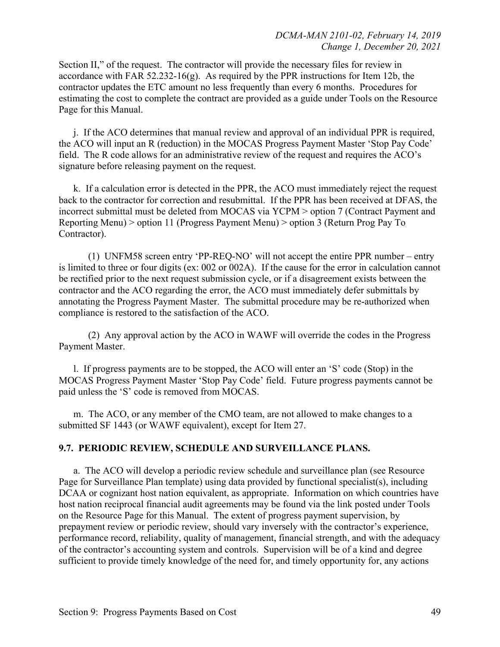Section II," of the request. The contractor will provide the necessary files for review in accordance with FAR 52.232-16(g). As required by the PPR instructions for Item 12b, the contractor updates the ETC amount no less frequently than every 6 months. Procedures for estimating the cost to complete the contract are provided as a guide under Tools on the Resource Page for this Manual.

j. If the ACO determines that manual review and approval of an individual PPR is required, the ACO will input an R (reduction) in the MOCAS Progress Payment Master 'Stop Pay Code' field. The R code allows for an administrative review of the request and requires the ACO's signature before releasing payment on the request.

k. If a calculation error is detected in the PPR, the ACO must immediately reject the request back to the contractor for correction and resubmittal. If the PPR has been received at DFAS, the incorrect submittal must be deleted from MOCAS via YCPM > option 7 (Contract Payment and Reporting Menu) > option 11 (Progress Payment Menu) > option 3 (Return Prog Pay To Contractor).

(1) UNFM58 screen entry 'PP-REQ-NO' will not accept the entire PPR number – entry is limited to three or four digits (ex: 002 or 002A). If the cause for the error in calculation cannot be rectified prior to the next request submission cycle, or if a disagreement exists between the contractor and the ACO regarding the error, the ACO must immediately defer submittals by annotating the Progress Payment Master. The submittal procedure may be re-authorized when compliance is restored to the satisfaction of the ACO.

(2) Any approval action by the ACO in WAWF will override the codes in the Progress Payment Master.

l. If progress payments are to be stopped, the ACO will enter an 'S' code (Stop) in the MOCAS Progress Payment Master 'Stop Pay Code' field. Future progress payments cannot be paid unless the 'S' code is removed from MOCAS.

m. The ACO, or any member of the CMO team, are not allowed to make changes to a submitted SF 1443 (or WAWF equivalent), except for Item 27.

## **9.7. PERIODIC REVIEW, SCHEDULE AND SURVEILLANCE PLANS.**

a. The ACO will develop a periodic review schedule and surveillance plan (see Resource Page for Surveillance Plan template) using data provided by functional specialist(s), including DCAA or cognizant host nation equivalent, as appropriate. Information on which countries have host nation reciprocal financial audit agreements may be found via the link posted under Tools on the Resource Page for this Manual. The extent of progress payment supervision, by prepayment review or periodic review, should vary inversely with the contractor's experience, performance record, reliability, quality of management, financial strength, and with the adequacy of the contractor's accounting system and controls. Supervision will be of a kind and degree sufficient to provide timely knowledge of the need for, and timely opportunity for, any actions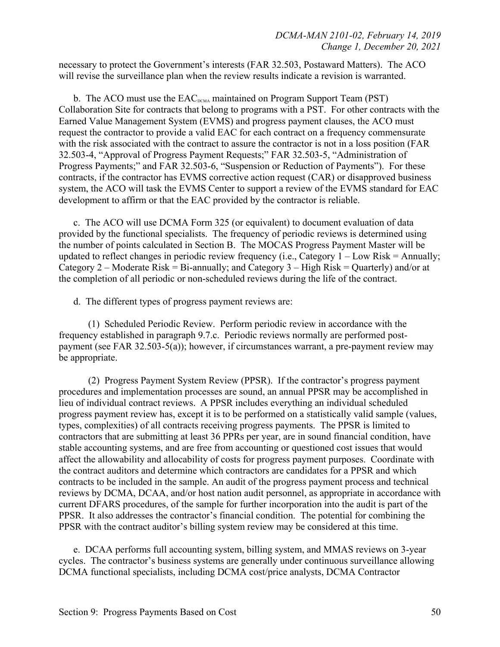necessary to protect the Government's interests (FAR 32.503, Postaward Matters). The ACO will revise the surveillance plan when the review results indicate a revision is warranted.

b. The ACO must use the  $EAC_{DCMA}$  maintained on Program Support Team (PST) Collaboration Site for contracts that belong to programs with a PST. For other contracts with the Earned Value Management System (EVMS) and progress payment clauses, the ACO must request the contractor to provide a valid EAC for each contract on a frequency commensurate with the risk associated with the contract to assure the contractor is not in a loss position (FAR 32.503-4, "Approval of Progress Payment Requests;" FAR 32.503-5, "Administration of Progress Payments;" and FAR 32.503-6, "Suspension or Reduction of Payments"). For these contracts, if the contractor has EVMS corrective action request (CAR) or disapproved business system, the ACO will task the EVMS Center to support a review of the EVMS standard for EAC development to affirm or that the EAC provided by the contractor is reliable.

c. The ACO will use DCMA Form 325 (or equivalent) to document evaluation of data provided by the functional specialists. The frequency of periodic reviews is determined using the number of points calculated in Section B. The MOCAS Progress Payment Master will be updated to reflect changes in periodic review frequency (i.e., Category  $1 - Low Risk = Annually;$ Category 2 – Moderate Risk = Bi-annually; and Category 3 – High Risk = Quarterly) and/or at the completion of all periodic or non-scheduled reviews during the life of the contract.

d. The different types of progress payment reviews are:

(1) Scheduled Periodic Review. Perform periodic review in accordance with the frequency established in paragraph 9.7.c. Periodic reviews normally are performed postpayment (see FAR 32.503-5(a)); however, if circumstances warrant, a pre-payment review may be appropriate.

(2) Progress Payment System Review (PPSR). If the contractor's progress payment procedures and implementation processes are sound, an annual PPSR may be accomplished in lieu of individual contract reviews. A PPSR includes everything an individual scheduled progress payment review has, except it is to be performed on a statistically valid sample (values, types, complexities) of all contracts receiving progress payments. The PPSR is limited to contractors that are submitting at least 36 PPRs per year, are in sound financial condition, have stable accounting systems, and are free from accounting or questioned cost issues that would affect the allowability and allocability of costs for progress payment purposes. Coordinate with the contract auditors and determine which contractors are candidates for a PPSR and which contracts to be included in the sample. An audit of the progress payment process and technical reviews by DCMA, DCAA, and/or host nation audit personnel, as appropriate in accordance with current DFARS procedures, of the sample for further incorporation into the audit is part of the PPSR. It also addresses the contractor's financial condition. The potential for combining the PPSR with the contract auditor's billing system review may be considered at this time.

e. DCAA performs full accounting system, billing system, and MMAS reviews on 3-year cycles. The contractor's business systems are generally under continuous surveillance allowing DCMA functional specialists, including DCMA cost/price analysts, DCMA Contractor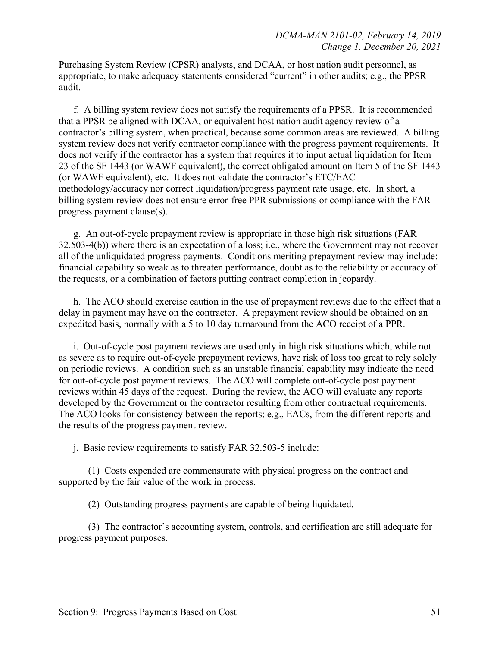Purchasing System Review (CPSR) analysts, and DCAA, or host nation audit personnel, as appropriate, to make adequacy statements considered "current" in other audits; e.g., the PPSR audit.

f. A billing system review does not satisfy the requirements of a PPSR. It is recommended that a PPSR be aligned with DCAA, or equivalent host nation audit agency review of a contractor's billing system, when practical, because some common areas are reviewed. A billing system review does not verify contractor compliance with the progress payment requirements. It does not verify if the contractor has a system that requires it to input actual liquidation for Item 23 of the SF 1443 (or WAWF equivalent), the correct obligated amount on Item 5 of the SF 1443 (or WAWF equivalent), etc. It does not validate the contractor's ETC/EAC methodology/accuracy nor correct liquidation/progress payment rate usage, etc. In short, a billing system review does not ensure error-free PPR submissions or compliance with the FAR progress payment clause(s).

g. An out-of-cycle prepayment review is appropriate in those high risk situations (FAR 32.503-4(b)) where there is an expectation of a loss; i.e., where the Government may not recover all of the unliquidated progress payments. Conditions meriting prepayment review may include: financial capability so weak as to threaten performance, doubt as to the reliability or accuracy of the requests, or a combination of factors putting contract completion in jeopardy.

h. The ACO should exercise caution in the use of prepayment reviews due to the effect that a delay in payment may have on the contractor. A prepayment review should be obtained on an expedited basis, normally with a 5 to 10 day turnaround from the ACO receipt of a PPR.

i. Out-of-cycle post payment reviews are used only in high risk situations which, while not as severe as to require out-of-cycle prepayment reviews, have risk of loss too great to rely solely on periodic reviews. A condition such as an unstable financial capability may indicate the need for out-of-cycle post payment reviews. The ACO will complete out-of-cycle post payment reviews within 45 days of the request. During the review, the ACO will evaluate any reports developed by the Government or the contractor resulting from other contractual requirements. The ACO looks for consistency between the reports; e.g., EACs, from the different reports and the results of the progress payment review.

j. Basic review requirements to satisfy FAR 32.503-5 include:

(1) Costs expended are commensurate with physical progress on the contract and supported by the fair value of the work in process.

(2) Outstanding progress payments are capable of being liquidated.

(3) The contractor's accounting system, controls, and certification are still adequate for progress payment purposes.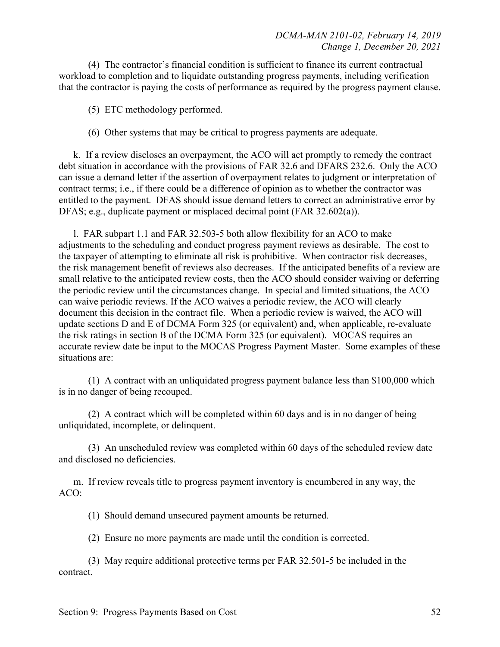(4) The contractor's financial condition is sufficient to finance its current contractual workload to completion and to liquidate outstanding progress payments, including verification that the contractor is paying the costs of performance as required by the progress payment clause.

(5) ETC methodology performed.

(6) Other systems that may be critical to progress payments are adequate.

k. If a review discloses an overpayment, the ACO will act promptly to remedy the contract debt situation in accordance with the provisions of FAR 32.6 and DFARS 232.6. Only the ACO can issue a demand letter if the assertion of overpayment relates to judgment or interpretation of contract terms; i.e., if there could be a difference of opinion as to whether the contractor was entitled to the payment. DFAS should issue demand letters to correct an administrative error by DFAS; e.g., duplicate payment or misplaced decimal point (FAR 32.602(a)).

l. FAR subpart 1.1 and FAR 32.503-5 both allow flexibility for an ACO to make adjustments to the scheduling and conduct progress payment reviews as desirable. The cost to the taxpayer of attempting to eliminate all risk is prohibitive. When contractor risk decreases, the risk management benefit of reviews also decreases. If the anticipated benefits of a review are small relative to the anticipated review costs, then the ACO should consider waiving or deferring the periodic review until the circumstances change. In special and limited situations, the ACO can waive periodic reviews. If the ACO waives a periodic review, the ACO will clearly document this decision in the contract file. When a periodic review is waived, the ACO will update sections D and E of DCMA Form 325 (or equivalent) and, when applicable, re-evaluate the risk ratings in section B of the DCMA Form 325 (or equivalent). MOCAS requires an accurate review date be input to the MOCAS Progress Payment Master. Some examples of these situations are:

(1) A contract with an unliquidated progress payment balance less than \$100,000 which is in no danger of being recouped.

(2) A contract which will be completed within 60 days and is in no danger of being unliquidated, incomplete, or delinquent.

(3) An unscheduled review was completed within 60 days of the scheduled review date and disclosed no deficiencies.

m. If review reveals title to progress payment inventory is encumbered in any way, the ACO:

(1) Should demand unsecured payment amounts be returned.

(2) Ensure no more payments are made until the condition is corrected.

(3) May require additional protective terms per FAR 32.501-5 be included in the contract.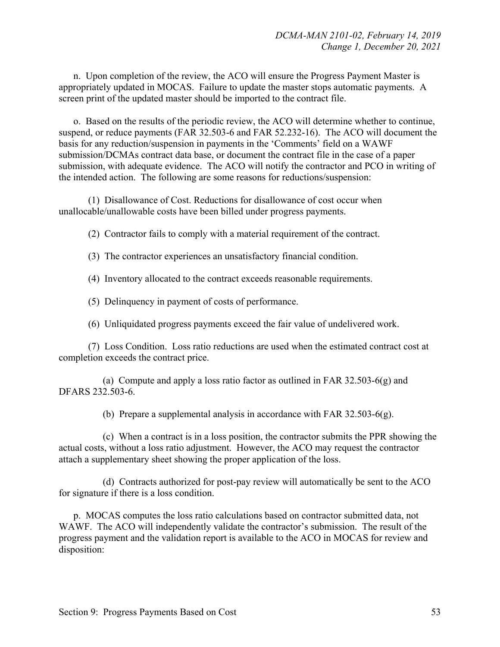n. Upon completion of the review, the ACO will ensure the Progress Payment Master is appropriately updated in MOCAS. Failure to update the master stops automatic payments. A screen print of the updated master should be imported to the contract file.

o. Based on the results of the periodic review, the ACO will determine whether to continue, suspend, or reduce payments (FAR 32.503-6 and FAR 52.232-16). The ACO will document the basis for any reduction/suspension in payments in the 'Comments' field on a WAWF submission/DCMAs contract data base, or document the contract file in the case of a paper submission, with adequate evidence. The ACO will notify the contractor and PCO in writing of the intended action. The following are some reasons for reductions/suspension:

(1) Disallowance of Cost. Reductions for disallowance of cost occur when unallocable/unallowable costs have been billed under progress payments.

(2) Contractor fails to comply with a material requirement of the contract.

(3) The contractor experiences an unsatisfactory financial condition.

(4) Inventory allocated to the contract exceeds reasonable requirements.

(5) Delinquency in payment of costs of performance.

(6) Unliquidated progress payments exceed the fair value of undelivered work.

(7) Loss Condition. Loss ratio reductions are used when the estimated contract cost at completion exceeds the contract price.

(a) Compute and apply a loss ratio factor as outlined in FAR 32.503-6(g) and DFARS 232.503-6.

(b) Prepare a supplemental analysis in accordance with FAR 32.503-6(g).

(c) When a contract is in a loss position, the contractor submits the PPR showing the actual costs, without a loss ratio adjustment. However, the ACO may request the contractor attach a supplementary sheet showing the proper application of the loss.

(d) Contracts authorized for post-pay review will automatically be sent to the ACO for signature if there is a loss condition.

p. MOCAS computes the loss ratio calculations based on contractor submitted data, not WAWF. The ACO will independently validate the contractor's submission. The result of the progress payment and the validation report is available to the ACO in MOCAS for review and disposition: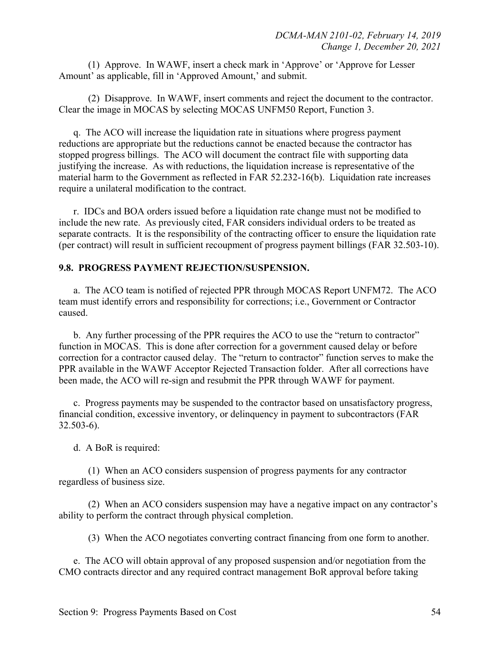(1) Approve. In WAWF, insert a check mark in 'Approve' or 'Approve for Lesser Amount' as applicable, fill in 'Approved Amount,' and submit.

(2) Disapprove. In WAWF, insert comments and reject the document to the contractor. Clear the image in MOCAS by selecting MOCAS UNFM50 Report, Function 3.

q. The ACO will increase the liquidation rate in situations where progress payment reductions are appropriate but the reductions cannot be enacted because the contractor has stopped progress billings. The ACO will document the contract file with supporting data justifying the increase. As with reductions, the liquidation increase is representative of the material harm to the Government as reflected in FAR 52.232-16(b). Liquidation rate increases require a unilateral modification to the contract.

r. IDCs and BOA orders issued before a liquidation rate change must not be modified to include the new rate. As previously cited, FAR considers individual orders to be treated as separate contracts. It is the responsibility of the contracting officer to ensure the liquidation rate (per contract) will result in sufficient recoupment of progress payment billings (FAR 32.503-10).

#### **9.8. PROGRESS PAYMENT REJECTION/SUSPENSION.**

a. The ACO team is notified of rejected PPR through MOCAS Report UNFM72. The ACO team must identify errors and responsibility for corrections; i.e., Government or Contractor caused.

b. Any further processing of the PPR requires the ACO to use the "return to contractor" function in MOCAS. This is done after correction for a government caused delay or before correction for a contractor caused delay. The "return to contractor" function serves to make the PPR available in the WAWF Acceptor Rejected Transaction folder. After all corrections have been made, the ACO will re-sign and resubmit the PPR through WAWF for payment.

c. Progress payments may be suspended to the contractor based on unsatisfactory progress, financial condition, excessive inventory, or delinquency in payment to subcontractors (FAR 32.503-6).

d. A BoR is required:

(1) When an ACO considers suspension of progress payments for any contractor regardless of business size.

(2) When an ACO considers suspension may have a negative impact on any contractor's ability to perform the contract through physical completion.

(3) When the ACO negotiates converting contract financing from one form to another.

e. The ACO will obtain approval of any proposed suspension and/or negotiation from the CMO contracts director and any required contract management BoR approval before taking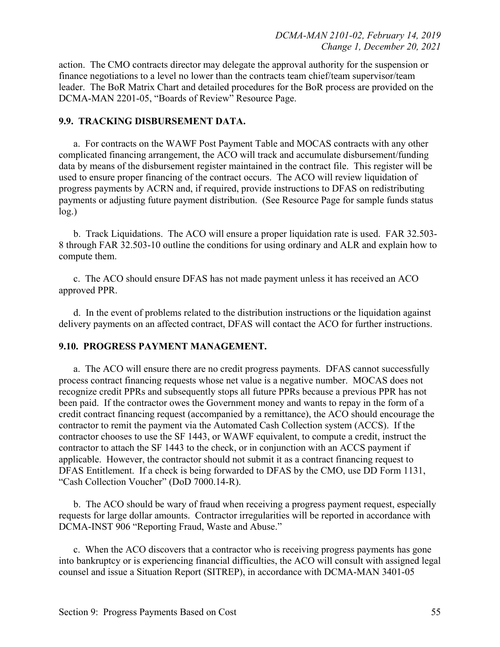action. The CMO contracts director may delegate the approval authority for the suspension or finance negotiations to a level no lower than the contracts team chief/team supervisor/team leader. The BoR Matrix Chart and detailed procedures for the BoR process are provided on the DCMA-MAN 2201-05, "Boards of Review" Resource Page.

#### **9.9. TRACKING DISBURSEMENT DATA.**

a. For contracts on the WAWF Post Payment Table and MOCAS contracts with any other complicated financing arrangement, the ACO will track and accumulate disbursement/funding data by means of the disbursement register maintained in the contract file. This register will be used to ensure proper financing of the contract occurs. The ACO will review liquidation of progress payments by ACRN and, if required, provide instructions to DFAS on redistributing payments or adjusting future payment distribution. (See Resource Page for sample funds status log.)

b. Track Liquidations. The ACO will ensure a proper liquidation rate is used. FAR 32.503- 8 through FAR 32.503-10 outline the conditions for using ordinary and ALR and explain how to compute them.

c. The ACO should ensure DFAS has not made payment unless it has received an ACO approved PPR.

d. In the event of problems related to the distribution instructions or the liquidation against delivery payments on an affected contract, DFAS will contact the ACO for further instructions.

## **9.10. PROGRESS PAYMENT MANAGEMENT.**

a. The ACO will ensure there are no credit progress payments. DFAS cannot successfully process contract financing requests whose net value is a negative number. MOCAS does not recognize credit PPRs and subsequently stops all future PPRs because a previous PPR has not been paid. If the contractor owes the Government money and wants to repay in the form of a credit contract financing request (accompanied by a remittance), the ACO should encourage the contractor to remit the payment via the Automated Cash Collection system (ACCS). If the contractor chooses to use the SF 1443, or WAWF equivalent, to compute a credit, instruct the contractor to attach the SF 1443 to the check, or in conjunction with an ACCS payment if applicable. However, the contractor should not submit it as a contract financing request to DFAS Entitlement. If a check is being forwarded to DFAS by the CMO, use DD Form 1131, "Cash Collection Voucher" (DoD 7000.14-R).

b. The ACO should be wary of fraud when receiving a progress payment request, especially requests for large dollar amounts. Contractor irregularities will be reported in accordance with DCMA-INST 906 "Reporting Fraud, Waste and Abuse."

c. When the ACO discovers that a contractor who is receiving progress payments has gone into bankruptcy or is experiencing financial difficulties, the ACO will consult with assigned legal counsel and issue a Situation Report (SITREP), in accordance with DCMA-MAN 3401-05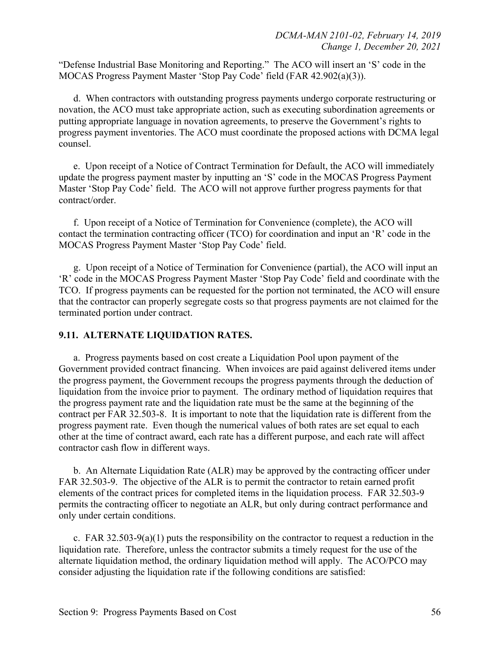"Defense Industrial Base Monitoring and Reporting." The ACO will insert an 'S' code in the MOCAS Progress Payment Master 'Stop Pay Code' field (FAR 42.902(a)(3)).

d. When contractors with outstanding progress payments undergo corporate restructuring or novation, the ACO must take appropriate action, such as executing subordination agreements or putting appropriate language in novation agreements, to preserve the Government's rights to progress payment inventories. The ACO must coordinate the proposed actions with DCMA legal counsel.

e. Upon receipt of a Notice of Contract Termination for Default, the ACO will immediately update the progress payment master by inputting an 'S' code in the MOCAS Progress Payment Master 'Stop Pay Code' field. The ACO will not approve further progress payments for that contract/order.

f. Upon receipt of a Notice of Termination for Convenience (complete), the ACO will contact the termination contracting officer (TCO) for coordination and input an 'R' code in the MOCAS Progress Payment Master 'Stop Pay Code' field.

g. Upon receipt of a Notice of Termination for Convenience (partial), the ACO will input an 'R' code in the MOCAS Progress Payment Master 'Stop Pay Code' field and coordinate with the TCO. If progress payments can be requested for the portion not terminated, the ACO will ensure that the contractor can properly segregate costs so that progress payments are not claimed for the terminated portion under contract.

## **9.11. ALTERNATE LIQUIDATION RATES.**

a. Progress payments based on cost create a Liquidation Pool upon payment of the Government provided contract financing. When invoices are paid against delivered items under the progress payment, the Government recoups the progress payments through the deduction of liquidation from the invoice prior to payment. The ordinary method of liquidation requires that the progress payment rate and the liquidation rate must be the same at the beginning of the contract per FAR 32.503-8. It is important to note that the liquidation rate is different from the progress payment rate. Even though the numerical values of both rates are set equal to each other at the time of contract award, each rate has a different purpose, and each rate will affect contractor cash flow in different ways.

b. An Alternate Liquidation Rate (ALR) may be approved by the contracting officer under FAR 32.503-9. The objective of the ALR is to permit the contractor to retain earned profit elements of the contract prices for completed items in the liquidation process. FAR 32.503-9 permits the contracting officer to negotiate an ALR, but only during contract performance and only under certain conditions.

c. FAR  $32.503-9(a)(1)$  puts the responsibility on the contractor to request a reduction in the liquidation rate. Therefore, unless the contractor submits a timely request for the use of the alternate liquidation method, the ordinary liquidation method will apply. The ACO/PCO may consider adjusting the liquidation rate if the following conditions are satisfied: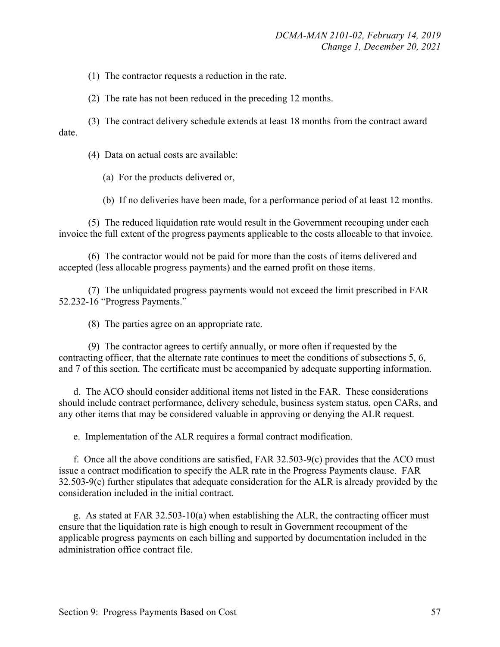(1) The contractor requests a reduction in the rate.

(2) The rate has not been reduced in the preceding 12 months.

(3) The contract delivery schedule extends at least 18 months from the contract award date.

(4) Data on actual costs are available:

(a) For the products delivered or,

(b) If no deliveries have been made, for a performance period of at least 12 months.

(5) The reduced liquidation rate would result in the Government recouping under each invoice the full extent of the progress payments applicable to the costs allocable to that invoice.

(6) The contractor would not be paid for more than the costs of items delivered and accepted (less allocable progress payments) and the earned profit on those items.

(7) The unliquidated progress payments would not exceed the limit prescribed in FAR 52.232-16 "Progress Payments."

(8) The parties agree on an appropriate rate.

(9) The contractor agrees to certify annually, or more often if requested by the contracting officer, that the alternate rate continues to meet the conditions of subsections 5, 6, and 7 of this section. The certificate must be accompanied by adequate supporting information.

d. The ACO should consider additional items not listed in the FAR. These considerations should include contract performance, delivery schedule, business system status, open CARs, and any other items that may be considered valuable in approving or denying the ALR request.

e. Implementation of the ALR requires a formal contract modification.

f. Once all the above conditions are satisfied, FAR 32.503-9(c) provides that the ACO must issue a contract modification to specify the ALR rate in the Progress Payments clause. FAR 32.503-9(c) further stipulates that adequate consideration for the ALR is already provided by the consideration included in the initial contract.

g. As stated at FAR 32.503-10(a) when establishing the ALR, the contracting officer must ensure that the liquidation rate is high enough to result in Government recoupment of the applicable progress payments on each billing and supported by documentation included in the administration office contract file.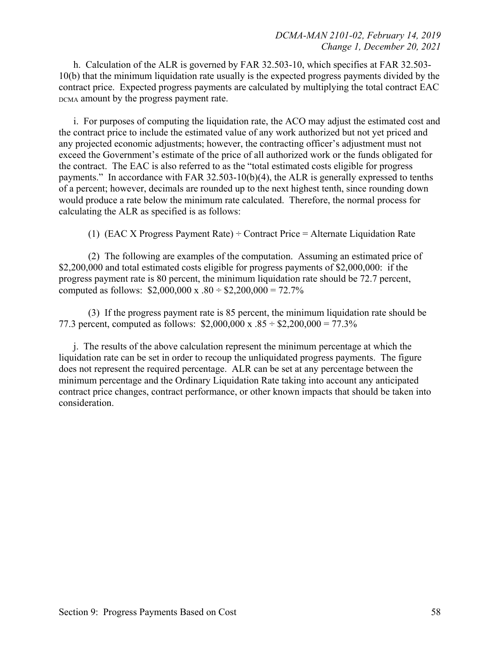h. Calculation of the ALR is governed by FAR 32.503-10, which specifies at FAR 32.503- 10(b) that the minimum liquidation rate usually is the expected progress payments divided by the contract price. Expected progress payments are calculated by multiplying the total contract EAC DCMA amount by the progress payment rate.

i. For purposes of computing the liquidation rate, the ACO may adjust the estimated cost and the contract price to include the estimated value of any work authorized but not yet priced and any projected economic adjustments; however, the contracting officer's adjustment must not exceed the Government's estimate of the price of all authorized work or the funds obligated for the contract. The EAC is also referred to as the "total estimated costs eligible for progress payments." In accordance with FAR 32.503-10(b)(4), the ALR is generally expressed to tenths of a percent; however, decimals are rounded up to the next highest tenth, since rounding down would produce a rate below the minimum rate calculated. Therefore, the normal process for calculating the ALR as specified is as follows:

(1) (EAC X Progress Payment Rate)  $\div$  Contract Price = Alternate Liquidation Rate

(2) The following are examples of the computation. Assuming an estimated price of \$2,200,000 and total estimated costs eligible for progress payments of \$2,000,000: if the progress payment rate is 80 percent, the minimum liquidation rate should be 72.7 percent, computed as follows:  $$2,000,000 \times .80 \div $2,200,000 = 72.7\%$ 

(3) If the progress payment rate is 85 percent, the minimum liquidation rate should be 77.3 percent, computed as follows:  $$2,000,000 \text{ x } .85 \div $2,200,000 = 77.3\%$ 

j. The results of the above calculation represent the minimum percentage at which the liquidation rate can be set in order to recoup the unliquidated progress payments. The figure does not represent the required percentage. ALR can be set at any percentage between the minimum percentage and the Ordinary Liquidation Rate taking into account any anticipated contract price changes, contract performance, or other known impacts that should be taken into consideration.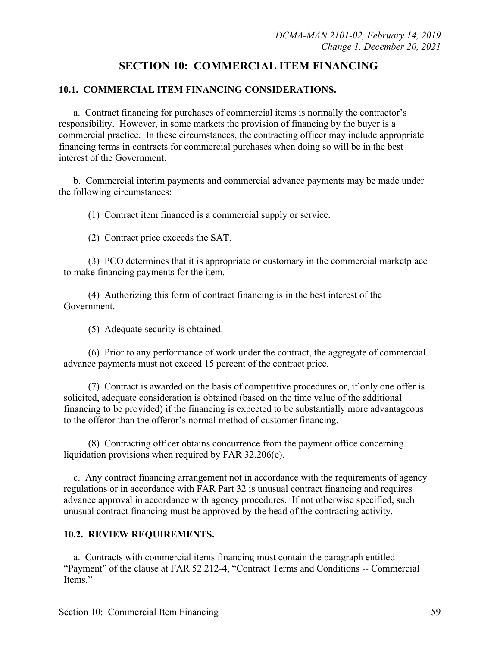# **SECTION 10: COMMERCIAL ITEM FINANCING**

## **10.1. COMMERCIAL ITEM FINANCING CONSIDERATIONS.**

a. Contract financing for purchases of commercial items is normally the contractor's responsibility. However, in some markets the provision of financing by the buyer is a commercial practice. In these circumstances, the contracting officer may include appropriate financing terms in contracts for commercial purchases when doing so will be in the best interest of the Government.

b. Commercial interim payments and commercial advance payments may be made under the following circumstances:

(1) Contract item financed is a commercial supply or service.

(2) Contract price exceeds the SAT.

(3) PCO determines that it is appropriate or customary in the commercial marketplace to make financing payments for the item.

(4) Authorizing this form of contract financing is in the best interest of the Government.

(5) Adequate security is obtained.

(6) Prior to any performance of work under the contract, the aggregate of commercial advance payments must not exceed 15 percent of the contract price.

(7) Contract is awarded on the basis of competitive procedures or, if only one offer is solicited, adequate consideration is obtained (based on the time value of the additional financing to be provided) if the financing is expected to be substantially more advantageous to the offeror than the offeror's normal method of customer financing.

(8) Contracting officer obtains concurrence from the payment office concerning liquidation provisions when required by FAR 32.206(e).

c. Any contract financing arrangement not in accordance with the requirements of agency regulations or in accordance with FAR Part 32 is unusual contract financing and requires advance approval in accordance with agency procedures. If not otherwise specified, such unusual contract financing must be approved by the head of the contracting activity.

## **10.2. REVIEW REQUIREMENTS.**

a. Contracts with commercial items financing must contain the paragraph entitled "Payment" of the clause at FAR 52.212-4, "Contract Terms and Conditions -- Commercial Items."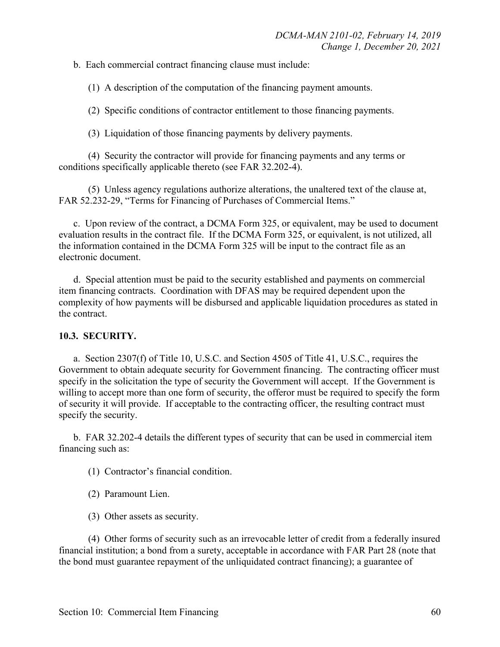b. Each commercial contract financing clause must include:

(1) A description of the computation of the financing payment amounts.

(2) Specific conditions of contractor entitlement to those financing payments.

(3) Liquidation of those financing payments by delivery payments.

(4) Security the contractor will provide for financing payments and any terms or conditions specifically applicable thereto (see FAR 32.202-4).

(5) Unless agency regulations authorize alterations, the unaltered text of the clause at, FAR 52.232-29, "Terms for Financing of Purchases of Commercial Items."

c. Upon review of the contract, a DCMA Form 325, or equivalent, may be used to document evaluation results in the contract file. If the DCMA Form 325, or equivalent, is not utilized, all the information contained in the DCMA Form 325 will be input to the contract file as an electronic document.

d. Special attention must be paid to the security established and payments on commercial item financing contracts. Coordination with DFAS may be required dependent upon the complexity of how payments will be disbursed and applicable liquidation procedures as stated in the contract.

#### **10.3. SECURITY.**

a. Section 2307(f) of Title 10, U.S.C. and Section 4505 of Title 41, U.S.C., requires the Government to obtain adequate security for Government financing. The contracting officer must specify in the solicitation the type of security the Government will accept. If the Government is willing to accept more than one form of security, the offeror must be required to specify the form of security it will provide. If acceptable to the contracting officer, the resulting contract must specify the security.

b. FAR 32.202-4 details the different types of security that can be used in commercial item financing such as:

(1) Contractor's financial condition.

(2) Paramount Lien.

(3) Other assets as security.

(4) Other forms of security such as an irrevocable letter of credit from a federally insured financial institution; a bond from a surety, acceptable in accordance with FAR [Part 28](http://farsite.hill.af.mil/reghtml/regs/far2afmcfars/fardfars/far/28.htm#TopOfPage) (note that the bond must guarantee repayment of the unliquidated contract financing); a guarantee of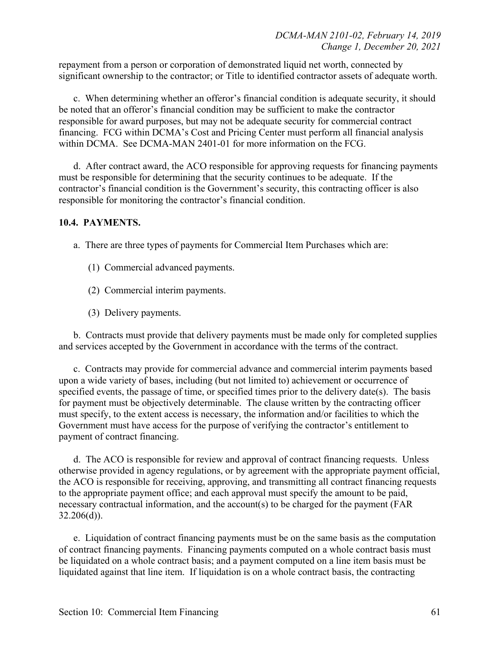repayment from a person or corporation of demonstrated liquid net worth, connected by significant ownership to the contractor; or Title to identified contractor assets of adequate worth.

c. When determining whether an offeror's financial condition is adequate security, it should be noted that an offeror's financial condition may be sufficient to make the contractor responsible for award purposes, but may not be adequate security for commercial contract financing. FCG within DCMA's Cost and Pricing Center must perform all financial analysis within DCMA. See DCMA-MAN 2401-01 for more information on the FCG.

d. After contract award, the ACO responsible for approving requests for financing payments must be responsible for determining that the security continues to be adequate. If the contractor's financial condition is the Government's security, this contracting officer is also responsible for monitoring the contractor's financial condition.

#### **10.4. PAYMENTS.**

a. There are three types of payments for Commercial Item Purchases which are:

- (1) Commercial advanced payments.
- (2) Commercial interim payments.
- (3) Delivery payments.

b. Contracts must provide that delivery payments must be made only for completed supplies and services accepted by the Government in accordance with the terms of the contract.

c. Contracts may provide for commercial advance and commercial interim payments based upon a wide variety of bases, including (but not limited to) achievement or occurrence of specified events, the passage of time, or specified times prior to the delivery date(s). The basis for payment must be objectively determinable. The clause written by the contracting officer must specify, to the extent access is necessary, the information and/or facilities to which the Government must have access for the purpose of verifying the contractor's entitlement to payment of contract financing.

d. The ACO is responsible for review and approval of contract financing requests. Unless otherwise provided in agency regulations, or by agreement with the appropriate payment official, the ACO is responsible for receiving, approving, and transmitting all contract financing requests to the appropriate payment office; and each approval must specify the amount to be paid, necessary contractual information, and the account(s) to be charged for the payment (FAR  $32.206(d)$ ).

e. Liquidation of contract financing payments must be on the same basis as the computation of contract financing payments. Financing payments computed on a whole contract basis must be liquidated on a whole contract basis; and a payment computed on a line item basis must be liquidated against that line item. If liquidation is on a whole contract basis, the contracting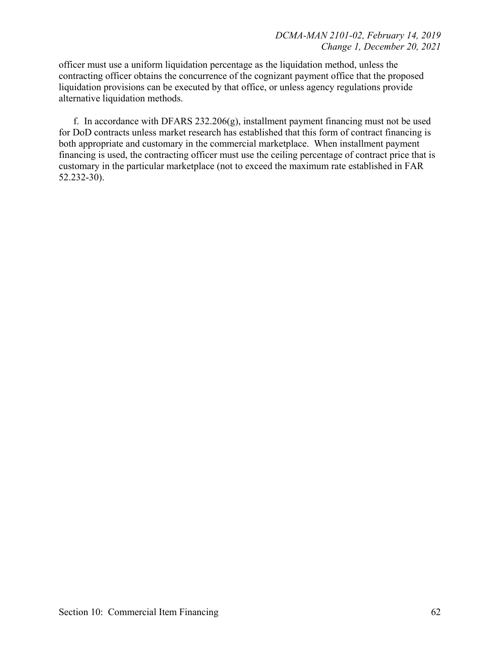officer must use a uniform liquidation percentage as the liquidation method, unless the contracting officer obtains the concurrence of the cognizant payment office that the proposed liquidation provisions can be executed by that office, or unless agency regulations provide alternative liquidation methods.

f. In accordance with DFARS  $232.206(g)$ , installment payment financing must not be used for DoD contracts unless market research has established that this form of contract financing is both appropriate and customary in the commercial marketplace. When installment payment financing is used, the contracting officer must use the ceiling percentage of contract price that is customary in the particular marketplace (not to exceed the maximum rate established in FAR 52.232-30).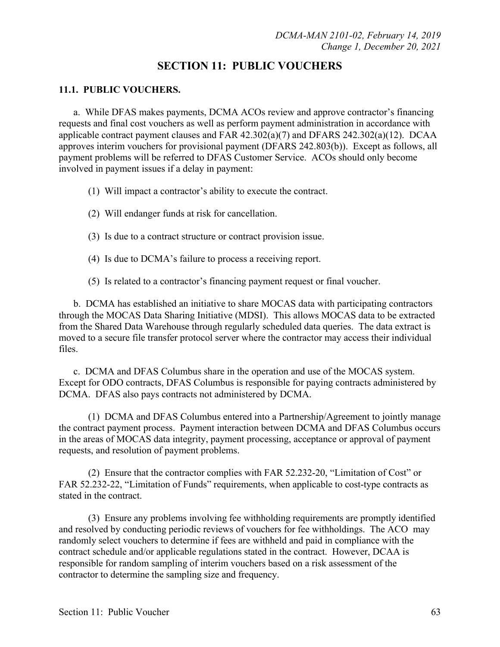# **SECTION 11: PUBLIC VOUCHERS**

### **11.1. PUBLIC VOUCHERS.**

a. While DFAS makes payments, DCMA ACOs review and approve contractor's financing requests and final cost vouchers as well as perform payment administration in accordance with applicable contract payment clauses and FAR  $42.302(a)(7)$  and DFARS  $242.302(a)(12)$ . DCAA approves interim vouchers for provisional payment (DFARS 242.803(b)). Except as follows, all payment problems will be referred to DFAS Customer Service. ACOs should only become involved in payment issues if a delay in payment:

- (1) Will impact a contractor's ability to execute the contract.
- (2) Will endanger funds at risk for cancellation.
- (3) Is due to a contract structure or contract provision issue.
- (4) Is due to DCMA's failure to process a receiving report.
- (5) Is related to a contractor's financing payment request or final voucher.

b. DCMA has established an initiative to share MOCAS data with participating contractors through the MOCAS Data Sharing Initiative (MDSI). This allows MOCAS data to be extracted from the Shared Data Warehouse through regularly scheduled data queries. The data extract is moved to a secure file transfer protocol server where the contractor may access their individual files.

c. DCMA and DFAS Columbus share in the operation and use of the MOCAS system. Except for ODO contracts, DFAS Columbus is responsible for paying contracts administered by DCMA. DFAS also pays contracts not administered by DCMA.

(1) DCMA and DFAS Columbus entered into a Partnership/Agreement to jointly manage the contract payment process. Payment interaction between DCMA and DFAS Columbus occurs in the areas of MOCAS data integrity, payment processing, acceptance or approval of payment requests, and resolution of payment problems.

(2) Ensure that the contractor complies with FAR [52.232-20,](http://farsite.hill.af.mil/reghtml/regs/far2afmcfars/fardfars/far/52_232.htm#P536_98559) "Limitation of Cost" or FAR [52.232-22,](http://farsite.hill.af.mil/reghtml/regs/far2afmcfars/fardfars/far/52_232.htm#P563_102645) "Limitation of Funds" requirements, when applicable to cost-type contracts as stated in the contract.

(3) Ensure any problems involving fee withholding requirements are promptly identified and resolved by conducting periodic reviews of vouchers for fee withholdings. The ACO may randomly select vouchers to determine if fees are withheld and paid in compliance with the contract schedule and/or applicable regulations stated in the contract. However, DCAA is responsible for random sampling of interim vouchers based on a risk assessment of the contractor to determine the sampling size and frequency.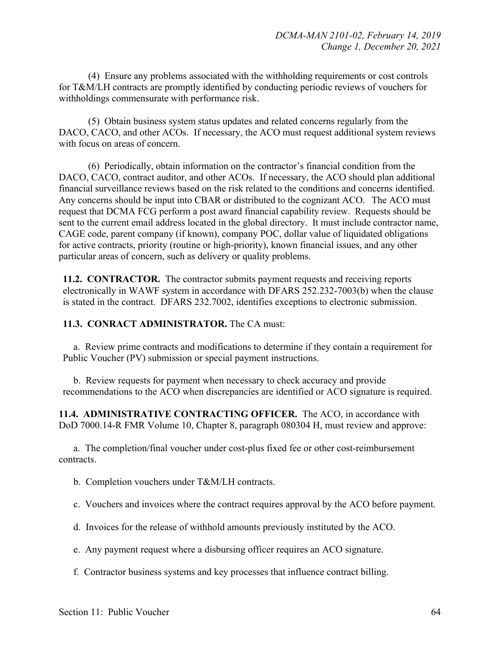(4) Ensure any problems associated with the withholding requirements or cost controls for T&M/LH contracts are promptly identified by conducting periodic reviews of vouchers for withholdings commensurate with performance risk.

(5) Obtain business system status updates and related concerns regularly from the DACO, CACO, and other ACOs. If necessary, the ACO must request additional system reviews with focus on areas of concern.

(6) Periodically, obtain information on the contractor's financial condition from the DACO, CACO, contract auditor, and other ACOs. If necessary, the ACO should plan additional financial surveillance reviews based on the risk related to the conditions and concerns identified. Any concerns should be input into CBAR or distributed to the cognizant ACO. The ACO must request that DCMA FCG perform a post award financial capability review. Requests should be sent to the current email address located in the global directory. It must include contractor name, CAGE code, parent company (if known), company POC, dollar value of liquidated obligations for active contracts, priority (routine or high-priority), known financial issues, and any other particular areas of concern, such as delivery or quality problems.

**11.2. CONTRACTOR.** The contractor submits payment requests and receiving reports electronically in WAWF system in accordance with DFARS 252.232-7003(b) when the clause is stated in the contract. DFARS 232.7002, identifies exceptions to electronic submission.

#### **11.3. CONRACT ADMINISTRATOR.** The CA must:

a. Review prime contracts and modifications to determine if they contain a requirement for Public Voucher (PV) submission or special payment instructions.

b. Review requests for payment when necessary to check accuracy and provide recommendations to the ACO when discrepancies are identified or ACO signature is required.

**11.4. ADMINISTRATIVE CONTRACTING OFFICER.** The ACO, in accordance with DoD 7000.14-R FMR Volume 10, Chapter 8, paragraph 080304 H, must review and approve:

a. The completion/final voucher under cost-plus fixed fee or other cost-reimbursement contracts.

b. Completion vouchers under T&M/LH contracts.

c. Vouchers and invoices where the contract requires approval by the ACO before payment.

d. Invoices for the release of withhold amounts previously instituted by the ACO.

e. Any payment request where a disbursing officer requires an ACO signature.

f. Contractor business systems and key processes that influence contract billing.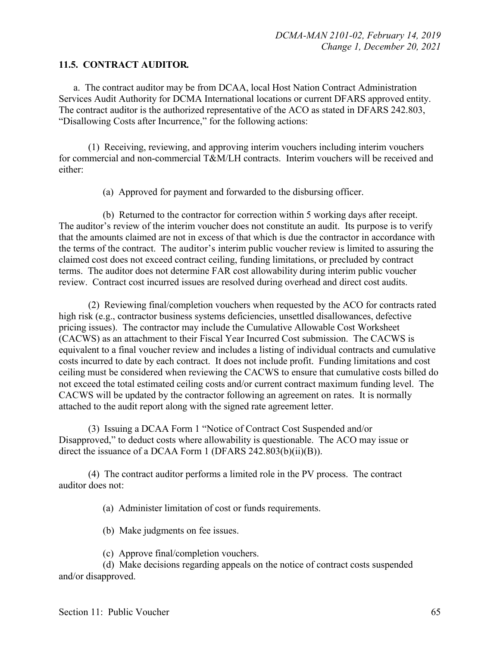#### **11.5. CONTRACT AUDITOR***.*

a. The contract auditor may be from DCAA, local Host Nation Contract Administration Services Audit Authority for DCMA International locations or current DFARS approved entity. The contract auditor is the authorized representative of the ACO as stated in DFARS 242.803, "Disallowing Costs after Incurrence," for the following actions:

(1) Receiving, reviewing, and approving interim vouchers including interim vouchers for commercial and non-commercial T&M/LH contracts. Interim vouchers will be received and either:

(a) Approved for payment and forwarded to the disbursing officer.

(b) Returned to the contractor for correction within 5 working days after receipt. The auditor's review of the interim voucher does not constitute an audit. Its purpose is to verify that the amounts claimed are not in excess of that which is due the contractor in accordance with the terms of the contract. The auditor's interim public voucher review is limited to assuring the claimed cost does not exceed contract ceiling, funding limitations, or precluded by contract terms. The auditor does not determine FAR cost allowability during interim public voucher review. Contract cost incurred issues are resolved during overhead and direct cost audits.

(2) Reviewing final/completion vouchers when requested by the ACO for contracts rated high risk (e.g., contractor business systems deficiencies, unsettled disallowances, defective pricing issues). The contractor may include the Cumulative Allowable Cost Worksheet (CACWS) as an attachment to their Fiscal Year Incurred Cost submission. The CACWS is equivalent to a final voucher review and includes a listing of individual contracts and cumulative costs incurred to date by each contract. It does not include profit. Funding limitations and cost ceiling must be considered when reviewing the CACWS to ensure that cumulative costs billed do not exceed the total estimated ceiling costs and/or current contract maximum funding level. The CACWS will be updated by the contractor following an agreement on rates. It is normally attached to the audit report along with the signed rate agreement letter.

(3) Issuing a DCAA Form 1 "Notice of Contract Cost Suspended and/or Disapproved," to deduct costs where allowability is questionable. The ACO may issue or direct the issuance of a DCAA Form 1 (DFARS 242.803(b)(ii)(B)).

(4) The contract auditor performs a limited role in the PV process. The contract auditor does not:

(a) Administer limitation of cost or funds requirements.

(b) Make judgments on fee issues.

(c) Approve final/completion vouchers.

(d) Make decisions regarding appeals on the notice of contract costs suspended and/or disapproved.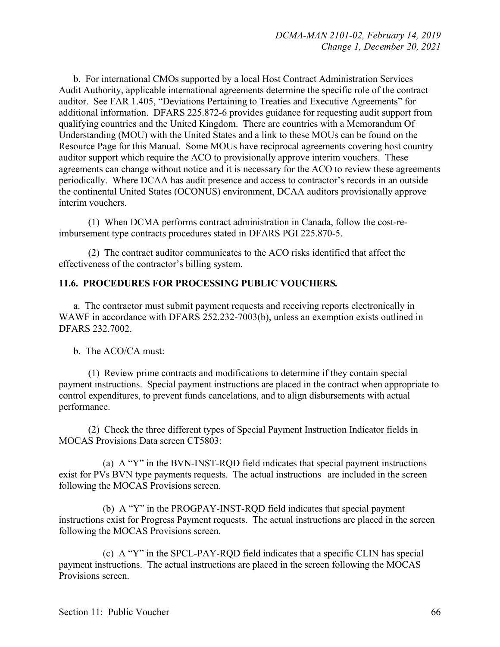b. For international CMOs supported by a local Host Contract Administration Services Audit Authority, applicable international agreements determine the specific role of the contract auditor. See FAR 1.405, "Deviations Pertaining to Treaties and Executive Agreements" for additional information. DFARS 225.872-6 provides guidance for requesting audit support from qualifying countries and the United Kingdom. There are countries with a Memorandum Of Understanding (MOU) with the United States and a link to these MOUs can be found on the Resource Page for this Manual. Some MOUs have reciprocal agreements covering host country auditor support which require the ACO to provisionally approve interim vouchers. These agreements can change without notice and it is necessary for the ACO to review these agreements periodically. Where DCAA has audit presence and access to contractor's records in an outside the continental United States (OCONUS) environment, DCAA auditors provisionally approve interim vouchers.

(1) When DCMA performs contract administration in Canada, follow the cost-reimbursement type contracts procedures stated in DFARS PGI 225.870-5.

(2) The contract auditor communicates to the ACO risks identified that affect the effectiveness of the contractor's billing system.

#### **11.6. PROCEDURES FOR PROCESSING PUBLIC VOUCHERS***.*

a. The contractor must submit payment requests and receiving reports electronically in WAWF in accordance with DFARS 252.232-7003(b), unless an exemption exists outlined in DFARS 232.7002.

b. The ACO/CA must:

(1) Review prime contracts and modifications to determine if they contain special payment instructions. Special payment instructions are placed in the contract when appropriate to control expenditures, to prevent funds cancelations, and to align disbursements with actual performance.

(2) Check the three different types of Special Payment Instruction Indicator fields in MOCAS Provisions Data screen CT5803:

(a) A "Y" in the BVN-INST-RQD field indicates that special payment instructions exist for PVs BVN type payments requests. The actual instructions are included in the screen following the MOCAS Provisions screen.

(b) A "Y" in the PROGPAY-INST-RQD field indicates that special payment instructions exist for Progress Payment requests. The actual instructions are placed in the screen following the MOCAS Provisions screen.

(c) A "Y" in the SPCL-PAY-RQD field indicates that a specific CLIN has special payment instructions. The actual instructions are placed in the screen following the MOCAS Provisions screen.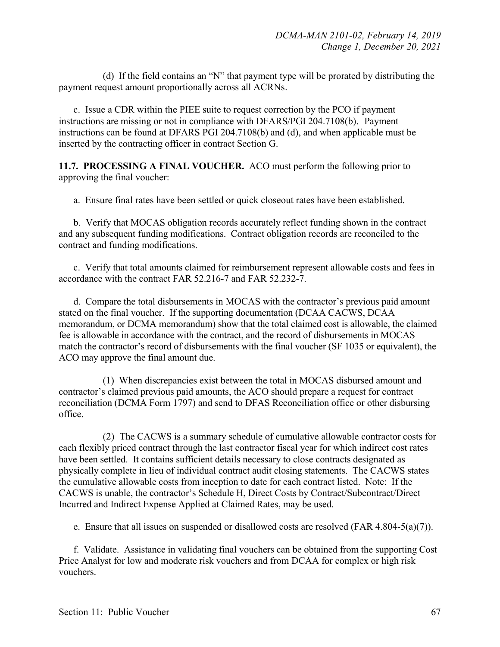(d) If the field contains an "N" that payment type will be prorated by distributing the payment request amount proportionally across all ACRNs.

c. Issue a CDR within the PIEE suite to request correction by the PCO if payment instructions are missing or not in compliance with DFARS/PGI 204.7108(b). Payment instructions can be found at DFARS PGI 204.7108(b) and (d), and when applicable must be inserted by the contracting officer in contract Section G.

**11.7. PROCESSING A FINAL VOUCHER.** ACO must perform the following prior to approving the final voucher:

a. Ensure final rates have been settled or quick closeout rates have been established.

b. Verify that MOCAS obligation records accurately reflect funding shown in the contract and any subsequent funding modifications. Contract obligation records are reconciled to the contract and funding modifications.

c. Verify that total amounts claimed for reimbursement represent allowable costs and fees in accordance with the contract FAR 52.216-7 and FAR 52.232-7.

d. Compare the total disbursements in MOCAS with the contractor's previous paid amount stated on the final voucher. If the supporting documentation (DCAA CACWS, DCAA memorandum, or DCMA memorandum) show that the total claimed cost is allowable, the claimed fee is allowable in accordance with the contract, and the record of disbursements in MOCAS match the contractor's record of disbursements with the final voucher (SF 1035 or equivalent), the ACO may approve the final amount due.

(1) When discrepancies exist between the total in MOCAS disbursed amount and contractor's claimed previous paid amounts, the ACO should prepare a request for contract reconciliation (DCMA Form 1797) and send to DFAS Reconciliation office or other disbursing office.

(2) The CACWS is a summary schedule of cumulative allowable contractor costs for each flexibly priced contract through the last contractor fiscal year for which indirect cost rates have been settled. It contains sufficient details necessary to close contracts designated as physically complete in lieu of individual contract audit closing statements. The CACWS states the cumulative allowable costs from inception to date for each contract listed. Note: If the CACWS is unable, the contractor's Schedule H, Direct Costs by Contract/Subcontract/Direct Incurred and Indirect Expense Applied at Claimed Rates, may be used.

e. Ensure that all issues on suspended or disallowed costs are resolved  $(FAR 4.804-5(a)(7))$ .

f. Validate. Assistance in validating final vouchers can be obtained from the supporting Cost Price Analyst for low and moderate risk vouchers and from DCAA for complex or high risk vouchers.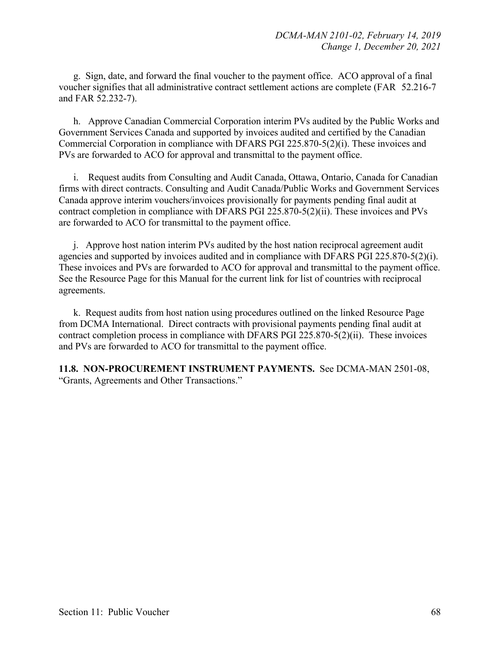g. Sign, date, and forward the final voucher to the payment office. ACO approval of a final voucher signifies that all administrative contract settlement actions are complete (FAR 52.216-7 and FAR 52.232-7).

h. Approve Canadian Commercial Corporation interim PVs audited by the Public Works and Government Services Canada and supported by invoices audited and certified by the Canadian Commercial Corporation in compliance with DFARS PGI 225.870-5(2)(i). These invoices and PVs are forwarded to ACO for approval and transmittal to the payment office.

i. Request audits from Consulting and Audit Canada, Ottawa, Ontario, Canada for Canadian firms with direct contracts. Consulting and Audit Canada/Public Works and Government Services Canada approve interim vouchers/invoices provisionally for payments pending final audit at contract completion in compliance with DFARS PGI 225.870-5(2)(ii). These invoices and PVs are forwarded to ACO for transmittal to the payment office.

j. Approve host nation interim PVs audited by the host nation reciprocal agreement audit agencies and supported by invoices audited and in compliance with DFARS PGI 225.870-5(2)(i). These invoices and PVs are forwarded to ACO for approval and transmittal to the payment office. See the Resource Page for this Manual for the current link for list of countries with reciprocal agreements.

k. Request audits from host nation using procedures outlined on the linked Resource Page from DCMA International. Direct contracts with provisional payments pending final audit at contract completion process in compliance with DFARS PGI 225.870-5(2)(ii). These invoices and PVs are forwarded to ACO for transmittal to the payment office.

**11.8. NON-PROCUREMENT INSTRUMENT PAYMENTS.** See DCMA-MAN 2501-08, "Grants, Agreements and Other Transactions."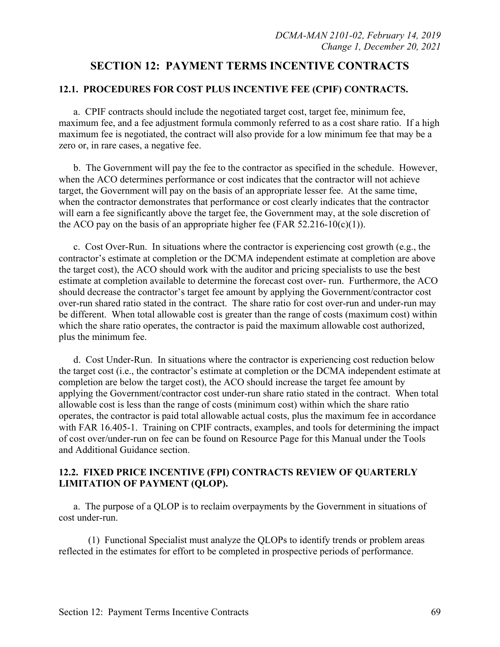## **SECTION 12: PAYMENT TERMS INCENTIVE CONTRACTS**

### **12.1. PROCEDURES FOR COST PLUS INCENTIVE FEE (CPIF) CONTRACTS.**

a. CPIF contracts should include the negotiated target cost, target fee, minimum fee, maximum fee, and a fee adjustment formula commonly referred to as a cost share ratio. If a high maximum fee is negotiated, the contract will also provide for a low minimum fee that may be a zero or, in rare cases, a negative fee.

b. The Government will pay the fee to the contractor as specified in the schedule. However, when the ACO determines performance or cost indicates that the contractor will not achieve target, the Government will pay on the basis of an appropriate lesser fee. At the same time, when the contractor demonstrates that performance or cost clearly indicates that the contractor will earn a fee significantly above the target fee, the Government may, at the sole discretion of the ACO pay on the basis of an appropriate higher fee (FAR  $52.216-10(c)(1)$ ).

c. Cost Over-Run. In situations where the contractor is experiencing cost growth (e.g., the contractor's estimate at completion or the DCMA independent estimate at completion are above the target cost), the ACO should work with the auditor and pricing specialists to use the best estimate at completion available to determine the forecast cost over- run. Furthermore, the ACO should decrease the contractor's target fee amount by applying the Government/contractor cost over-run shared ratio stated in the contract. The share ratio for cost over-run and under-run may be different. When total allowable cost is greater than the range of costs (maximum cost) within which the share ratio operates, the contractor is paid the maximum allowable cost authorized, plus the minimum fee.

d. Cost Under-Run. In situations where the contractor is experiencing cost reduction below the target cost (i.e., the contractor's estimate at completion or the DCMA independent estimate at completion are below the target cost), the ACO should increase the target fee amount by applying the Government/contractor cost under-run share ratio stated in the contract. When total allowable cost is less than the range of costs (minimum cost) within which the share ratio operates, the contractor is paid total allowable actual costs, plus the maximum fee in accordance with FAR 16.405-1. Training on CPIF contracts, examples, and tools for determining the impact of cost over/under-run on fee can be found on Resource Page for this Manual under the Tools and Additional Guidance section.

### **12.2. FIXED PRICE INCENTIVE (FPI) CONTRACTS REVIEW OF QUARTERLY LIMITATION OF PAYMENT (QLOP).**

a. The purpose of a QLOP is to reclaim overpayments by the Government in situations of cost under-run.

(1) Functional Specialist must analyze the QLOPs to identify trends or problem areas reflected in the estimates for effort to be completed in prospective periods of performance.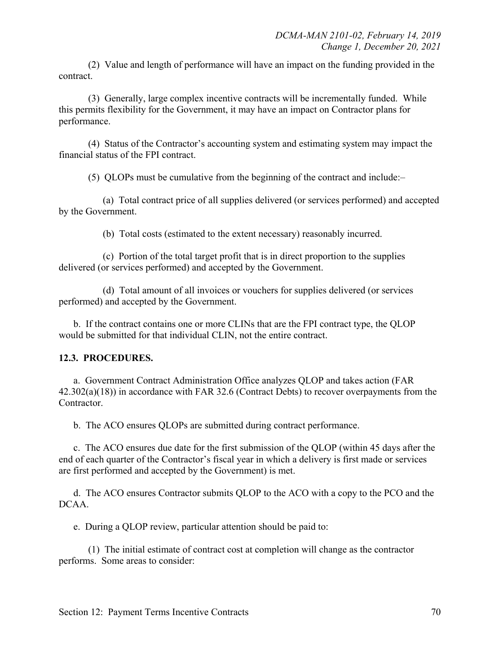(2) Value and length of performance will have an impact on the funding provided in the contract.

(3) Generally, large complex incentive contracts will be incrementally funded. While this permits flexibility for the Government, it may have an impact on Contractor plans for performance.

(4) Status of the Contractor's accounting system and estimating system may impact the financial status of the FPI contract.

(5) QLOPs must be cumulative from the beginning of the contract and include:–

(a) Total contract price of all supplies delivered (or services performed) and accepted by the Government.

(b) Total costs (estimated to the extent necessary) reasonably incurred.

(c) Portion of the total target profit that is in direct proportion to the supplies delivered (or services performed) and accepted by the Government.

(d) Total amount of all invoices or vouchers for supplies delivered (or services performed) and accepted by the Government.

b. If the contract contains one or more CLINs that are the FPI contract type, the QLOP would be submitted for that individual CLIN, not the entire contract.

## **12.3. PROCEDURES.**

a. Government Contract Administration Office analyzes QLOP and takes action (FAR 42.302(a)(18)) in accordance with FAR 32.6 (Contract Debts) to recover overpayments from the Contractor.

b. The ACO ensures QLOPs are submitted during contract performance.

c. The ACO ensures due date for the first submission of the QLOP (within 45 days after the end of each quarter of the Contractor's fiscal year in which a delivery is first made or services are first performed and accepted by the Government) is met.

d. The ACO ensures Contractor submits QLOP to the ACO with a copy to the PCO and the DCAA.

e. During a QLOP review, particular attention should be paid to:

(1) The initial estimate of contract cost at completion will change as the contractor performs. Some areas to consider: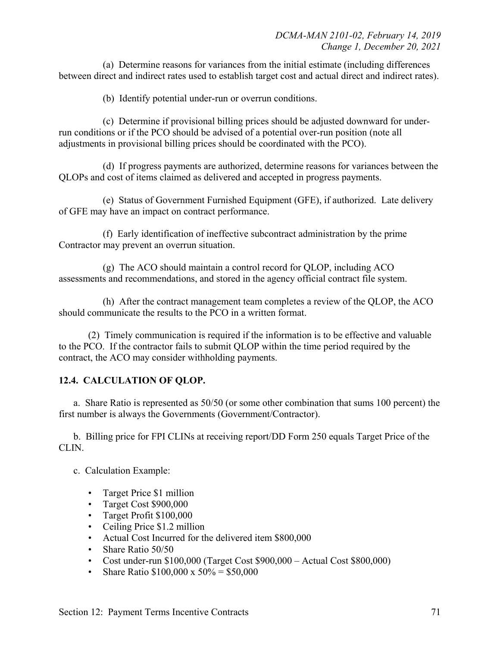(a) Determine reasons for variances from the initial estimate (including differences between direct and indirect rates used to establish target cost and actual direct and indirect rates).

(b) Identify potential under-run or overrun conditions.

(c) Determine if provisional billing prices should be adjusted downward for underrun conditions or if the PCO should be advised of a potential over-run position (note all adjustments in provisional billing prices should be coordinated with the PCO).

(d) If progress payments are authorized, determine reasons for variances between the QLOPs and cost of items claimed as delivered and accepted in progress payments.

(e) Status of Government Furnished Equipment (GFE), if authorized. Late delivery of GFE may have an impact on contract performance.

(f) Early identification of ineffective subcontract administration by the prime Contractor may prevent an overrun situation.

(g) The ACO should maintain a control record for QLOP, including ACO assessments and recommendations, and stored in the agency official contract file system.

(h) After the contract management team completes a review of the QLOP, the ACO should communicate the results to the PCO in a written format.

(2) Timely communication is required if the information is to be effective and valuable to the PCO. If the contractor fails to submit QLOP within the time period required by the contract, the ACO may consider withholding payments.

## **12.4. CALCULATION OF QLOP.**

a. Share Ratio is represented as 50/50 (or some other combination that sums 100 percent) the first number is always the Governments (Government/Contractor).

b. Billing price for FPI CLINs at receiving report/DD Form 250 equals Target Price of the CLIN.

- c. Calculation Example:
	- Target Price \$1 million
	- Target Cost \$900,000
	- Target Profit \$100,000
	- Ceiling Price \$1.2 million
	- Actual Cost Incurred for the delivered item \$800,000
	- Share Ratio 50/50
	- Cost under-run \$100,000 (Target Cost \$900,000 Actual Cost \$800,000)
	- Share Ratio  $$100,000 \times 50\% = $50,000$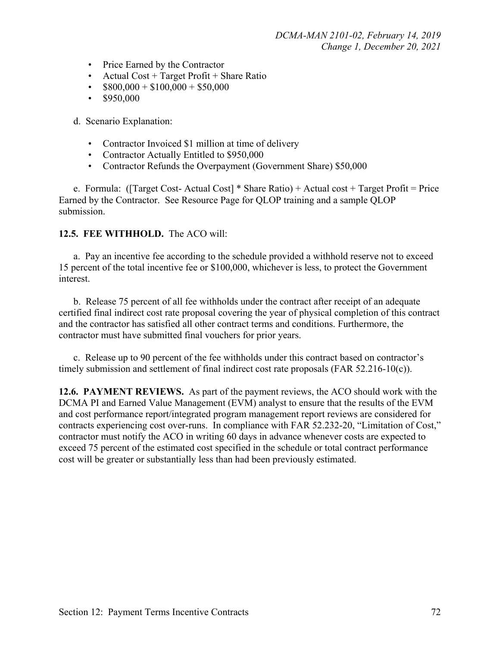- Price Earned by the Contractor
- Actual Cost + Target Profit + Share Ratio
- $$800,000 + $100,000 + $50,000$
- \$950,000

d. Scenario Explanation:

- Contractor Invoiced \$1 million at time of delivery
- Contractor Actually Entitled to \$950,000
- Contractor Refunds the Overpayment (Government Share) \$50,000

e. Formula: ([Target Cost- Actual Cost] \* Share Ratio) + Actual cost + Target Profit = Price Earned by the Contractor. See Resource Page for QLOP training and a sample QLOP submission.

#### **12.5. FEE WITHHOLD.** The ACO will:

a. Pay an incentive fee according to the schedule provided a withhold reserve not to exceed 15 percent of the total incentive fee or \$100,000, whichever is less, to protect the Government interest.

b. Release 75 percent of all fee withholds under the contract after receipt of an adequate certified final indirect cost rate proposal covering the year of physical completion of this contract and the contractor has satisfied all other contract terms and conditions. Furthermore, the contractor must have submitted final vouchers for prior years.

c. Release up to 90 percent of the fee withholds under this contract based on contractor's timely submission and settlement of final indirect cost rate proposals (FAR 52.216-10(c)).

**12.6. PAYMENT REVIEWS.** As part of the payment reviews, the ACO should work with the DCMA PI and Earned Value Management (EVM) analyst to ensure that the results of the EVM and cost performance report/integrated program management report reviews are considered for contracts experiencing cost over-runs. In compliance with FAR 52.232-20, "Limitation of Cost," contractor must notify the ACO in writing 60 days in advance whenever costs are expected to exceed 75 percent of the estimated cost specified in the schedule or total contract performance cost will be greater or substantially less than had been previously estimated.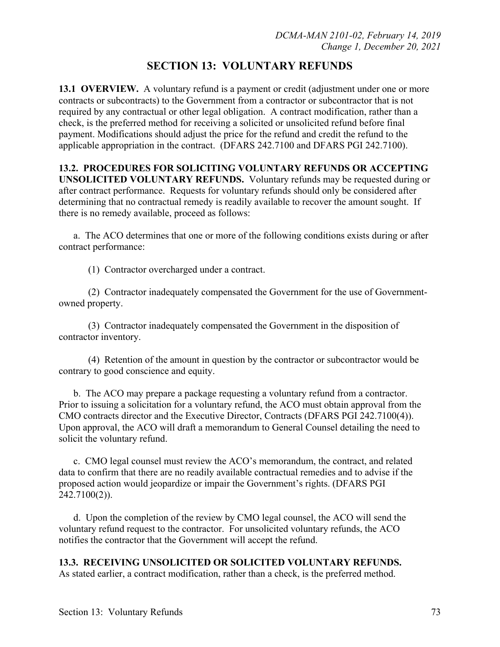## **SECTION 13: VOLUNTARY REFUNDS**

**13.1 OVERVIEW.** A voluntary refund is a payment or credit (adjustment under one or more contracts or subcontracts) to the Government from a contractor or subcontractor that is not required by any contractual or other legal obligation. A contract modification, rather than a check, is the preferred method for receiving a solicited or unsolicited refund before final payment. Modifications should adjust the price for the refund and credit the refund to the applicable appropriation in the contract. (DFARS 242.7100 and DFARS PGI 242.7100).

#### **13.2. PROCEDURES FOR SOLICITING VOLUNTARY REFUNDS OR ACCEPTING**

**UNSOLICITED VOLUNTARY REFUNDS.** Voluntary refunds may be requested during or after contract performance. Requests for voluntary refunds should only be considered after determining that no contractual remedy is readily available to recover the amount sought. If there is no remedy available, proceed as follows:

a. The ACO determines that one or more of the following conditions exists during or after contract performance:

(1) Contractor overcharged under a contract.

(2) Contractor inadequately compensated the Government for the use of Governmentowned property.

(3) Contractor inadequately compensated the Government in the disposition of contractor inventory.

(4) Retention of the amount in question by the contractor or subcontractor would be contrary to good conscience and equity.

b. The ACO may prepare a package requesting a voluntary refund from a contractor. Prior to issuing a solicitation for a voluntary refund, the ACO must obtain approval from the CMO contracts director and the Executive Director, Contracts (DFARS PGI 242.7100(4)). Upon approval, the ACO will draft a memorandum to General Counsel detailing the need to solicit the voluntary refund.

c. CMO legal counsel must review the ACO's memorandum, the contract, and related data to confirm that there are no readily available contractual remedies and to advise if the proposed action would jeopardize or impair the Government's rights. (DFARS PGI 242.7100(2)).

d. Upon the completion of the review by CMO legal counsel, the ACO will send the voluntary refund request to the contractor. For unsolicited voluntary refunds, the ACO notifies the contractor that the Government will accept the refund.

#### **13.3. RECEIVING UNSOLICITED OR SOLICITED VOLUNTARY REFUNDS.**

As stated earlier, a contract modification, rather than a check, is the preferred method.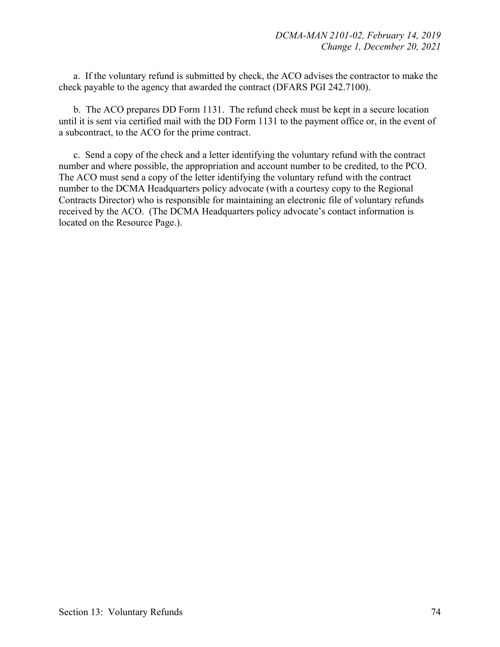a. If the voluntary refund is submitted by check, the ACO advises the contractor to make the check payable to the agency that awarded the contract (DFARS PGI 242.7100).

b. The ACO prepares DD Form 1131. The refund check must be kept in a secure location until it is sent via certified mail with the DD Form 1131 to the payment office or, in the event of a subcontract, to the ACO for the prime contract.

c. Send a copy of the check and a letter identifying the voluntary refund with the contract number and where possible, the appropriation and account number to be credited, to the PCO. The ACO must send a copy of the letter identifying the voluntary refund with the contract number to the DCMA Headquarters policy advocate (with a courtesy copy to the Regional Contracts Director) who is responsible for maintaining an electronic file of voluntary refunds received by the ACO. (The DCMA Headquarters policy advocate's contact information is located on the Resource Page.).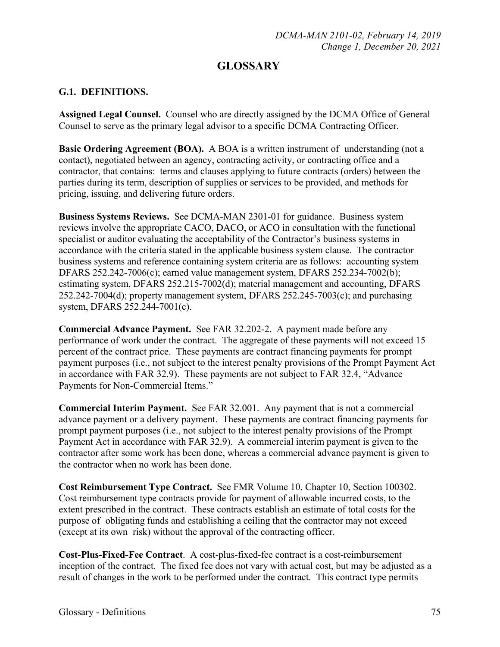# **GLOSSARY**

### **G.1. DEFINITIONS.**

**Assigned Legal Counsel.** Counsel who are directly assigned by the DCMA Office of General Counsel to serve as the primary legal advisor to a specific DCMA Contracting Officer.

**Basic Ordering Agreement (BOA).** A BOA is a written instrument of understanding (not a contact), negotiated between an agency, contracting activity, or contracting office and a contractor, that contains: terms and clauses applying to future contracts (orders) between the parties during its term, description of supplies or services to be provided, and methods for pricing, issuing, and delivering future orders.

**Business Systems Reviews.** See DCMA-MAN 2301-01 for guidance. Business system reviews involve the appropriate CACO, DACO, or ACO in consultation with the functional specialist or auditor evaluating the acceptability of the Contractor's business systems in accordance with the criteria stated in the applicable business system clause. The contractor business systems and reference containing system criteria are as follows: accounting system DFARS 252.242-7006(c); earned value management system, DFARS 252.234-7002(b); estimating system, DFARS 252.215-7002(d); material management and accounting, DFARS  $252.242-7004(d)$ ; property management system, DFARS  $252.245-7003(c)$ ; and purchasing system, DFARS 252.244-7001(c).

**Commercial Advance Payment.** See FAR 32.202-2. A payment made before any performance of work under the contract. The aggregate of these payments will not exceed 15 percent of the contract price. These payments are contract financing payments for prompt payment purposes (i.e., not subject to the interest penalty provisions of the Prompt Payment Act in accordance with FAR 32.9). These payments are not subject to FAR 32.4, "Advance Payments for Non-Commercial Items."

**Commercial Interim Payment.** See FAR 32.001. Any payment that is not a commercial advance payment or a delivery payment. These payments are contract financing payments for prompt payment purposes (i.e., not subject to the interest penalty provisions of the Prompt Payment Act in accordance with FAR 32.9). A commercial interim payment is given to the contractor after some work has been done, whereas a commercial advance payment is given to the contractor when no work has been done.

**Cost Reimbursement Type Contract.** See FMR Volume 10, Chapter 10, Section 100302. Cost reimbursement type contracts provide for payment of allowable incurred costs, to the extent prescribed in the contract. These contracts establish an estimate of total costs for the purpose of obligating funds and establishing a ceiling that the contractor may not exceed (except at its own risk) without the approval of the contracting officer.

**Cost-Plus-Fixed-Fee Contract**. A cost-plus-fixed-fee contract is a cost-reimbursement inception of the contract. The fixed fee does not vary with actual cost, but may be adjusted as a result of changes in the work to be performed under the contract. This contract type permits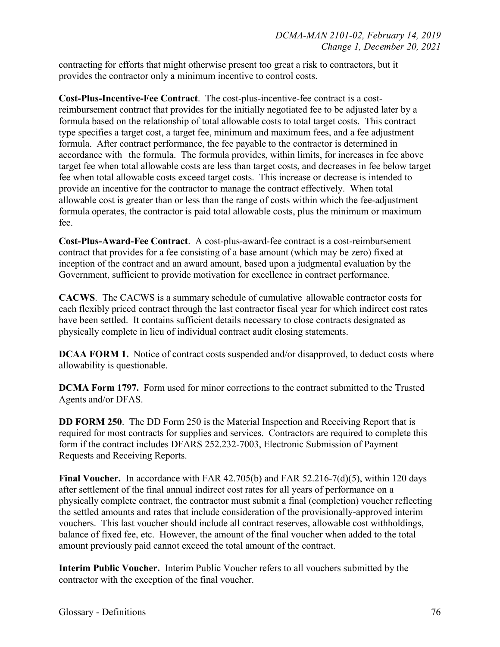contracting for efforts that might otherwise present too great a risk to contractors, but it provides the contractor only a minimum incentive to control costs.

**Cost-Plus-Incentive-Fee Contract**. The cost-plus-incentive-fee contract is a costreimbursement contract that provides for the initially negotiated fee to be adjusted later by a formula based on the relationship of total allowable costs to total target costs. This contract type specifies a target cost, a target fee, minimum and maximum fees, and a fee adjustment formula. After contract performance, the fee payable to the contractor is determined in accordance with the formula. The formula provides, within limits, for increases in fee above target fee when total allowable costs are less than target costs, and decreases in fee below target fee when total allowable costs exceed target costs. This increase or decrease is intended to provide an incentive for the contractor to manage the contract effectively. When total allowable cost is greater than or less than the range of costs within which the fee-adjustment formula operates, the contractor is paid total allowable costs, plus the minimum or maximum fee.

**Cost-Plus-Award-Fee Contract**. A cost-plus-award-fee contract is a cost-reimbursement contract that provides for a fee consisting of a base amount (which may be zero) fixed at inception of the contract and an award amount, based upon a judgmental evaluation by the Government, sufficient to provide motivation for excellence in contract performance.

**CACWS**. The CACWS is a summary schedule of cumulative allowable contractor costs for each flexibly priced contract through the last contractor fiscal year for which indirect cost rates have been settled. It contains sufficient details necessary to close contracts designated as physically complete in lieu of individual contract audit closing statements.

**DCAA FORM 1.** Notice of contract costs suspended and/or disapproved, to deduct costs where allowability is questionable.

**DCMA Form 1797.** Form used for minor corrections to the contract submitted to the Trusted Agents and/or DFAS.

**DD FORM 250.** The DD Form 250 is the Material Inspection and Receiving Report that is required for most contracts for supplies and services. Contractors are required to complete this form if the contract includes DFARS 252.232-7003, Electronic Submission of Payment Requests and Receiving Reports.

**Final Voucher.** In accordance with FAR 42.705(b) and FAR 52.216-7(d)(5), within 120 days after settlement of the final annual indirect cost rates for all years of performance on a physically complete contract, the contractor must submit a final (completion) voucher reflecting the settled amounts and rates that include consideration of the provisionally-approved interim vouchers. This last voucher should include all contract reserves, allowable cost withholdings, balance of fixed fee, etc. However, the amount of the final voucher when added to the total amount previously paid cannot exceed the total amount of the contract.

**Interim Public Voucher.** Interim Public Voucher refers to all vouchers submitted by the contractor with the exception of the final voucher.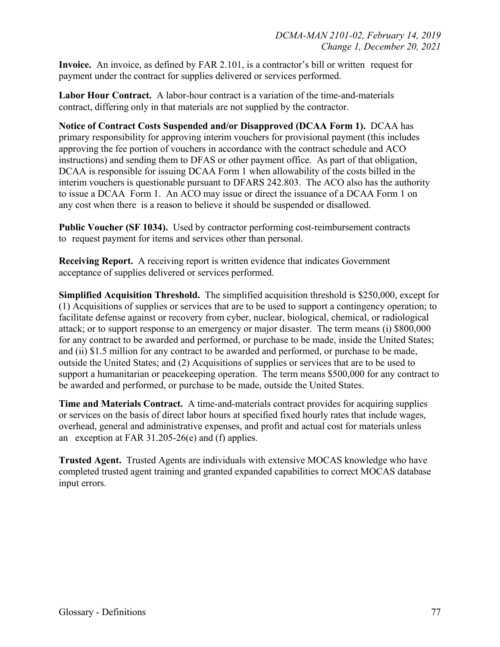**Invoice.** An invoice, as defined by FAR 2.101, is a contractor's bill or written request for payment under the contract for supplies delivered or services performed.

**Labor Hour Contract.** A labor-hour contract is a variation of the time-and-materials contract, differing only in that materials are not supplied by the contractor.

**Notice of Contract Costs Suspended and/or Disapproved (DCAA Form 1).** DCAA has primary responsibility for approving interim vouchers for provisional payment (this includes approving the fee portion of vouchers in accordance with the contract schedule and ACO instructions) and sending them to DFAS or other payment office. As part of that obligation, DCAA is responsible for issuing DCAA Form 1 when allowability of the costs billed in the interim vouchers is questionable pursuant to DFARS 242.803. The ACO also has the authority to issue a DCAA Form 1. An ACO may issue or direct the issuance of a DCAA Form 1 on any cost when there is a reason to believe it should be suspended or disallowed.

**Public Voucher (SF 1034).** Used by contractor performing cost-reimbursement contracts to request payment for items and services other than personal.

**Receiving Report.** A receiving report is written evidence that indicates Government acceptance of supplies delivered or services performed.

**Simplified Acquisition Threshold.** The simplified acquisition threshold is \$250,000, except for (1) Acquisitions of supplies or services that are to be used to support a contingency operation; to facilitate defense against or recovery from cyber, nuclear, biological, chemical, or radiological attack; or to support response to an emergency or major disaster. The term means (i) \$800,000 for any contract to be awarded and performed, or purchase to be made, inside the United States; and (ii) \$1.5 million for any contract to be awarded and performed, or purchase to be made, outside the United States; and (2) Acquisitions of supplies or services that are to be used to support a humanitarian or peacekeeping operation. The term means \$500,000 for any contract to be awarded and performed, or purchase to be made, outside the United States.

**Time and Materials Contract.** A time-and-materials contract provides for acquiring supplies or services on the basis of direct labor hours at specified fixed hourly rates that include wages, overhead, general and administrative expenses, and profit and actual cost for materials unless an exception at FAR 31.205-26(e) and (f) applies.

**Trusted Agent.** Trusted Agents are individuals with extensive MOCAS knowledge who have completed trusted agent training and granted expanded capabilities to correct MOCAS database input errors.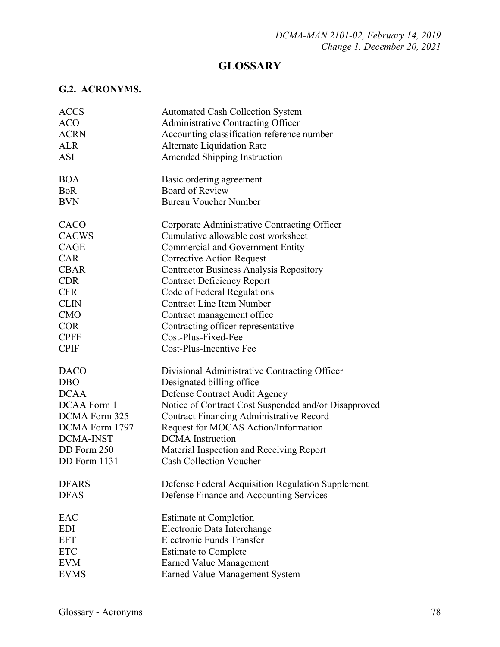# **GLOSSARY**

### **G.2. ACRONYMS.**

| <b>ACCS</b>      | <b>Automated Cash Collection System</b>              |  |
|------------------|------------------------------------------------------|--|
| <b>ACO</b>       | <b>Administrative Contracting Officer</b>            |  |
| <b>ACRN</b>      | Accounting classification reference number           |  |
| <b>ALR</b>       | <b>Alternate Liquidation Rate</b>                    |  |
| <b>ASI</b>       | Amended Shipping Instruction                         |  |
|                  |                                                      |  |
| <b>BOA</b>       | Basic ordering agreement                             |  |
| <b>BoR</b>       | <b>Board of Review</b>                               |  |
| <b>BVN</b>       | <b>Bureau Voucher Number</b>                         |  |
| CACO             | Corporate Administrative Contracting Officer         |  |
| <b>CACWS</b>     | Cumulative allowable cost worksheet                  |  |
| <b>CAGE</b>      | <b>Commercial and Government Entity</b>              |  |
| <b>CAR</b>       | <b>Corrective Action Request</b>                     |  |
| <b>CBAR</b>      | <b>Contractor Business Analysis Repository</b>       |  |
| <b>CDR</b>       | <b>Contract Deficiency Report</b>                    |  |
| <b>CFR</b>       | Code of Federal Regulations                          |  |
| <b>CLIN</b>      | <b>Contract Line Item Number</b>                     |  |
| <b>CMO</b>       | Contract management office                           |  |
| <b>COR</b>       | Contracting officer representative                   |  |
| <b>CPFF</b>      | Cost-Plus-Fixed-Fee                                  |  |
| <b>CPIF</b>      | Cost-Plus-Incentive Fee                              |  |
|                  |                                                      |  |
| <b>DACO</b>      | Divisional Administrative Contracting Officer        |  |
| <b>DBO</b>       | Designated billing office                            |  |
| <b>DCAA</b>      | Defense Contract Audit Agency                        |  |
| DCAA Form 1      | Notice of Contract Cost Suspended and/or Disapproved |  |
| DCMA Form 325    | <b>Contract Financing Administrative Record</b>      |  |
| DCMA Form 1797   | Request for MOCAS Action/Information                 |  |
| <b>DCMA-INST</b> | <b>DCMA</b> Instruction                              |  |
| DD Form 250      | Material Inspection and Receiving Report             |  |
| DD Form 1131     | <b>Cash Collection Voucher</b>                       |  |
| <b>DFARS</b>     | Defense Federal Acquisition Regulation Supplement    |  |
| <b>DFAS</b>      | Defense Finance and Accounting Services              |  |
| EAC              | <b>Estimate at Completion</b>                        |  |
| <b>EDI</b>       | Electronic Data Interchange                          |  |
| <b>EFT</b>       | <b>Electronic Funds Transfer</b>                     |  |
| <b>ETC</b>       |                                                      |  |
|                  | <b>Estimate to Complete</b>                          |  |
| <b>EVM</b>       | <b>Earned Value Management</b>                       |  |
| <b>EVMS</b>      | Earned Value Management System                       |  |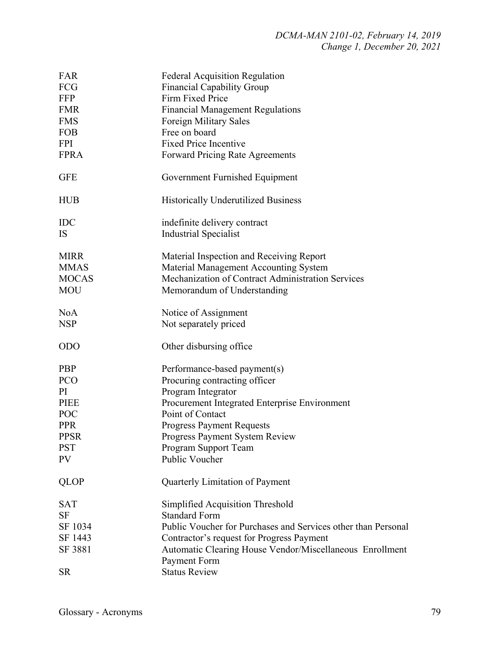| <b>Federal Acquisition Regulation</b>                         |  |
|---------------------------------------------------------------|--|
| <b>Financial Capability Group</b>                             |  |
| Firm Fixed Price                                              |  |
| <b>Financial Management Regulations</b>                       |  |
| Foreign Military Sales                                        |  |
| Free on board                                                 |  |
| <b>Fixed Price Incentive</b>                                  |  |
| <b>Forward Pricing Rate Agreements</b>                        |  |
| Government Furnished Equipment                                |  |
| <b>Historically Underutilized Business</b>                    |  |
| indefinite delivery contract                                  |  |
| <b>Industrial Specialist</b>                                  |  |
| Material Inspection and Receiving Report                      |  |
| Material Management Accounting System                         |  |
| Mechanization of Contract Administration Services             |  |
| Memorandum of Understanding                                   |  |
|                                                               |  |
| Notice of Assignment                                          |  |
| Not separately priced                                         |  |
| Other disbursing office                                       |  |
| Performance-based payment(s)                                  |  |
| Procuring contracting officer                                 |  |
| Program Integrator                                            |  |
| Procurement Integrated Enterprise Environment                 |  |
| Point of Contact                                              |  |
| <b>Progress Payment Requests</b>                              |  |
| Progress Payment System Review                                |  |
| Program Support Team                                          |  |
| Public Voucher                                                |  |
| Quarterly Limitation of Payment                               |  |
| Simplified Acquisition Threshold                              |  |
| <b>Standard Form</b>                                          |  |
| Public Voucher for Purchases and Services other than Personal |  |
| Contractor's request for Progress Payment                     |  |
| Automatic Clearing House Vendor/Miscellaneous Enrollment      |  |
| Payment Form                                                  |  |
| <b>Status Review</b>                                          |  |
|                                                               |  |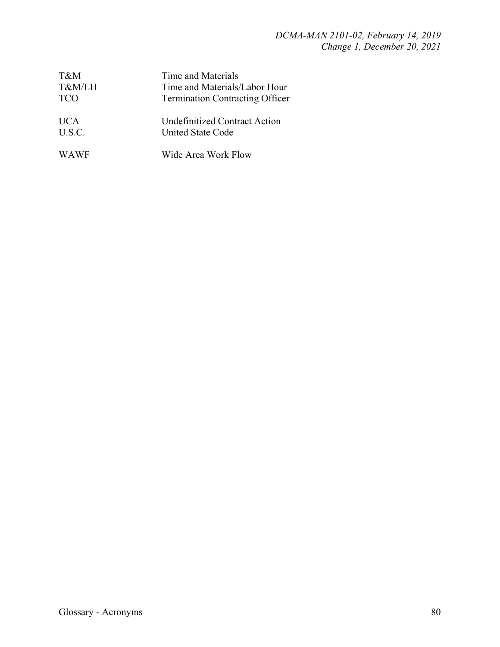| T&M         | Time and Materials                     |
|-------------|----------------------------------------|
| T&M/LH      | Time and Materials/Labor Hour          |
| <b>TCO</b>  | <b>Termination Contracting Officer</b> |
| <b>UCA</b>  | Undefinitized Contract Action          |
| U.S.C.      | United State Code                      |
| <b>WAWF</b> | Wide Area Work Flow                    |